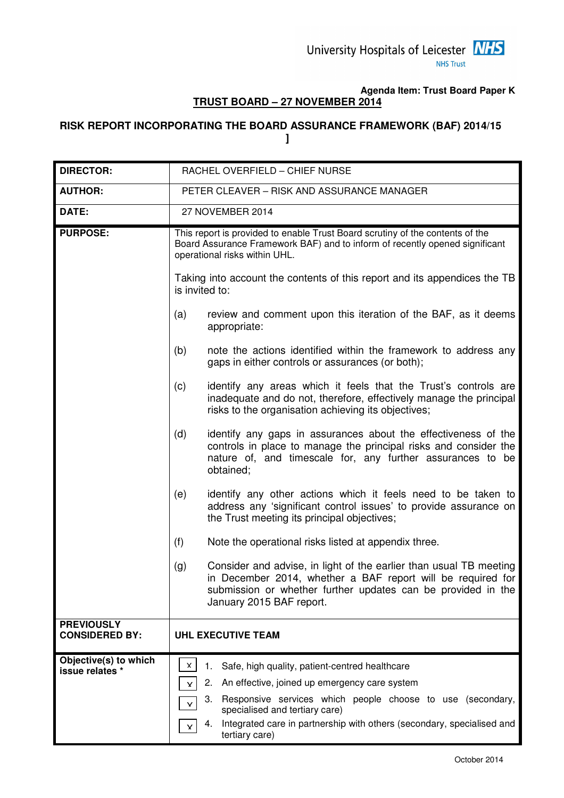# **Agenda Item: Trust Board Paper K TRUST BOARD – 27 NOVEMBER 2014**

# **RISK REPORT INCORPORATING THE BOARD ASSURANCE FRAMEWORK (BAF) 2014/15 ]**

| <b>DIRECTOR:</b>                           | RACHEL OVERFIELD - CHIEF NURSE                                                                                                                                                                                                                                                                                                                     |
|--------------------------------------------|----------------------------------------------------------------------------------------------------------------------------------------------------------------------------------------------------------------------------------------------------------------------------------------------------------------------------------------------------|
| <b>AUTHOR:</b>                             | PETER CLEAVER - RISK AND ASSURANCE MANAGER                                                                                                                                                                                                                                                                                                         |
| DATE:                                      | 27 NOVEMBER 2014                                                                                                                                                                                                                                                                                                                                   |
| <b>PURPOSE:</b>                            | This report is provided to enable Trust Board scrutiny of the contents of the<br>Board Assurance Framework BAF) and to inform of recently opened significant<br>operational risks within UHL.                                                                                                                                                      |
|                                            | Taking into account the contents of this report and its appendices the TB<br>is invited to:                                                                                                                                                                                                                                                        |
|                                            | review and comment upon this iteration of the BAF, as it deems<br>(a)<br>appropriate:                                                                                                                                                                                                                                                              |
|                                            | (b)<br>note the actions identified within the framework to address any<br>gaps in either controls or assurances (or both);                                                                                                                                                                                                                         |
|                                            | (c)<br>identify any areas which it feels that the Trust's controls are<br>inadequate and do not, therefore, effectively manage the principal<br>risks to the organisation achieving its objectives;                                                                                                                                                |
|                                            | (d)<br>identify any gaps in assurances about the effectiveness of the<br>controls in place to manage the principal risks and consider the<br>nature of, and timescale for, any further assurances to be<br>obtained;                                                                                                                               |
|                                            | identify any other actions which it feels need to be taken to<br>(e)<br>address any 'significant control issues' to provide assurance on<br>the Trust meeting its principal objectives;                                                                                                                                                            |
|                                            | (f)<br>Note the operational risks listed at appendix three.                                                                                                                                                                                                                                                                                        |
|                                            | Consider and advise, in light of the earlier than usual TB meeting<br>(g)<br>in December 2014, whether a BAF report will be required for<br>submission or whether further updates can be provided in the<br>January 2015 BAF report.                                                                                                               |
| <b>PREVIOUSLY</b><br><b>CONSIDERED BY:</b> | <b>UHL EXECUTIVE TEAM</b>                                                                                                                                                                                                                                                                                                                          |
| Objective(s) to which<br>issue relates *   | X<br>Safe, high quality, patient-centred healthcare<br>1.<br>An effective, joined up emergency care system<br>2.<br>v<br>Responsive services which people choose to use (secondary,<br>3.<br>$\mathsf{v}$<br>specialised and tertiary care)<br>Integrated care in partnership with others (secondary, specialised and<br>4.<br>Y<br>tertiary care) |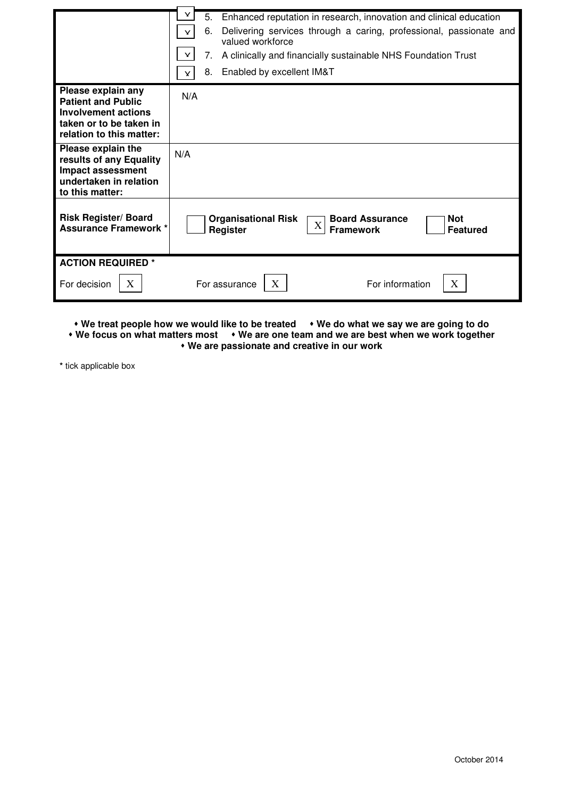|                                                                                                                               | Y.<br>5.<br>Enhanced reputation in research, innovation and clinical education<br>6.<br>Delivering services through a caring, professional, passionate and<br>Y<br>valued workforce<br>Y<br>7.<br>A clinically and financially sustainable NHS Foundation Trust<br>Enabled by excellent IM&T<br>8.<br>Y |  |  |  |  |
|-------------------------------------------------------------------------------------------------------------------------------|---------------------------------------------------------------------------------------------------------------------------------------------------------------------------------------------------------------------------------------------------------------------------------------------------------|--|--|--|--|
| Please explain any<br><b>Patient and Public</b><br>Involvement actions<br>taken or to be taken in<br>relation to this matter: | N/A                                                                                                                                                                                                                                                                                                     |  |  |  |  |
| Please explain the<br>results of any Equality<br>Impact assessment<br>undertaken in relation<br>to this matter:               | N/A                                                                                                                                                                                                                                                                                                     |  |  |  |  |
| <b>Risk Register/ Board</b><br><b>Assurance Framework *</b>                                                                   | <b>Board Assurance</b><br><b>Not</b><br><b>Organisational Risk</b><br>$\mathbf X$<br><b>Framework</b><br><b>Featured</b><br>Register                                                                                                                                                                    |  |  |  |  |
| <b>ACTION REQUIRED *</b><br>$X_{\mathcal{I}}$<br>For decision                                                                 | X<br>X<br>For information<br>For assurance                                                                                                                                                                                                                                                              |  |  |  |  |

**• We treat people how we would like to be treated • We do what we say we are going to do** 

**• We focus on what matters most • We are one team and we are best when we work together** 

 **We are passionate and creative in our work** 

**\*** tick applicable box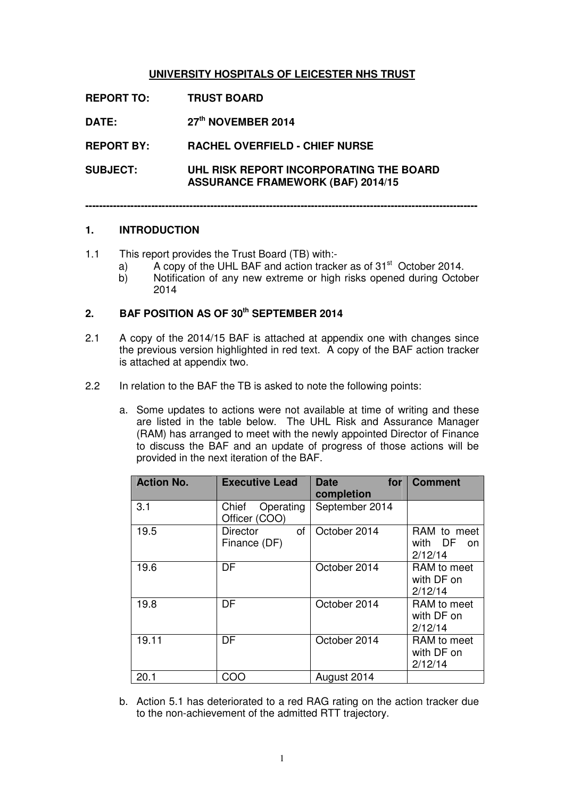# **UNIVERSITY HOSPITALS OF LEICESTER NHS TRUST**

**REPORT TO: TRUST BOARD DATE: 27th NOVEMBER 2014 REPORT BY: RACHEL OVERFIELD - CHIEF NURSE SUBJECT: UHL RISK REPORT INCORPORATING THE BOARD ASSURANCE FRAMEWORK (BAF) 2014/15** 

**-----------------------------------------------------------------------------------------------------------------** 

#### **1. INTRODUCTION**

- 1.1 This report provides the Trust Board (TB) with:
	- a) A copy of the UHL BAF and action tracker as of  $31<sup>st</sup>$  October 2014.
	- b) Notification of any new extreme or high risks opened during October 2014

# **2. BAF POSITION AS OF 30th SEPTEMBER 2014**

- 2.1 A copy of the 2014/15 BAF is attached at appendix one with changes since the previous version highlighted in red text. A copy of the BAF action tracker is attached at appendix two.
- 2.2 In relation to the BAF the TB is asked to note the following points:
	- a. Some updates to actions were not available at time of writing and these are listed in the table below. The UHL Risk and Assurance Manager (RAM) has arranged to meet with the newly appointed Director of Finance to discuss the BAF and an update of progress of those actions will be provided in the next iteration of the BAF.

| <b>Action No.</b> | <b>Executive Lead</b>                 | <b>Date</b><br>for<br>completion | <b>Comment</b>                          |
|-------------------|---------------------------------------|----------------------------------|-----------------------------------------|
| 3.1               | Operating<br>Chief<br>Officer (COO)   | September 2014                   |                                         |
| 19.5              | of<br><b>Director</b><br>Finance (DF) | October 2014                     | RAM to meet<br>with DF<br>on<br>2/12/14 |
| 19.6              | DF                                    | October 2014                     | RAM to meet<br>with DF on<br>2/12/14    |
| 19.8              | DF                                    | October 2014                     | RAM to meet<br>with DF on<br>2/12/14    |
| 19.11             | DF                                    | October 2014                     | RAM to meet<br>with DF on<br>2/12/14    |
| 20.1              | COO                                   | August 2014                      |                                         |

b. Action 5.1 has deteriorated to a red RAG rating on the action tracker due to the non-achievement of the admitted RTT trajectory.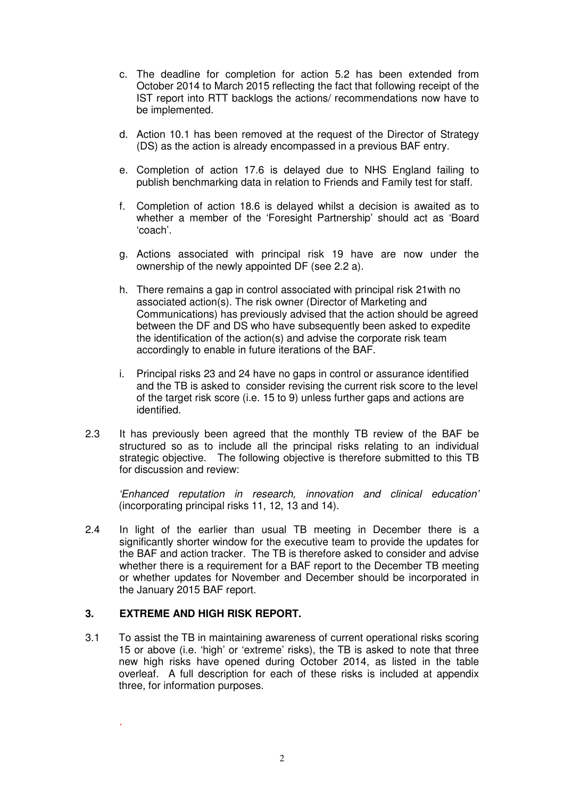- c. The deadline for completion for action 5.2 has been extended from October 2014 to March 2015 reflecting the fact that following receipt of the IST report into RTT backlogs the actions/ recommendations now have to be implemented.
- d. Action 10.1 has been removed at the request of the Director of Strategy (DS) as the action is already encompassed in a previous BAF entry.
- e. Completion of action 17.6 is delayed due to NHS England failing to publish benchmarking data in relation to Friends and Family test for staff.
- f. Completion of action 18.6 is delayed whilst a decision is awaited as to whether a member of the 'Foresight Partnership' should act as 'Board 'coach'.
- g. Actions associated with principal risk 19 have are now under the ownership of the newly appointed DF (see 2.2 a).
- h. There remains a gap in control associated with principal risk 21with no associated action(s). The risk owner (Director of Marketing and Communications) has previously advised that the action should be agreed between the DF and DS who have subsequently been asked to expedite the identification of the action(s) and advise the corporate risk team accordingly to enable in future iterations of the BAF.
- i. Principal risks 23 and 24 have no gaps in control or assurance identified and the TB is asked to consider revising the current risk score to the level of the target risk score (i.e. 15 to 9) unless further gaps and actions are identified.
- 2.3 It has previously been agreed that the monthly TB review of the BAF be structured so as to include all the principal risks relating to an individual strategic objective. The following objective is therefore submitted to this TB for discussion and review:

'Enhanced reputation in research, innovation and clinical education' (incorporating principal risks 11, 12, 13 and 14).

2.4 In light of the earlier than usual TB meeting in December there is a significantly shorter window for the executive team to provide the updates for the BAF and action tracker. The TB is therefore asked to consider and advise whether there is a requirement for a BAF report to the December TB meeting or whether updates for November and December should be incorporated in the January 2015 BAF report.

# **3. EXTREME AND HIGH RISK REPORT.**

.

3.1 To assist the TB in maintaining awareness of current operational risks scoring 15 or above (i.e. 'high' or 'extreme' risks), the TB is asked to note that three new high risks have opened during October 2014, as listed in the table overleaf. A full description for each of these risks is included at appendix three, for information purposes.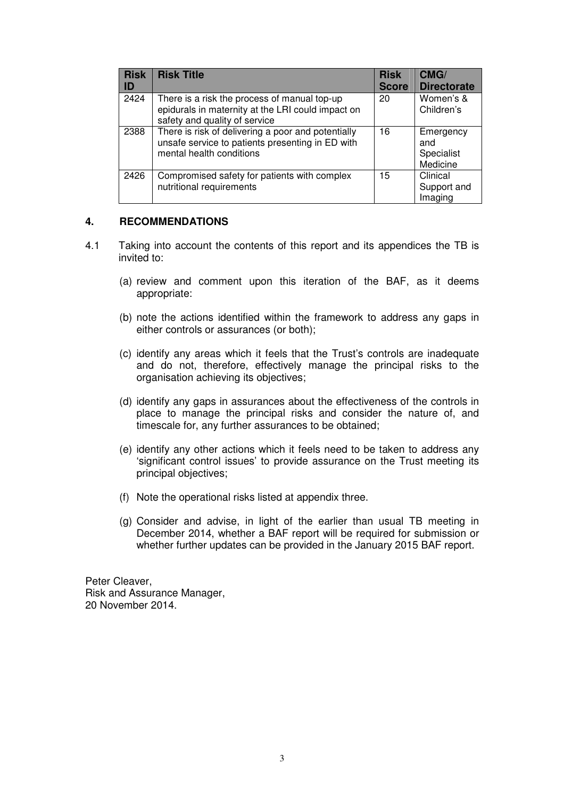| <b>Risk</b><br>ID | <b>Risk Title</b>                                                                                                                  | <b>Risk</b><br><b>Score</b> | CMG/<br><b>Directorate</b>                 |
|-------------------|------------------------------------------------------------------------------------------------------------------------------------|-----------------------------|--------------------------------------------|
| 2424              | There is a risk the process of manual top-up<br>epidurals in maternity at the LRI could impact on<br>safety and quality of service | 20                          | Women's &<br>Children's                    |
| 2388              | There is risk of delivering a poor and potentially<br>unsafe service to patients presenting in ED with<br>mental health conditions | 16                          | Emergency<br>and<br>Specialist<br>Medicine |
| 2426              | Compromised safety for patients with complex<br>nutritional requirements                                                           | 15                          | Clinical<br>Support and<br>Imaging         |

#### **4. RECOMMENDATIONS**

- 4.1 Taking into account the contents of this report and its appendices the TB is invited to:
	- (a) review and comment upon this iteration of the BAF, as it deems appropriate:
	- (b) note the actions identified within the framework to address any gaps in either controls or assurances (or both);
	- (c) identify any areas which it feels that the Trust's controls are inadequate and do not, therefore, effectively manage the principal risks to the organisation achieving its objectives;
	- (d) identify any gaps in assurances about the effectiveness of the controls in place to manage the principal risks and consider the nature of, and timescale for, any further assurances to be obtained;
	- (e) identify any other actions which it feels need to be taken to address any 'significant control issues' to provide assurance on the Trust meeting its principal objectives;
	- (f) Note the operational risks listed at appendix three.
	- (g) Consider and advise, in light of the earlier than usual TB meeting in December 2014, whether a BAF report will be required for submission or whether further updates can be provided in the January 2015 BAF report.

Peter Cleaver, Risk and Assurance Manager, 20 November 2014.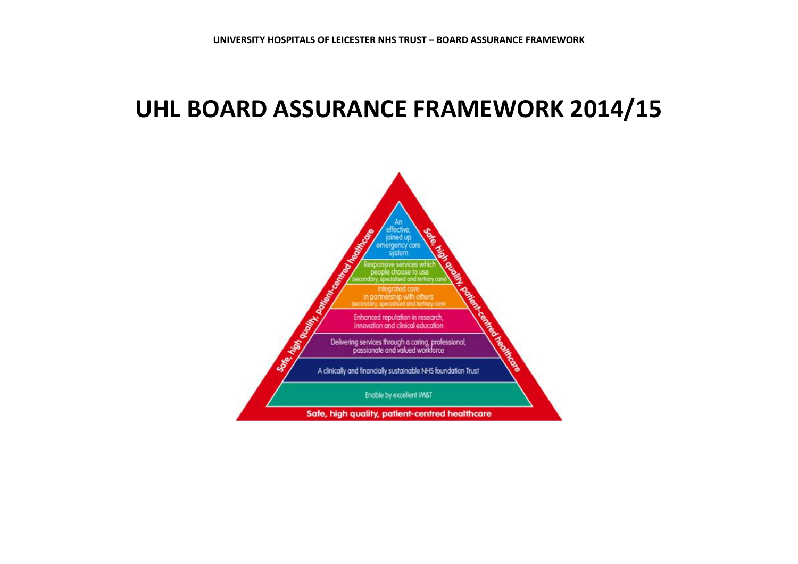# UHL BOARD ASSURANCE FRAMEWORK 2014/15

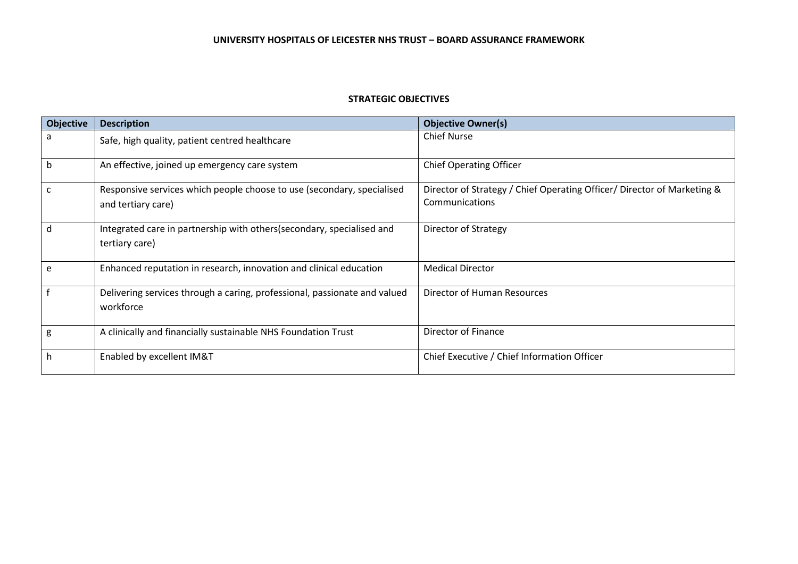#### STRATEGIC OBJECTIVES

| <b>Objective</b> | <b>Description</b>                                                                           | <b>Objective Owner(s)</b>                                                                 |
|------------------|----------------------------------------------------------------------------------------------|-------------------------------------------------------------------------------------------|
| a                | Safe, high quality, patient centred healthcare                                               | <b>Chief Nurse</b>                                                                        |
| b                | An effective, joined up emergency care system                                                | <b>Chief Operating Officer</b>                                                            |
| C                | Responsive services which people choose to use (secondary, specialised<br>and tertiary care) | Director of Strategy / Chief Operating Officer/ Director of Marketing &<br>Communications |
| d                | Integrated care in partnership with others (secondary, specialised and<br>tertiary care)     | Director of Strategy                                                                      |
| e                | Enhanced reputation in research, innovation and clinical education                           | <b>Medical Director</b>                                                                   |
|                  | Delivering services through a caring, professional, passionate and valued<br>workforce       | Director of Human Resources                                                               |
| g                | A clinically and financially sustainable NHS Foundation Trust                                | Director of Finance                                                                       |
| h                | Enabled by excellent IM&T                                                                    | Chief Executive / Chief Information Officer                                               |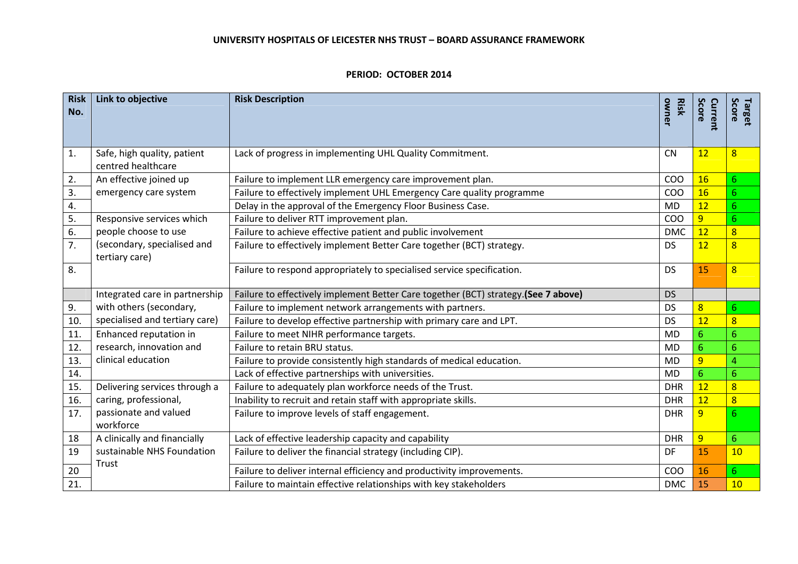#### PERIOD: OCTOBER 2014

| <b>Risk</b><br>No. | Link to objective                                 | <b>Risk Description</b>                                                            | owner<br><b>Risk</b> | Score<br>Current | Score<br>Target  |
|--------------------|---------------------------------------------------|------------------------------------------------------------------------------------|----------------------|------------------|------------------|
| 1.                 | Safe, high quality, patient<br>centred healthcare | Lack of progress in implementing UHL Quality Commitment.                           | <b>CN</b>            | 12               | $\overline{8}$   |
| 2.                 | An effective joined up                            | Failure to implement LLR emergency care improvement plan.                          | COO                  | 16               | $6\phantom{1}$   |
| 3.                 | emergency care system                             | Failure to effectively implement UHL Emergency Care quality programme              | COO                  | 16               | 6 <sup>1</sup>   |
| 4.                 |                                                   | Delay in the approval of the Emergency Floor Business Case.                        | <b>MD</b>            | 12               | $6\phantom{1}$   |
| 5.                 | Responsive services which                         | Failure to deliver RTT improvement plan.                                           | COO                  | $\overline{9}$   | $6\phantom{1}$   |
| 6.                 | people choose to use                              | Failure to achieve effective patient and public involvement                        | <b>DMC</b>           | 12               | $\overline{8}$   |
| 7.                 | (secondary, specialised and<br>tertiary care)     | Failure to effectively implement Better Care together (BCT) strategy.              | <b>DS</b>            | 12               | $\overline{8}$   |
| 8.                 |                                                   | Failure to respond appropriately to specialised service specification.             | <b>DS</b>            | 15               | $\overline{8}$   |
|                    | Integrated care in partnership                    | Failure to effectively implement Better Care together (BCT) strategy.(See 7 above) | <b>DS</b>            |                  |                  |
| 9.                 | with others (secondary,                           | Failure to implement network arrangements with partners.                           | <b>DS</b>            | $\overline{8}$   | $6 \overline{6}$ |
| 10.                | specialised and tertiary care)                    | Failure to develop effective partnership with primary care and LPT.                | <b>DS</b>            | 12               | $\overline{8}$   |
| 11.                | Enhanced reputation in                            | Failure to meet NIHR performance targets.                                          | <b>MD</b>            | 6 <sup>1</sup>   | $6\overline{6}$  |
| 12.                | research, innovation and                          | Failure to retain BRU status.                                                      | <b>MD</b>            | 6                | 6                |
| 13.                | clinical education                                | Failure to provide consistently high standards of medical education.               | <b>MD</b>            | $\overline{9}$   | 4                |
| 14.                |                                                   | Lack of effective partnerships with universities.                                  | <b>MD</b>            | 6                | $6\overline{6}$  |
| 15.                | Delivering services through a                     | Failure to adequately plan workforce needs of the Trust.                           | <b>DHR</b>           | 12               | $\overline{8}$   |
| 16.                | caring, professional,                             | Inability to recruit and retain staff with appropriate skills.                     | <b>DHR</b>           | 12               | $\overline{8}$   |
| 17.                | passionate and valued<br>workforce                | Failure to improve levels of staff engagement.                                     | <b>DHR</b>           | 9                | 6                |
| 18                 | A clinically and financially                      | Lack of effective leadership capacity and capability                               | <b>DHR</b>           | 9                | $6\overline{6}$  |
| 19                 | sustainable NHS Foundation<br>Trust               | Failure to deliver the financial strategy (including CIP).                         | DF                   | 15               | 10               |
| 20                 |                                                   | Failure to deliver internal efficiency and productivity improvements.              | COO                  | 16               | $6\phantom{1}$   |
| 21.                |                                                   | Failure to maintain effective relationships with key stakeholders                  | <b>DMC</b>           | 15               | 10               |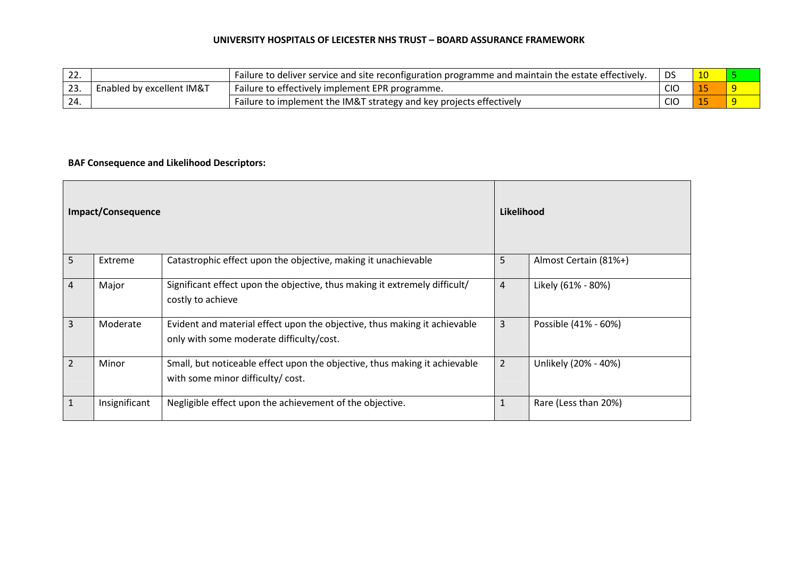| $L_{\sim}$ |                           | Failure to deliver service and site reconfiguration programme and maintain the estate effectively. | DS         |  |
|------------|---------------------------|----------------------------------------------------------------------------------------------------|------------|--|
| ، پ ک      | Enabled by excellent IM&T | Failure to effectively implement EPR programme.                                                    | <b>CIO</b> |  |
| -24.       |                           | Failure to implement the IM&T strategy and key projects effectively                                | <b>CIO</b> |  |

# BAF Consequence and Likelihood Descriptors:

| Impact/Consequence |               | Likelihood                                                                                                            |                |                       |
|--------------------|---------------|-----------------------------------------------------------------------------------------------------------------------|----------------|-----------------------|
| 5                  | Extreme       | Catastrophic effect upon the objective, making it unachievable                                                        | 5              | Almost Certain (81%+) |
| 4                  | Major         | Significant effect upon the objective, thus making it extremely difficult/<br>costly to achieve                       | 4              | Likely (61% - 80%)    |
| 3                  | Moderate      | Evident and material effect upon the objective, thus making it achievable<br>only with some moderate difficulty/cost. | 3              | Possible (41% - 60%)  |
| 2                  | Minor         | Small, but noticeable effect upon the objective, thus making it achievable<br>with some minor difficulty/cost.        | $\overline{2}$ | Unlikely (20% - 40%)  |
|                    | Insignificant | Negligible effect upon the achievement of the objective.                                                              | 1              | Rare (Less than 20%)  |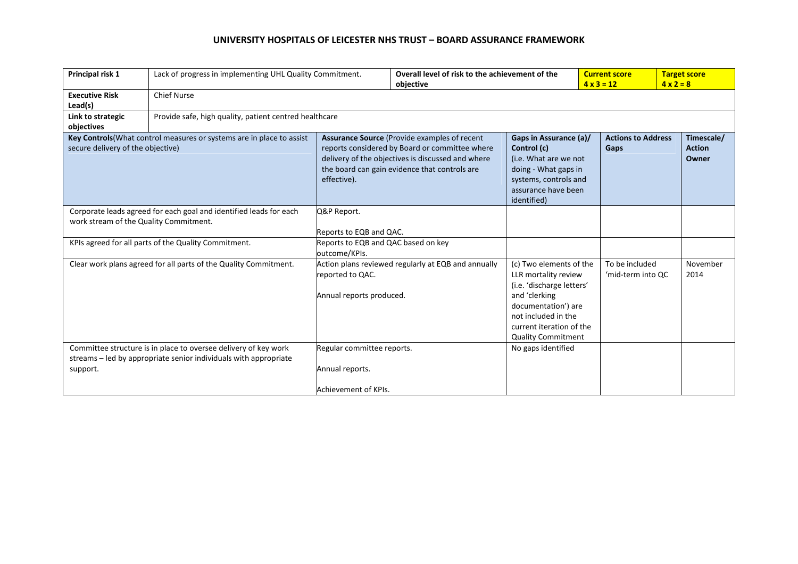| Principal risk 1                                                                                             | Lack of progress in implementing UHL Quality Commitment.                                                                            |                                                                                                                                                                                                                     | Overall level of risk to the achievement of the<br>objective |                                                                                                                                                                                                      | <b>Current score</b><br>$4 \times 3 = 12$ |                                     | <b>Target score</b><br>$4 \times 2 = 8$ |  |  |
|--------------------------------------------------------------------------------------------------------------|-------------------------------------------------------------------------------------------------------------------------------------|---------------------------------------------------------------------------------------------------------------------------------------------------------------------------------------------------------------------|--------------------------------------------------------------|------------------------------------------------------------------------------------------------------------------------------------------------------------------------------------------------------|-------------------------------------------|-------------------------------------|-----------------------------------------|--|--|
| <b>Executive Risk</b><br>Lead(s)                                                                             | <b>Chief Nurse</b>                                                                                                                  |                                                                                                                                                                                                                     |                                                              |                                                                                                                                                                                                      |                                           |                                     |                                         |  |  |
| Link to strategic<br>objectives                                                                              |                                                                                                                                     | Provide safe, high quality, patient centred healthcare                                                                                                                                                              |                                                              |                                                                                                                                                                                                      |                                           |                                     |                                         |  |  |
| Key Controls (What control measures or systems are in place to assist<br>secure delivery of the objective)   |                                                                                                                                     | Assurance Source (Provide examples of recent<br>reports considered by Board or committee where<br>delivery of the objectives is discussed and where<br>the board can gain evidence that controls are<br>effective). |                                                              | Gaps in Assurance (a)/<br>Control (c)<br>(i.e. What are we not<br>doing - What gaps in<br>systems, controls and<br>assurance have been<br>identified)                                                |                                           | <b>Actions to Address</b><br>Gaps   | Timescale/<br><b>Action</b><br>Owner    |  |  |
| Corporate leads agreed for each goal and identified leads for each<br>work stream of the Quality Commitment. |                                                                                                                                     | Q&P Report.<br>Reports to EQB and QAC.                                                                                                                                                                              |                                                              |                                                                                                                                                                                                      |                                           |                                     |                                         |  |  |
|                                                                                                              | KPIs agreed for all parts of the Quality Commitment.                                                                                | Reports to EQB and QAC based on key<br>outcome/KPIs.                                                                                                                                                                |                                                              |                                                                                                                                                                                                      |                                           |                                     |                                         |  |  |
| Clear work plans agreed for all parts of the Quality Commitment.                                             |                                                                                                                                     | Action plans reviewed regularly at EQB and annually<br>reported to QAC.<br>Annual reports produced.                                                                                                                 |                                                              | (c) Two elements of the<br>LLR mortality review<br>(i.e. 'discharge letters'<br>and 'clerking<br>documentation') are<br>not included in the<br>current iteration of the<br><b>Quality Commitment</b> |                                           | To be included<br>'mid-term into QC | November<br>2014                        |  |  |
| support.                                                                                                     | Committee structure is in place to oversee delivery of key work<br>streams - led by appropriate senior individuals with appropriate | Regular committee reports.<br>Annual reports.<br>Achievement of KPIs.                                                                                                                                               |                                                              | No gaps identified                                                                                                                                                                                   |                                           |                                     |                                         |  |  |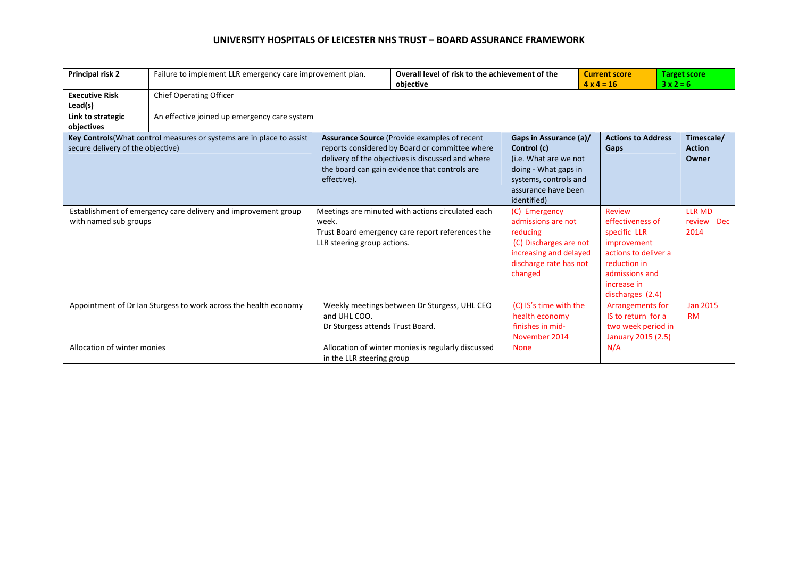| <b>Principal risk 2</b>           | Failure to implement LLR emergency care improvement plan.             |                                                  | Overall level of risk to the achievement of the<br>objective                                                                                                                                         |                                                                                                                                                       |                                                                                                                                                               | <b>Target score</b><br>$3x2=6$       |  |  |  |
|-----------------------------------|-----------------------------------------------------------------------|--------------------------------------------------|------------------------------------------------------------------------------------------------------------------------------------------------------------------------------------------------------|-------------------------------------------------------------------------------------------------------------------------------------------------------|---------------------------------------------------------------------------------------------------------------------------------------------------------------|--------------------------------------|--|--|--|
| <b>Executive Risk</b><br>Lead(s)  | <b>Chief Operating Officer</b>                                        |                                                  |                                                                                                                                                                                                      |                                                                                                                                                       |                                                                                                                                                               |                                      |  |  |  |
| Link to strategic<br>objectives   | An effective joined up emergency care system                          |                                                  |                                                                                                                                                                                                      |                                                                                                                                                       |                                                                                                                                                               |                                      |  |  |  |
| secure delivery of the objective) | Key Controls (What control measures or systems are in place to assist | effective).                                      | Assurance Source (Provide examples of recent<br>reports considered by Board or committee where<br>delivery of the objectives is discussed and where<br>the board can gain evidence that controls are | Gaps in Assurance (a)/<br>Control (c)<br>(i.e. What are we not<br>doing - What gaps in<br>systems, controls and<br>assurance have been<br>identified) | <b>Actions to Address</b><br>Gaps                                                                                                                             | Timescale/<br><b>Action</b><br>Owner |  |  |  |
| with named sub groups             | Establishment of emergency care delivery and improvement group        | week.<br>LLR steering group actions.             | Meetings are minuted with actions circulated each<br>Trust Board emergency care report references the                                                                                                | (C) Emergency<br>admissions are not<br>reducing<br>(C) Discharges are not<br>increasing and delayed<br>discharge rate has not<br>changed              | <b>Review</b><br>effectiveness of<br>specific LLR<br>improvement<br>actions to deliver a<br>reduction in<br>admissions and<br>increase in<br>discharges (2.4) | <b>LLR MD</b><br>review Dec<br>2014  |  |  |  |
|                                   | Appointment of Dr Ian Sturgess to work across the health economy      | and UHL COO.<br>Dr Sturgess attends Trust Board. | Weekly meetings between Dr Sturgess, UHL CEO                                                                                                                                                         | (C) IS's time with the<br>health economy<br>finishes in mid-<br>November 2014                                                                         | Arrangements for<br>IS to return for a<br>two week period in<br>January 2015 (2.5)                                                                            | <b>Jan 2015</b><br><b>RM</b>         |  |  |  |
| Allocation of winter monies       |                                                                       | in the LLR steering group                        | Allocation of winter monies is regularly discussed                                                                                                                                                   | <b>None</b>                                                                                                                                           | N/A                                                                                                                                                           |                                      |  |  |  |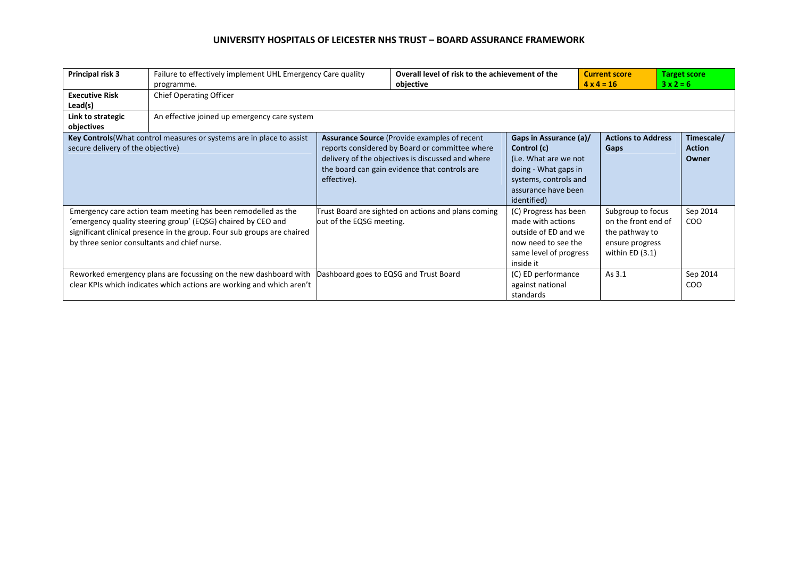| Principal risk 3                  | Failure to effectively implement UHL Emergency Care quality<br>programme.                                                                                                                                                                                | Overall level of risk to the achievement of the<br>objective |                                                                                                                                                                                                              | <b>Current score</b><br>$4 \times 4 = 16$                                                                                                             | $3x2=6$ | <b>Target score</b>                                                                              |                                      |  |
|-----------------------------------|----------------------------------------------------------------------------------------------------------------------------------------------------------------------------------------------------------------------------------------------------------|--------------------------------------------------------------|--------------------------------------------------------------------------------------------------------------------------------------------------------------------------------------------------------------|-------------------------------------------------------------------------------------------------------------------------------------------------------|---------|--------------------------------------------------------------------------------------------------|--------------------------------------|--|
| <b>Executive Risk</b><br>Lead(s)  | <b>Chief Operating Officer</b>                                                                                                                                                                                                                           |                                                              |                                                                                                                                                                                                              |                                                                                                                                                       |         |                                                                                                  |                                      |  |
| Link to strategic<br>objectives   |                                                                                                                                                                                                                                                          | An effective joined up emergency care system                 |                                                                                                                                                                                                              |                                                                                                                                                       |         |                                                                                                  |                                      |  |
| secure delivery of the objective) | Key Controls (What control measures or systems are in place to assist                                                                                                                                                                                    | effective).                                                  | <b>Assurance Source (Provide examples of recent)</b><br>reports considered by Board or committee where<br>delivery of the objectives is discussed and where<br>the board can gain evidence that controls are | Gaps in Assurance (a)/<br>Control (c)<br>(i.e. What are we not<br>doing - What gaps in<br>systems, controls and<br>assurance have been<br>identified) | Gaps    | <b>Actions to Address</b>                                                                        | Timescale/<br><b>Action</b><br>Owner |  |
|                                   | Emergency care action team meeting has been remodelled as the<br>'emergency quality steering group' (EQSG) chaired by CEO and<br>significant clinical presence in the group. Four sub groups are chaired<br>by three senior consultants and chief nurse. | out of the EQSG meeting.                                     | Trust Board are sighted on actions and plans coming                                                                                                                                                          | (C) Progress has been<br>made with actions<br>outside of ED and we<br>now need to see the<br>same level of progress<br>inside it                      |         | Subgroup to focus<br>on the front end of<br>the pathway to<br>ensure progress<br>within ED (3.1) | Sep 2014<br>COO                      |  |
|                                   | Reworked emergency plans are focussing on the new dashboard with<br>clear KPIs which indicates which actions are working and which aren't                                                                                                                |                                                              | Dashboard goes to EQSG and Trust Board                                                                                                                                                                       | (C) ED performance<br>against national<br>standards                                                                                                   | As 3.1  |                                                                                                  | Sep 2014<br>CO <sub>O</sub>          |  |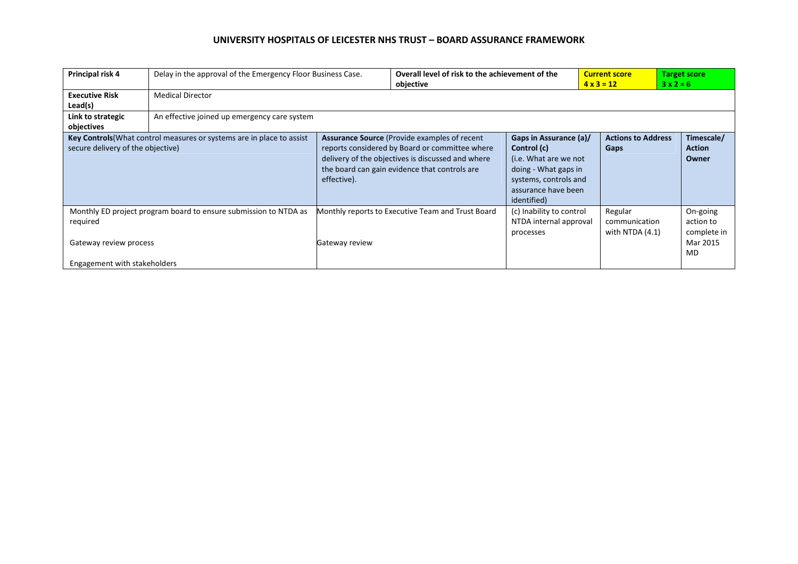| Principal risk 4                                                                                           | Delay in the approval of the Emergency Floor Business Case.      |                                                                                                                                                                                                                     | Overall level of risk to the achievement of the<br>objective |                                                                                                                                                       | <b>Current score</b><br>$4 \times 3 = 12$     | $3x2=6$ | <b>Target score</b>                                    |  |  |
|------------------------------------------------------------------------------------------------------------|------------------------------------------------------------------|---------------------------------------------------------------------------------------------------------------------------------------------------------------------------------------------------------------------|--------------------------------------------------------------|-------------------------------------------------------------------------------------------------------------------------------------------------------|-----------------------------------------------|---------|--------------------------------------------------------|--|--|
| <b>Executive Risk</b><br>Lead(s)                                                                           | <b>Medical Director</b>                                          |                                                                                                                                                                                                                     |                                                              |                                                                                                                                                       |                                               |         |                                                        |  |  |
| Link to strategic<br>objectives                                                                            | An effective joined up emergency care system                     |                                                                                                                                                                                                                     |                                                              |                                                                                                                                                       |                                               |         |                                                        |  |  |
| Key Controls (What control measures or systems are in place to assist<br>secure delivery of the objective) |                                                                  | Assurance Source (Provide examples of recent<br>reports considered by Board or committee where<br>delivery of the objectives is discussed and where<br>the board can gain evidence that controls are<br>effective). |                                                              | Gaps in Assurance (a)/<br>Control (c)<br>(i.e. What are we not<br>doing - What gaps in<br>systems, controls and<br>assurance have been<br>identified) | <b>Actions to Address</b><br>Gaps             |         | Timescale/<br><b>Action</b><br>Owner                   |  |  |
| required<br>Gateway review process<br>Engagement with stakeholders                                         | Monthly ED project program board to ensure submission to NTDA as | Gateway review                                                                                                                                                                                                      | Monthly reports to Executive Team and Trust Board            | (c) Inability to control<br>NTDA internal approval<br>processes                                                                                       | Regular<br>communication<br>with NTDA $(4.1)$ |         | On-going<br>action to<br>complete in<br>Mar 2015<br>MD |  |  |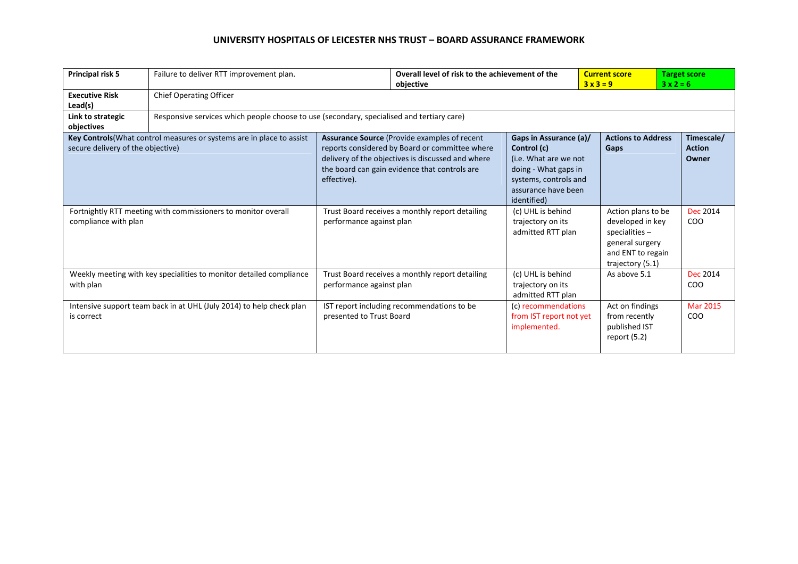| Principal risk 5                                                                      | Failure to deliver RTT improvement plan.                                                  |                                                                             | Overall level of risk to the achievement of the<br>objective                                                                                                                                                 |                                                                                                                                                       | <b>Current score</b><br>$3x3=9$                                                                                        | <b>Target score</b><br>$3x2=6$       |  |
|---------------------------------------------------------------------------------------|-------------------------------------------------------------------------------------------|-----------------------------------------------------------------------------|--------------------------------------------------------------------------------------------------------------------------------------------------------------------------------------------------------------|-------------------------------------------------------------------------------------------------------------------------------------------------------|------------------------------------------------------------------------------------------------------------------------|--------------------------------------|--|
| <b>Executive Risk</b><br>Lead(s)                                                      | <b>Chief Operating Officer</b>                                                            |                                                                             |                                                                                                                                                                                                              |                                                                                                                                                       |                                                                                                                        |                                      |  |
| Link to strategic<br>objectives                                                       | Responsive services which people choose to use (secondary, specialised and tertiary care) |                                                                             |                                                                                                                                                                                                              |                                                                                                                                                       |                                                                                                                        |                                      |  |
| secure delivery of the objective)                                                     | Key Controls (What control measures or systems are in place to assist                     | effective).                                                                 | <b>Assurance Source (Provide examples of recent)</b><br>reports considered by Board or committee where<br>delivery of the objectives is discussed and where<br>the board can gain evidence that controls are | Gaps in Assurance (a)/<br>Control (c)<br>(i.e. What are we not<br>doing - What gaps in<br>systems, controls and<br>assurance have been<br>identified) | <b>Actions to Address</b><br>Gaps                                                                                      | Timescale/<br><b>Action</b><br>Owner |  |
| Fortnightly RTT meeting with commissioners to monitor overall<br>compliance with plan |                                                                                           | Trust Board receives a monthly report detailing<br>performance against plan |                                                                                                                                                                                                              | (c) UHL is behind<br>trajectory on its<br>admitted RTT plan                                                                                           | Action plans to be<br>developed in key<br>specialities $-$<br>general surgery<br>and ENT to regain<br>trajectory (5.1) | <b>Dec 2014</b><br>CO <sub>O</sub>   |  |
| Weekly meeting with key specialities to monitor detailed compliance<br>with plan      |                                                                                           | Trust Board receives a monthly report detailing<br>performance against plan |                                                                                                                                                                                                              | (c) UHL is behind<br>trajectory on its<br>admitted RTT plan                                                                                           | As above 5.1                                                                                                           | <b>Dec 2014</b><br>COO               |  |
| is correct                                                                            | Intensive support team back in at UHL (July 2014) to help check plan                      | presented to Trust Board                                                    | IST report including recommendations to be                                                                                                                                                                   | (c) recommendations<br>from IST report not yet<br>implemented.                                                                                        | Act on findings<br>from recently<br>published IST<br>report $(5.2)$                                                    | <b>Mar 2015</b><br><b>COO</b>        |  |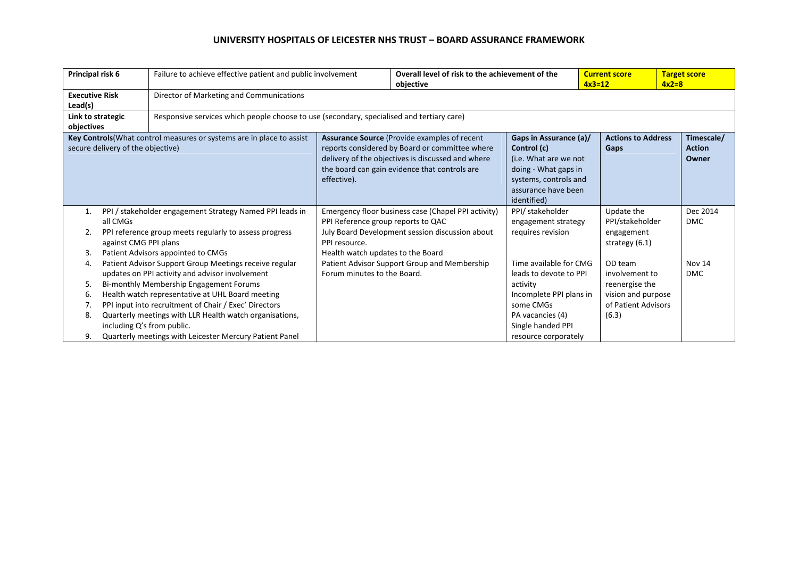| Principal risk 6                 |                                   | Failure to achieve effective patient and public involvement                                                                                                                                                                                                                                                                  |                                                                                          | Overall level of risk to the achievement of the<br>objective                                                                                                                                                 |                                                                                                                                                       | <b>Current score</b><br>$4x3=12$                                                                  | <b>Target score</b><br>$4x2=8$       |
|----------------------------------|-----------------------------------|------------------------------------------------------------------------------------------------------------------------------------------------------------------------------------------------------------------------------------------------------------------------------------------------------------------------------|------------------------------------------------------------------------------------------|--------------------------------------------------------------------------------------------------------------------------------------------------------------------------------------------------------------|-------------------------------------------------------------------------------------------------------------------------------------------------------|---------------------------------------------------------------------------------------------------|--------------------------------------|
| <b>Executive Risk</b><br>Lead(s) |                                   | Director of Marketing and Communications                                                                                                                                                                                                                                                                                     |                                                                                          |                                                                                                                                                                                                              |                                                                                                                                                       |                                                                                                   |                                      |
| objectives                       | Link to strategic                 | Responsive services which people choose to use (secondary, specialised and tertiary care)                                                                                                                                                                                                                                    |                                                                                          |                                                                                                                                                                                                              |                                                                                                                                                       |                                                                                                   |                                      |
|                                  | secure delivery of the objective) | Key Controls (What control measures or systems are in place to assist                                                                                                                                                                                                                                                        | effective).                                                                              | <b>Assurance Source (Provide examples of recent)</b><br>reports considered by Board or committee where<br>delivery of the objectives is discussed and where<br>the board can gain evidence that controls are | Gaps in Assurance (a)/<br>Control (c)<br>(i.e. What are we not<br>doing - What gaps in<br>systems, controls and<br>assurance have been<br>identified) | <b>Actions to Address</b><br>Gaps                                                                 | Timescale/<br><b>Action</b><br>Owner |
| 1.<br>2.<br>3.                   | all CMGs<br>against CMG PPI plans | PPI / stakeholder engagement Strategy Named PPI leads in<br>PPI reference group meets regularly to assess progress<br>Patient Advisors appointed to CMGs                                                                                                                                                                     | PPI Reference group reports to QAC<br>PPI resource.<br>Health watch updates to the Board | Emergency floor business case (Chapel PPI activity)<br>July Board Development session discussion about                                                                                                       | PPI/ stakeholder<br>engagement strategy<br>requires revision                                                                                          | Update the<br>PPI/stakeholder<br>engagement<br>strategy (6.1)                                     | Dec 2014<br><b>DMC</b>               |
| 4.<br>5.<br>6.<br>8.             | including Q's from public.        | Patient Advisor Support Group Meetings receive regular<br>updates on PPI activity and advisor involvement<br>Bi-monthly Membership Engagement Forums<br>Health watch representative at UHL Board meeting<br>PPI input into recruitment of Chair / Exec' Directors<br>Quarterly meetings with LLR Health watch organisations, | Forum minutes to the Board.                                                              | Patient Advisor Support Group and Membership                                                                                                                                                                 | Time available for CMG<br>leads to devote to PPI<br>activity<br>Incomplete PPI plans in<br>some CMGs<br>PA vacancies (4)<br>Single handed PPI         | OD team<br>involvement to<br>reenergise the<br>vision and purpose<br>of Patient Advisors<br>(6.3) | Nov 14<br><b>DMC</b>                 |
| 9.                               |                                   | Quarterly meetings with Leicester Mercury Patient Panel                                                                                                                                                                                                                                                                      |                                                                                          |                                                                                                                                                                                                              | resource corporately                                                                                                                                  |                                                                                                   |                                      |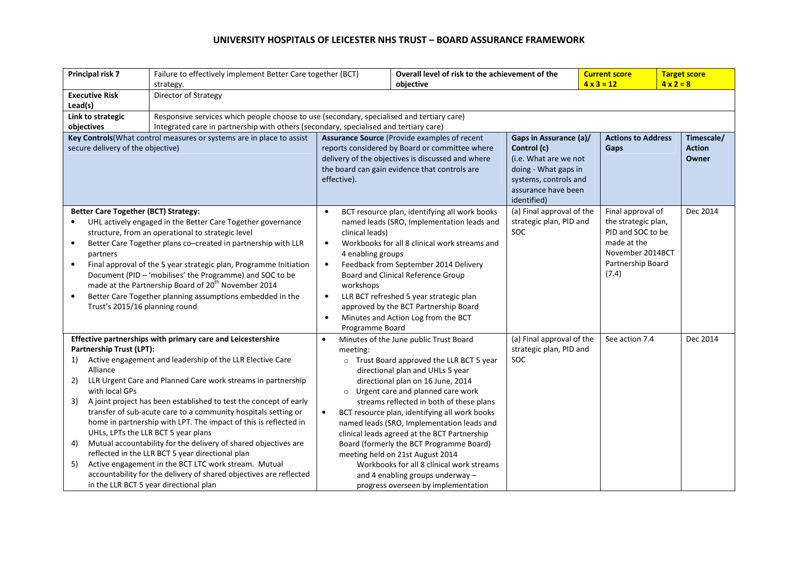|                                                                                                            | Principal risk 7                                                               | Failure to effectively implement Better Care together (BCT)<br>strategy.                                                                                                                                                   | Overall level of risk to the achievement of the<br>objective |                                                                                                                                                       |                                               |                                   | <b>Current score</b><br>$4 \times 3 = 12$ | <b>Target score</b><br>$4 \times 2 = 8$ |          |
|------------------------------------------------------------------------------------------------------------|--------------------------------------------------------------------------------|----------------------------------------------------------------------------------------------------------------------------------------------------------------------------------------------------------------------------|--------------------------------------------------------------|-------------------------------------------------------------------------------------------------------------------------------------------------------|-----------------------------------------------|-----------------------------------|-------------------------------------------|-----------------------------------------|----------|
|                                                                                                            | <b>Executive Risk</b>                                                          | Director of Strategy                                                                                                                                                                                                       |                                                              |                                                                                                                                                       |                                               |                                   |                                           |                                         |          |
| Lead(s)                                                                                                    |                                                                                |                                                                                                                                                                                                                            |                                                              |                                                                                                                                                       |                                               |                                   |                                           |                                         |          |
|                                                                                                            | Link to strategic                                                              | Responsive services which people choose to use (secondary, specialised and tertiary care)                                                                                                                                  |                                                              |                                                                                                                                                       |                                               |                                   |                                           |                                         |          |
| objectives                                                                                                 |                                                                                | Integrated care in partnership with others (secondary, specialised and tertiary care)                                                                                                                                      |                                                              |                                                                                                                                                       |                                               |                                   |                                           |                                         |          |
| Key Controls (What control measures or systems are in place to assist<br>secure delivery of the objective) |                                                                                | <b>Assurance Source (Provide examples of recent</b><br>reports considered by Board or committee where<br>delivery of the objectives is discussed and where<br>the board can gain evidence that controls are<br>effective). |                                                              | Gaps in Assurance (a)/<br>Control (c)<br>(i.e. What are we not<br>doing - What gaps in<br>systems, controls and<br>assurance have been<br>identified) |                                               | <b>Actions to Address</b><br>Gaps | Timescale/<br><b>Action</b><br>Owner      |                                         |          |
|                                                                                                            | <b>Better Care Together (BCT) Strategy:</b>                                    |                                                                                                                                                                                                                            | $\bullet$                                                    | BCT resource plan, identifying all work books                                                                                                         | (a) Final approval of the                     |                                   | Final approval of                         | Dec 2014                                |          |
|                                                                                                            |                                                                                | UHL actively engaged in the Better Care Together governance                                                                                                                                                                |                                                              |                                                                                                                                                       | named leads (SRO, Implementation leads and    | strategic plan, PID and           |                                           | the strategic plan,                     |          |
|                                                                                                            |                                                                                | structure, from an operational to strategic level                                                                                                                                                                          |                                                              | clinical leads)                                                                                                                                       |                                               | SOC                               |                                           | PID and SOC to be<br>made at the        |          |
| $\bullet$                                                                                                  | partners                                                                       | Better Care Together plans co-created in partnership with LLR                                                                                                                                                              | $\bullet$<br>4 enabling groups                               |                                                                                                                                                       | Workbooks for all 8 clinical work streams and |                                   |                                           | November 2014BCT                        |          |
| $\bullet$                                                                                                  | Final approval of the 5 year strategic plan, Programme Initiation<br>$\bullet$ |                                                                                                                                                                                                                            |                                                              |                                                                                                                                                       | Feedback from September 2014 Delivery         |                                   |                                           | Partnership Board                       |          |
| Document (PID - 'mobilises' the Programme) and SOC to be                                                   |                                                                                | Board and Clinical Reference Group                                                                                                                                                                                         |                                                              |                                                                                                                                                       |                                               |                                   | (7.4)                                     |                                         |          |
|                                                                                                            |                                                                                | made at the Partnership Board of 20 <sup>th</sup> November 2014                                                                                                                                                            | workshops                                                    |                                                                                                                                                       |                                               |                                   |                                           |                                         |          |
| $\bullet$                                                                                                  |                                                                                | Better Care Together planning assumptions embedded in the                                                                                                                                                                  | $\bullet$                                                    |                                                                                                                                                       | LLR BCT refreshed 5 year strategic plan       |                                   |                                           |                                         |          |
|                                                                                                            | Trust's 2015/16 planning round                                                 |                                                                                                                                                                                                                            |                                                              |                                                                                                                                                       | approved by the BCT Partnership Board         |                                   |                                           |                                         |          |
|                                                                                                            |                                                                                |                                                                                                                                                                                                                            | $\bullet$                                                    |                                                                                                                                                       | Minutes and Action Log from the BCT           |                                   |                                           |                                         |          |
|                                                                                                            |                                                                                |                                                                                                                                                                                                                            |                                                              | Programme Board                                                                                                                                       |                                               |                                   |                                           |                                         |          |
|                                                                                                            |                                                                                | Effective partnerships with primary care and Leicestershire                                                                                                                                                                |                                                              |                                                                                                                                                       | Minutes of the June public Trust Board        | (a) Final approval of the         |                                           | See action 7.4                          | Dec 2014 |
| 1)                                                                                                         | Partnership Trust (LPT):                                                       | Active engagement and leadership of the LLR Elective Care                                                                                                                                                                  |                                                              | meeting:                                                                                                                                              | o Trust Board approved the LLR BCT 5 year     | strategic plan, PID and<br>SOC    |                                           |                                         |          |
|                                                                                                            | Alliance                                                                       |                                                                                                                                                                                                                            |                                                              |                                                                                                                                                       | directional plan and UHLs 5 year              |                                   |                                           |                                         |          |
| 2)                                                                                                         |                                                                                | LLR Urgent Care and Planned Care work streams in partnership                                                                                                                                                               |                                                              |                                                                                                                                                       | directional plan on 16 June, 2014             |                                   |                                           |                                         |          |
|                                                                                                            | with local GPs                                                                 |                                                                                                                                                                                                                            |                                                              | $\circ$                                                                                                                                               | Urgent care and planned care work             |                                   |                                           |                                         |          |
| 3)                                                                                                         |                                                                                | A joint project has been established to test the concept of early                                                                                                                                                          |                                                              |                                                                                                                                                       | streams reflected in both of these plans      |                                   |                                           |                                         |          |
|                                                                                                            |                                                                                | transfer of sub-acute care to a community hospitals setting or                                                                                                                                                             |                                                              |                                                                                                                                                       | BCT resource plan, identifying all work books |                                   |                                           |                                         |          |
|                                                                                                            |                                                                                | home in partnership with LPT. The impact of this is reflected in                                                                                                                                                           |                                                              |                                                                                                                                                       | named leads (SRO, Implementation leads and    |                                   |                                           |                                         |          |
|                                                                                                            |                                                                                | UHLs, LPTs the LLR BCT 5 year plans                                                                                                                                                                                        |                                                              |                                                                                                                                                       | clinical leads agreed at the BCT Partnership  |                                   |                                           |                                         |          |
| 4)                                                                                                         |                                                                                | Mutual accountability for the delivery of shared objectives are                                                                                                                                                            |                                                              |                                                                                                                                                       | Board (formerly the BCT Programme Board)      |                                   |                                           |                                         |          |
|                                                                                                            |                                                                                | reflected in the LLR BCT 5 year directional plan                                                                                                                                                                           |                                                              |                                                                                                                                                       | meeting held on 21st August 2014              |                                   |                                           |                                         |          |
| 5)                                                                                                         |                                                                                | Active engagement in the BCT LTC work stream. Mutual                                                                                                                                                                       |                                                              |                                                                                                                                                       | Workbooks for all 8 clinical work streams     |                                   |                                           |                                         |          |
|                                                                                                            |                                                                                | accountability for the delivery of shared objectives are reflected<br>in the LLR BCT 5 year directional plan                                                                                                               |                                                              |                                                                                                                                                       | and 4 enabling groups underway -              |                                   |                                           |                                         |          |
|                                                                                                            |                                                                                |                                                                                                                                                                                                                            |                                                              |                                                                                                                                                       | progress overseen by implementation           |                                   |                                           |                                         |          |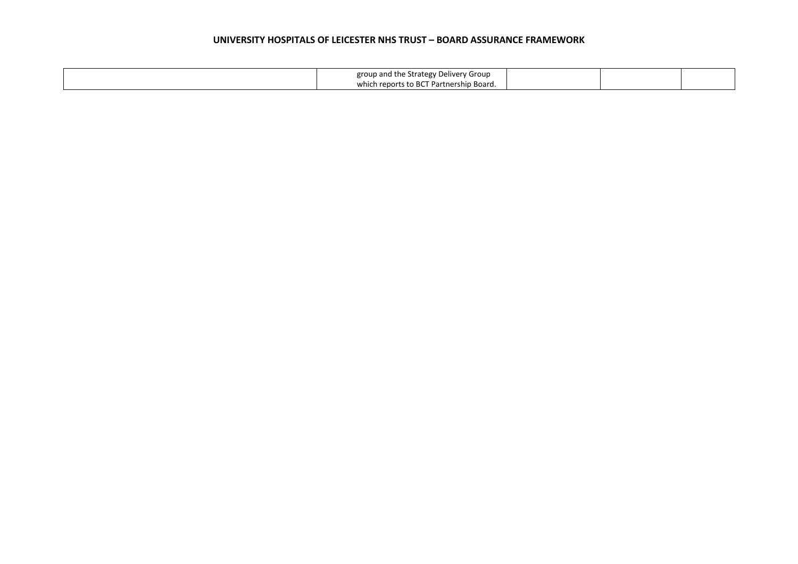| group and the Strategy Delivery Group   |  |  |
|-----------------------------------------|--|--|
| which reports to BCT Partnership Board. |  |  |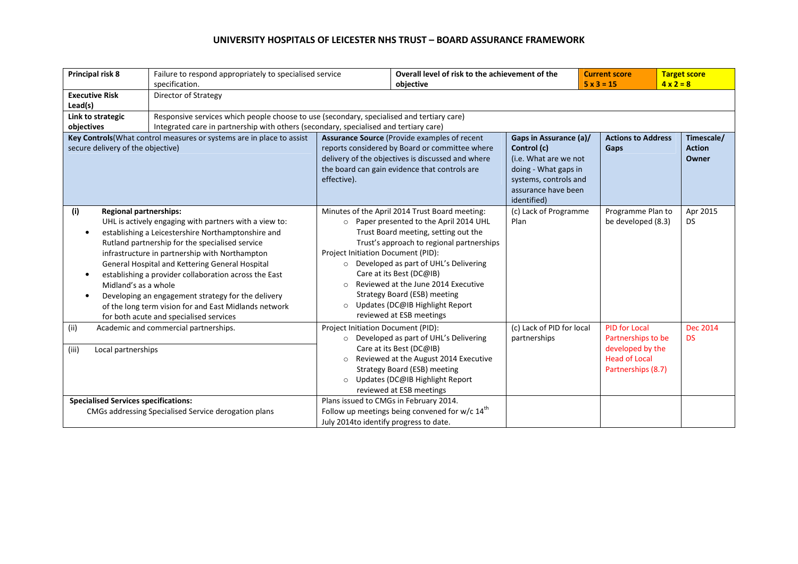| Principal risk 8                                                                                           | Failure to respond appropriately to specialised service<br>specification.                                                                                                                                                                                                                                                                                                                                                                                                               |                                                                                                                                                                                                                     | Overall level of risk to the achievement of the<br>objective                                                                                                                                                                                                                                                                                                                              |                                                                                                                                                       | <b>Current score</b><br>$5 \times 3 = 15$                                                                    | <b>Target score</b><br>$4 \times 2 = 8$ |  |
|------------------------------------------------------------------------------------------------------------|-----------------------------------------------------------------------------------------------------------------------------------------------------------------------------------------------------------------------------------------------------------------------------------------------------------------------------------------------------------------------------------------------------------------------------------------------------------------------------------------|---------------------------------------------------------------------------------------------------------------------------------------------------------------------------------------------------------------------|-------------------------------------------------------------------------------------------------------------------------------------------------------------------------------------------------------------------------------------------------------------------------------------------------------------------------------------------------------------------------------------------|-------------------------------------------------------------------------------------------------------------------------------------------------------|--------------------------------------------------------------------------------------------------------------|-----------------------------------------|--|
| <b>Executive Risk</b><br>Lead(s)                                                                           | Director of Strategy                                                                                                                                                                                                                                                                                                                                                                                                                                                                    |                                                                                                                                                                                                                     |                                                                                                                                                                                                                                                                                                                                                                                           |                                                                                                                                                       |                                                                                                              |                                         |  |
| Link to strategic<br>objectives                                                                            | Responsive services which people choose to use (secondary, specialised and tertiary care)<br>Integrated care in partnership with others (secondary, specialised and tertiary care)                                                                                                                                                                                                                                                                                                      |                                                                                                                                                                                                                     |                                                                                                                                                                                                                                                                                                                                                                                           |                                                                                                                                                       |                                                                                                              |                                         |  |
| Key Controls (What control measures or systems are in place to assist<br>secure delivery of the objective) |                                                                                                                                                                                                                                                                                                                                                                                                                                                                                         | Assurance Source (Provide examples of recent<br>reports considered by Board or committee where<br>delivery of the objectives is discussed and where<br>the board can gain evidence that controls are<br>effective). |                                                                                                                                                                                                                                                                                                                                                                                           | Gaps in Assurance (a)/<br>Control (c)<br>(i.e. What are we not<br>doing - What gaps in<br>systems, controls and<br>assurance have been<br>identified) | <b>Actions to Address</b><br>Gaps                                                                            | Timescale/<br><b>Action</b><br>Owner    |  |
| (i)<br><b>Regional partnerships:</b><br>Midland's as a whole                                               | UHL is actively engaging with partners with a view to:<br>establishing a Leicestershire Northamptonshire and<br>Rutland partnership for the specialised service<br>infrastructure in partnership with Northampton<br>General Hospital and Kettering General Hospital<br>establishing a provider collaboration across the East<br>Developing an engagement strategy for the delivery<br>of the long term vision for and East Midlands network<br>for both acute and specialised services | $\circ$<br>Project Initiation Document (PID):<br>$\circ$<br>$\circ$                                                                                                                                                 | Minutes of the April 2014 Trust Board meeting:<br>Paper presented to the April 2014 UHL<br>Trust Board meeting, setting out the<br>Trust's approach to regional partnerships<br>O Developed as part of UHL's Delivering<br>Care at its Best (DC@IB)<br>Reviewed at the June 2014 Executive<br>Strategy Board (ESB) meeting<br>Updates (DC@IB Highlight Report<br>reviewed at ESB meetings | (c) Lack of Programme<br>Plan                                                                                                                         | Programme Plan to<br>be developed (8.3)                                                                      | Apr 2015<br><b>DS</b>                   |  |
| (ii)<br>(iii)<br>Local partnerships                                                                        | Academic and commercial partnerships.                                                                                                                                                                                                                                                                                                                                                                                                                                                   | Project Initiation Document (PID):<br>$\circ$<br>$\circ$                                                                                                                                                            | O Developed as part of UHL's Delivering<br>Care at its Best (DC@IB)<br>Reviewed at the August 2014 Executive<br>Strategy Board (ESB) meeting<br>Updates (DC@IB Highlight Report<br>reviewed at ESB meetings                                                                                                                                                                               | (c) Lack of PID for local<br>partnerships                                                                                                             | <b>PID for Local</b><br>Partnerships to be<br>developed by the<br><b>Head of Local</b><br>Partnerships (8.7) | <b>Dec 2014</b><br><b>DS</b>            |  |
| <b>Specialised Services specifications:</b>                                                                | CMGs addressing Specialised Service derogation plans                                                                                                                                                                                                                                                                                                                                                                                                                                    | Plans issued to CMGs in February 2014.<br>July 2014 to identify progress to date.                                                                                                                                   | Follow up meetings being convened for w/c $14th$                                                                                                                                                                                                                                                                                                                                          |                                                                                                                                                       |                                                                                                              |                                         |  |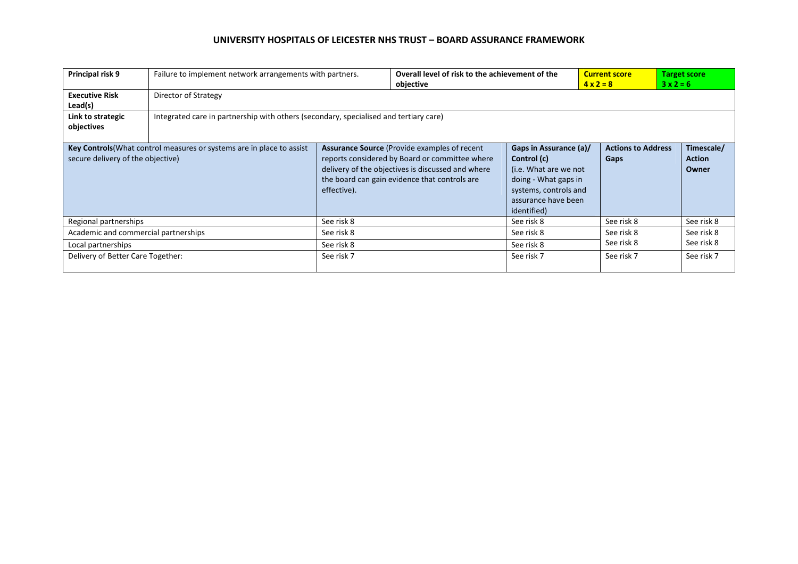| Principal risk 9                                                                                           | Failure to implement network arrangements with partners. |                                                                                                                                                                                                                             | objective | Overall level of risk to the achievement of the<br><b>Current score</b><br>$4 \times 2 = 8$                                                           |                                   | <b>Target score</b><br>$3x2=6$       |  |  |
|------------------------------------------------------------------------------------------------------------|----------------------------------------------------------|-----------------------------------------------------------------------------------------------------------------------------------------------------------------------------------------------------------------------------|-----------|-------------------------------------------------------------------------------------------------------------------------------------------------------|-----------------------------------|--------------------------------------|--|--|
| <b>Executive Risk</b><br>Lead(s)                                                                           | Director of Strategy                                     |                                                                                                                                                                                                                             |           |                                                                                                                                                       |                                   |                                      |  |  |
| Link to strategic<br>objectives                                                                            |                                                          | Integrated care in partnership with others (secondary, specialised and tertiary care)                                                                                                                                       |           |                                                                                                                                                       |                                   |                                      |  |  |
| Key Controls (What control measures or systems are in place to assist<br>secure delivery of the objective) |                                                          | <b>Assurance Source (Provide examples of recent)</b><br>reports considered by Board or committee where<br>delivery of the objectives is discussed and where<br>the board can gain evidence that controls are<br>effective). |           | Gaps in Assurance (a)/<br>Control (c)<br>(i.e. What are we not<br>doing - What gaps in<br>systems, controls and<br>assurance have been<br>identified) | <b>Actions to Address</b><br>Gaps | Timescale/<br><b>Action</b><br>Owner |  |  |
| Regional partnerships                                                                                      |                                                          | See risk 8                                                                                                                                                                                                                  |           | See risk 8                                                                                                                                            | See risk 8                        | See risk 8                           |  |  |
| Academic and commercial partnerships                                                                       |                                                          | See risk 8                                                                                                                                                                                                                  |           | See risk 8                                                                                                                                            | See risk 8                        | See risk 8                           |  |  |
| Local partnerships                                                                                         |                                                          | See risk 8                                                                                                                                                                                                                  |           | See risk 8                                                                                                                                            | See risk 8                        | See risk 8                           |  |  |
| Delivery of Better Care Together:                                                                          |                                                          | See risk 7                                                                                                                                                                                                                  |           | See risk 7                                                                                                                                            | See risk 7                        | See risk 7                           |  |  |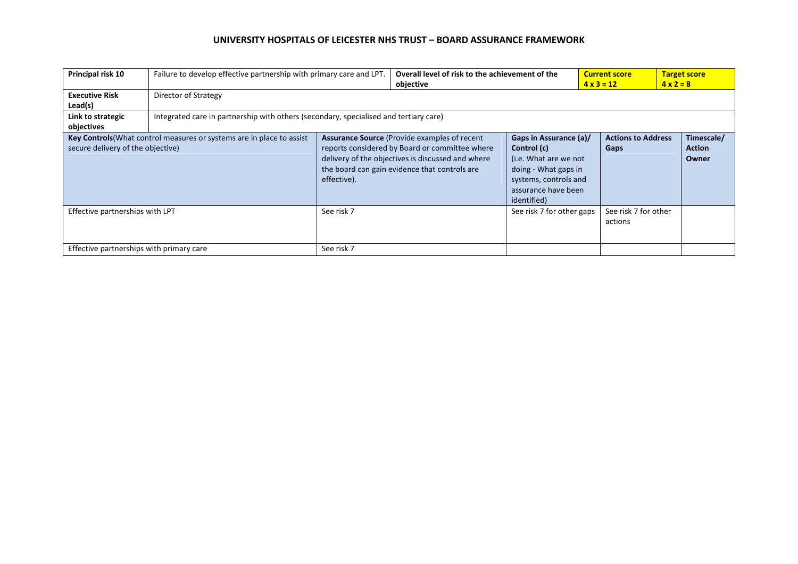| Principal risk 10                                                                                          | Failure to develop effective partnership with primary care and LPT. | Overall level of risk to the achievement of the<br>objective                                                                                                                                                        |  |                                                                                                                                                       | <b>Current score</b><br>$4 \times 3 = 12$ | <b>Target score</b><br>$4 \times 2 = 8$ |  |  |
|------------------------------------------------------------------------------------------------------------|---------------------------------------------------------------------|---------------------------------------------------------------------------------------------------------------------------------------------------------------------------------------------------------------------|--|-------------------------------------------------------------------------------------------------------------------------------------------------------|-------------------------------------------|-----------------------------------------|--|--|
| <b>Executive Risk</b><br>Lead(s)                                                                           | Director of Strategy                                                |                                                                                                                                                                                                                     |  |                                                                                                                                                       |                                           |                                         |  |  |
| Link to strategic<br>objectives                                                                            |                                                                     | Integrated care in partnership with others (secondary, specialised and tertiary care)                                                                                                                               |  |                                                                                                                                                       |                                           |                                         |  |  |
| Key Controls (What control measures or systems are in place to assist<br>secure delivery of the objective) |                                                                     | Assurance Source (Provide examples of recent<br>reports considered by Board or committee where<br>delivery of the objectives is discussed and where<br>the board can gain evidence that controls are<br>effective). |  | Gaps in Assurance (a)/<br>Control (c)<br>(i.e. What are we not<br>doing - What gaps in<br>systems, controls and<br>assurance have been<br>identified) | <b>Actions to Address</b><br>Gaps         | Timescale/<br><b>Action</b><br>Owner    |  |  |
| Effective partnerships with LPT                                                                            |                                                                     | See risk 7                                                                                                                                                                                                          |  | See risk 7 for other gaps                                                                                                                             | See risk 7 for other<br>actions           |                                         |  |  |
| Effective partnerships with primary care                                                                   |                                                                     | See risk 7                                                                                                                                                                                                          |  |                                                                                                                                                       |                                           |                                         |  |  |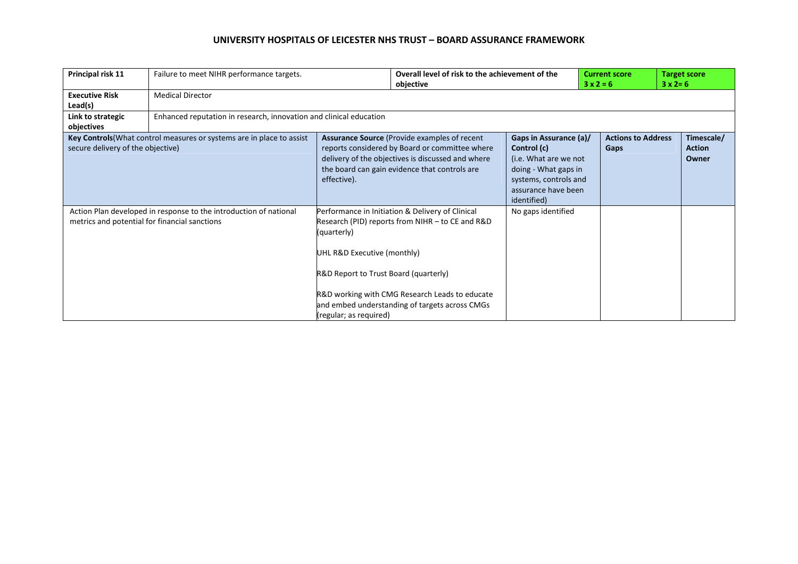| Principal risk 11                             | Failure to meet NIHR performance targets.                             |                                                                                                               | objective                                                                                                                                                                                                    | Overall level of risk to the achievement of the                                                                                                       |      | <b>Current score</b><br>$3 \times 2 = 6$ | <b>Target score</b>                  |
|-----------------------------------------------|-----------------------------------------------------------------------|---------------------------------------------------------------------------------------------------------------|--------------------------------------------------------------------------------------------------------------------------------------------------------------------------------------------------------------|-------------------------------------------------------------------------------------------------------------------------------------------------------|------|------------------------------------------|--------------------------------------|
| <b>Executive Risk</b><br>Lead(s)              | <b>Medical Director</b>                                               |                                                                                                               |                                                                                                                                                                                                              |                                                                                                                                                       |      |                                          |                                      |
| Link to strategic<br>objectives               | Enhanced reputation in research, innovation and clinical education    |                                                                                                               |                                                                                                                                                                                                              |                                                                                                                                                       |      |                                          |                                      |
| secure delivery of the objective)             | Key Controls (What control measures or systems are in place to assist | effective).                                                                                                   | <b>Assurance Source (Provide examples of recent)</b><br>reports considered by Board or committee where<br>delivery of the objectives is discussed and where<br>the board can gain evidence that controls are | Gaps in Assurance (a)/<br>Control (c)<br>(i.e. What are we not<br>doing - What gaps in<br>systems, controls and<br>assurance have been<br>identified) | Gaps | <b>Actions to Address</b>                | Timescale/<br><b>Action</b><br>Owner |
| metrics and potential for financial sanctions | Action Plan developed in response to the introduction of national     | (quarterly)<br>UHL R&D Executive (monthly)<br>R&D Report to Trust Board (quarterly)<br>(regular; as required) | Performance in Initiation & Delivery of Clinical<br>Research (PID) reports from NIHR - to CE and R&D<br>R&D working with CMG Research Leads to educate<br>and embed understanding of targets across CMGs     | No gaps identified                                                                                                                                    |      |                                          |                                      |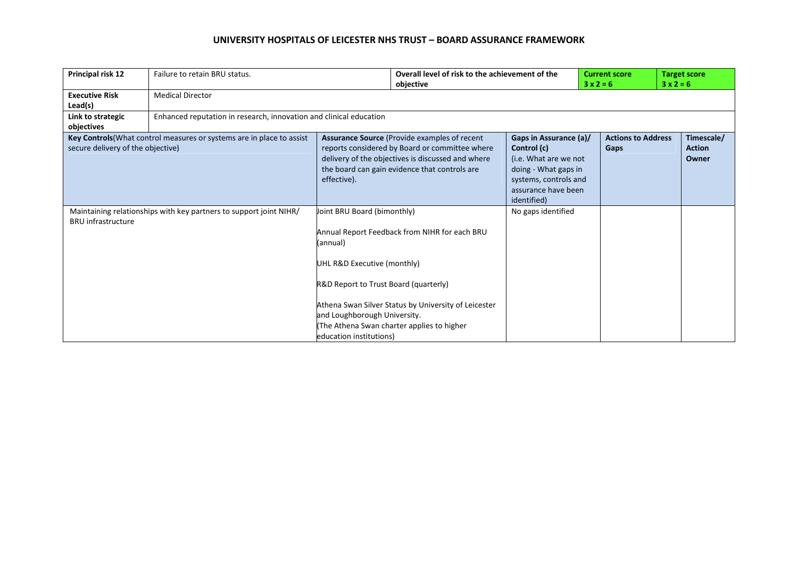| Principal risk 12                 | Failure to retain BRU status.                                         |                                                                                                                                                                            | Overall level of risk to the achievement of the                                                                                                                                                              |                                                                                                                                                       | <b>Current score</b><br>$3x2=6$ |                                   | <b>Target score</b>                  |  |
|-----------------------------------|-----------------------------------------------------------------------|----------------------------------------------------------------------------------------------------------------------------------------------------------------------------|--------------------------------------------------------------------------------------------------------------------------------------------------------------------------------------------------------------|-------------------------------------------------------------------------------------------------------------------------------------------------------|---------------------------------|-----------------------------------|--------------------------------------|--|
| <b>Executive Risk</b><br>Lead(s)  | <b>Medical Director</b>                                               |                                                                                                                                                                            | objective                                                                                                                                                                                                    |                                                                                                                                                       |                                 |                                   | $3x2=6$                              |  |
| Link to strategic<br>objectives   | Enhanced reputation in research, innovation and clinical education    |                                                                                                                                                                            |                                                                                                                                                                                                              |                                                                                                                                                       |                                 |                                   |                                      |  |
| secure delivery of the objective) | Key Controls (What control measures or systems are in place to assist | effective).                                                                                                                                                                | <b>Assurance Source (Provide examples of recent)</b><br>reports considered by Board or committee where<br>delivery of the objectives is discussed and where<br>the board can gain evidence that controls are | Gaps in Assurance (a)/<br>Control (c)<br>(i.e. What are we not<br>doing - What gaps in<br>systems, controls and<br>assurance have been<br>identified) |                                 | <b>Actions to Address</b><br>Gaps | Timescale/<br><b>Action</b><br>Owner |  |
| <b>BRU</b> infrastructure         | Maintaining relationships with key partners to support joint NIHR/    | Joint BRU Board (bimonthly)<br>(annual)<br>UHL R&D Executive (monthly)<br>R&D Report to Trust Board (quarterly)<br>and Loughborough University.<br>education institutions) | Annual Report Feedback from NIHR for each BRU<br>Athena Swan Silver Status by University of Leicester<br>The Athena Swan charter applies to higher                                                           | No gaps identified                                                                                                                                    |                                 |                                   |                                      |  |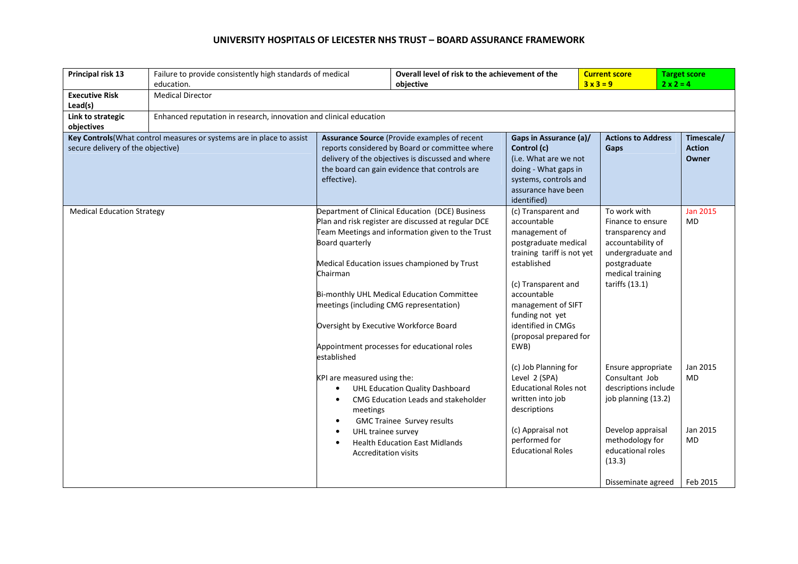| Principal risk 13                                                                                                        | education.                                                         | Failure to provide consistently high standards of medical                                                                                                                                                                   |                                                                                                                                                                                                                                                                                                         | Overall level of risk to the achievement of the<br><b>Current score</b><br>$3x3=9$<br>objective                                                                                                                                                                 |                                                                                                                                                                                  | <b>Target score</b><br>$2 \times 2 = 4$             |  |
|--------------------------------------------------------------------------------------------------------------------------|--------------------------------------------------------------------|-----------------------------------------------------------------------------------------------------------------------------------------------------------------------------------------------------------------------------|---------------------------------------------------------------------------------------------------------------------------------------------------------------------------------------------------------------------------------------------------------------------------------------------------------|-----------------------------------------------------------------------------------------------------------------------------------------------------------------------------------------------------------------------------------------------------------------|----------------------------------------------------------------------------------------------------------------------------------------------------------------------------------|-----------------------------------------------------|--|
| <b>Executive Risk</b><br>Lead(s)                                                                                         | <b>Medical Director</b>                                            |                                                                                                                                                                                                                             |                                                                                                                                                                                                                                                                                                         |                                                                                                                                                                                                                                                                 |                                                                                                                                                                                  |                                                     |  |
| Link to strategic                                                                                                        | Enhanced reputation in research, innovation and clinical education |                                                                                                                                                                                                                             |                                                                                                                                                                                                                                                                                                         |                                                                                                                                                                                                                                                                 |                                                                                                                                                                                  |                                                     |  |
| objectives<br>Key Controls (What control measures or systems are in place to assist<br>secure delivery of the objective) |                                                                    | <b>Assurance Source (Provide examples of recent)</b><br>reports considered by Board or committee where<br>delivery of the objectives is discussed and where<br>the board can gain evidence that controls are<br>effective). |                                                                                                                                                                                                                                                                                                         | Gaps in Assurance (a)/<br>Control (c)<br>(i.e. What are we not<br>doing - What gaps in<br>systems, controls and<br>assurance have been<br>identified)                                                                                                           | <b>Actions to Address</b><br>Gaps                                                                                                                                                | Timescale/<br><b>Action</b><br>Owner                |  |
| <b>Medical Education Strategy</b>                                                                                        |                                                                    | Board quarterly<br>Chairman<br>meetings (including CMG representation)<br>Oversight by Executive Workforce Board<br>established                                                                                             | Department of Clinical Education (DCE) Business<br>Plan and risk register are discussed at regular DCE<br>Team Meetings and information given to the Trust<br>Medical Education issues championed by Trust<br>Bi-monthly UHL Medical Education Committee<br>Appointment processes for educational roles | (c) Transparent and<br>accountable<br>management of<br>postgraduate medical<br>training tariff is not yet<br>established<br>(c) Transparent and<br>accountable<br>management of SIFT<br>funding not yet<br>identified in CMGs<br>(proposal prepared for<br>EWB) | To work with<br>Finance to ensure<br>transparency and<br>accountability of<br>undergraduate and<br>postgraduate<br>medical training<br>tariffs (13.1)                            | <b>Jan 2015</b><br>MD                               |  |
|                                                                                                                          |                                                                    | KPI are measured using the:<br>$\bullet$<br>$\bullet$<br>meetings<br>$\bullet$<br>UHL trainee survey<br>$\bullet$<br>$\bullet$<br><b>Accreditation visits</b>                                                               | UHL Education Quality Dashboard<br>CMG Education Leads and stakeholder<br><b>GMC Trainee Survey results</b><br><b>Health Education East Midlands</b>                                                                                                                                                    | (c) Job Planning for<br>Level 2 (SPA)<br><b>Educational Roles not</b><br>written into job<br>descriptions<br>(c) Appraisal not<br>performed for<br><b>Educational Roles</b>                                                                                     | Ensure appropriate<br>Consultant Job<br>descriptions include<br>job planning (13.2)<br>Develop appraisal<br>methodology for<br>educational roles<br>(13.3)<br>Disseminate agreed | Jan 2015<br><b>MD</b><br>Jan 2015<br>MD<br>Feb 2015 |  |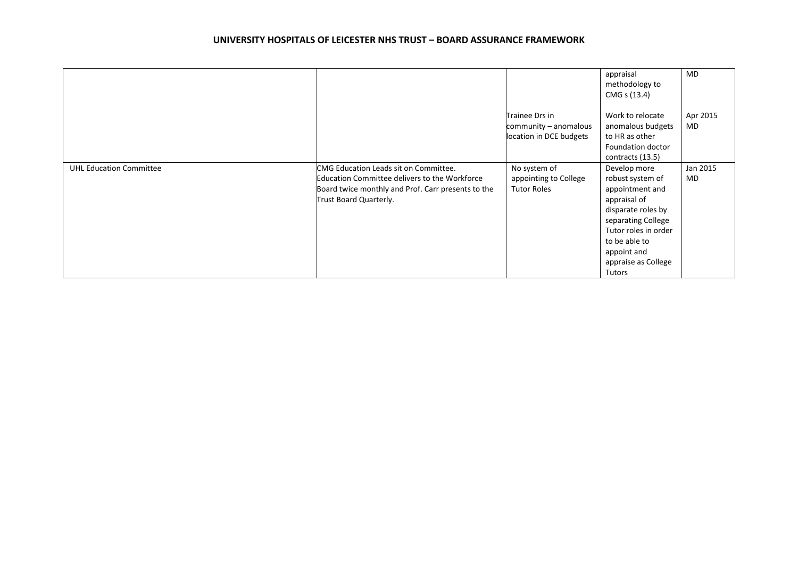|                                |                                                                                                                                                                        |                                                                    | appraisal<br>methodology to<br>CMG s (13.4)                                                                                                                                                              | MD             |
|--------------------------------|------------------------------------------------------------------------------------------------------------------------------------------------------------------------|--------------------------------------------------------------------|----------------------------------------------------------------------------------------------------------------------------------------------------------------------------------------------------------|----------------|
|                                |                                                                                                                                                                        | Trainee Drs in<br>community - anomalous<br>location in DCE budgets | Work to relocate<br>anomalous budgets<br>to HR as other<br>Foundation doctor<br>contracts (13.5)                                                                                                         | Apr 2015<br>MD |
| <b>UHL Education Committee</b> | CMG Education Leads sit on Committee.<br>Education Committee delivers to the Workforce<br>Board twice monthly and Prof. Carr presents to the<br>Trust Board Quarterly. | No system of<br>appointing to College<br><b>Tutor Roles</b>        | Develop more<br>robust system of<br>appointment and<br>appraisal of<br>disparate roles by<br>separating College<br>Tutor roles in order<br>to be able to<br>appoint and<br>appraise as College<br>Tutors | Jan 2015<br>MD |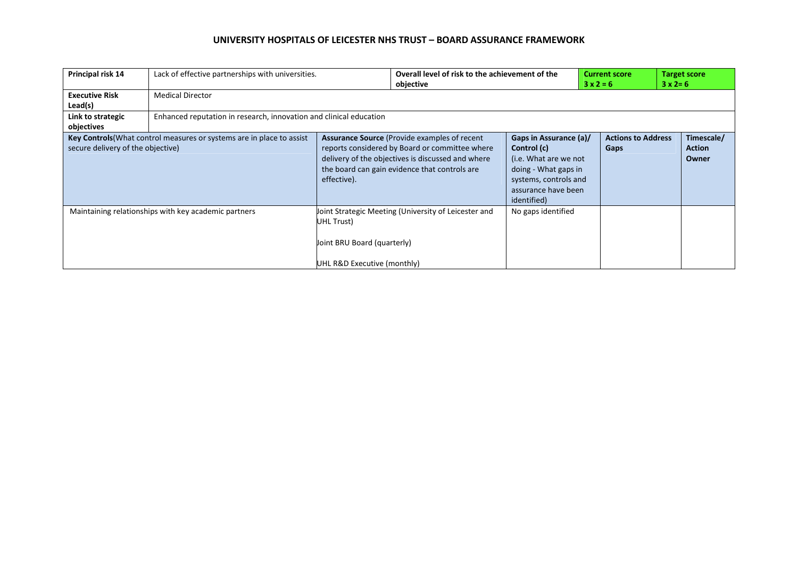| Principal risk 14                                                                                          |                                                      | Lack of effective partnerships with universities.                                                                                                                                                                           |                                                      | Overall level of risk to the achievement of the<br><b>Current score</b><br>$3x2=6$<br>objective                                                       |      | $3 \times 2 = 6$          | <b>Target score</b>                  |  |
|------------------------------------------------------------------------------------------------------------|------------------------------------------------------|-----------------------------------------------------------------------------------------------------------------------------------------------------------------------------------------------------------------------------|------------------------------------------------------|-------------------------------------------------------------------------------------------------------------------------------------------------------|------|---------------------------|--------------------------------------|--|
| <b>Executive Risk</b><br>Lead(s)                                                                           | <b>Medical Director</b>                              |                                                                                                                                                                                                                             |                                                      |                                                                                                                                                       |      |                           |                                      |  |
| Link to strategic<br>objectives                                                                            |                                                      | Enhanced reputation in research, innovation and clinical education                                                                                                                                                          |                                                      |                                                                                                                                                       |      |                           |                                      |  |
| Key Controls (What control measures or systems are in place to assist<br>secure delivery of the objective) |                                                      | <b>Assurance Source (Provide examples of recent)</b><br>reports considered by Board or committee where<br>delivery of the objectives is discussed and where<br>the board can gain evidence that controls are<br>effective). |                                                      | Gaps in Assurance (a)/<br>Control (c)<br>(i.e. What are we not<br>doing - What gaps in<br>systems, controls and<br>assurance have been<br>identified) | Gaps | <b>Actions to Address</b> | Timescale/<br><b>Action</b><br>Owner |  |
|                                                                                                            | Maintaining relationships with key academic partners | UHL Trust)<br>Joint BRU Board (quarterly)<br>UHL R&D Executive (monthly)                                                                                                                                                    | Joint Strategic Meeting (University of Leicester and | No gaps identified                                                                                                                                    |      |                           |                                      |  |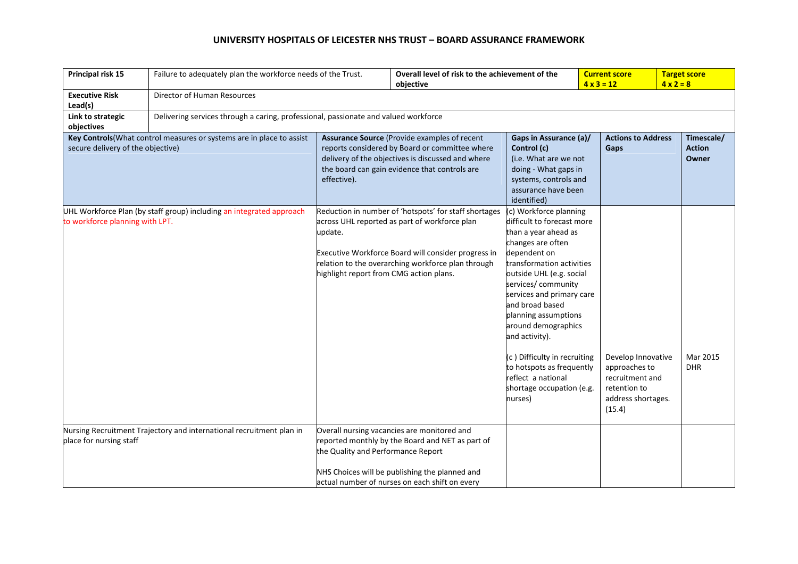| Principal risk 15                 | Failure to adequately plan the workforce needs of the Trust.                        |                                                    | Overall level of risk to the achievement of the<br>objective                                                                                                                                                        |                                                                                                                                                                                                                                                                                                                                                                                                                                              |  | <b>Current score</b><br>$4 \times 3 = 12$                                                              | <b>Target score</b><br>$4 \times 2 = 8$ |
|-----------------------------------|-------------------------------------------------------------------------------------|----------------------------------------------------|---------------------------------------------------------------------------------------------------------------------------------------------------------------------------------------------------------------------|----------------------------------------------------------------------------------------------------------------------------------------------------------------------------------------------------------------------------------------------------------------------------------------------------------------------------------------------------------------------------------------------------------------------------------------------|--|--------------------------------------------------------------------------------------------------------|-----------------------------------------|
| <b>Executive Risk</b><br>Lead(s)  | Director of Human Resources                                                         |                                                    |                                                                                                                                                                                                                     |                                                                                                                                                                                                                                                                                                                                                                                                                                              |  |                                                                                                        |                                         |
| Link to strategic<br>objectives   | Delivering services through a caring, professional, passionate and valued workforce |                                                    |                                                                                                                                                                                                                     |                                                                                                                                                                                                                                                                                                                                                                                                                                              |  |                                                                                                        |                                         |
| secure delivery of the objective) | Key Controls (What control measures or systems are in place to assist               | effective).                                        | Assurance Source (Provide examples of recent<br>reports considered by Board or committee where<br>delivery of the objectives is discussed and where<br>the board can gain evidence that controls are                | Gaps in Assurance (a)/<br>Control (c)<br>(i.e. What are we not<br>doing - What gaps in<br>systems, controls and<br>assurance have been<br>identified)                                                                                                                                                                                                                                                                                        |  | <b>Actions to Address</b><br>Gaps                                                                      | Timescale/<br><b>Action</b><br>Owner    |
| to workforce planning with LPT.   | UHL Workforce Plan (by staff group) including an integrated approach                | update.<br>highlight report from CMG action plans. | Reduction in number of 'hotspots' for staff shortages<br>across UHL reported as part of workforce plan<br>Executive Workforce Board will consider progress in<br>relation to the overarching workforce plan through | (c) Workforce planning<br>difficult to forecast more<br>than a year ahead as<br>changes are often<br>dependent on<br>transformation activities<br>outside UHL (e.g. social<br>services/community<br>services and primary care<br>and broad based<br>planning assumptions<br>around demographics<br>and activity).<br>(c) Difficulty in recruiting<br>to hotspots as frequently<br>reflect a national<br>shortage occupation (e.g.<br>nurses) |  | Develop Innovative<br>approaches to<br>recruitment and<br>retention to<br>address shortages.<br>(15.4) | Mar 2015<br><b>DHR</b>                  |
| place for nursing staff           | Nursing Recruitment Trajectory and international recruitment plan in                | the Quality and Performance Report                 | Overall nursing vacancies are monitored and<br>reported monthly by the Board and NET as part of<br>NHS Choices will be publishing the planned and<br>actual number of nurses on each shift on every                 |                                                                                                                                                                                                                                                                                                                                                                                                                                              |  |                                                                                                        |                                         |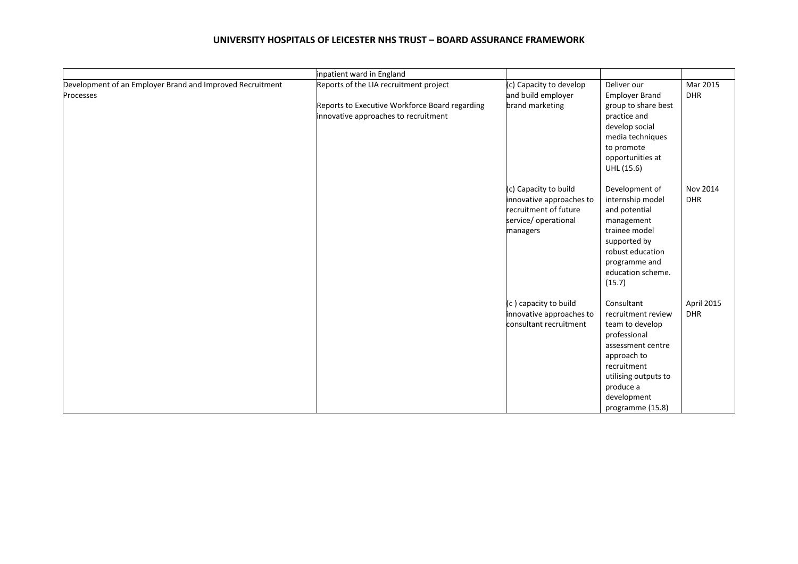|                                                                        | inpatient ward in England                                                                                                        |                                                                                                                |                                                                                                                                                                                                |                          |
|------------------------------------------------------------------------|----------------------------------------------------------------------------------------------------------------------------------|----------------------------------------------------------------------------------------------------------------|------------------------------------------------------------------------------------------------------------------------------------------------------------------------------------------------|--------------------------|
| Development of an Employer Brand and Improved Recruitment<br>Processes | Reports of the LIA recruitment project<br>Reports to Executive Workforce Board regarding<br>innovative approaches to recruitment | (c) Capacity to develop<br>and build employer<br>brand marketing                                               | Deliver our<br><b>Employer Brand</b><br>group to share best<br>practice and<br>develop social<br>media techniques<br>to promote<br>opportunities at<br>UHL (15.6)                              | Mar 2015<br><b>DHR</b>   |
|                                                                        |                                                                                                                                  | (c) Capacity to build<br>innovative approaches to<br>recruitment of future<br>service/ operational<br>managers | Development of<br>internship model<br>and potential<br>management<br>trainee model<br>supported by<br>robust education<br>programme and<br>education scheme.<br>(15.7)                         | Nov 2014<br><b>DHR</b>   |
|                                                                        |                                                                                                                                  | (c) capacity to build<br>innovative approaches to<br>consultant recruitment                                    | Consultant<br>recruitment review<br>team to develop<br>professional<br>assessment centre<br>approach to<br>recruitment<br>utilising outputs to<br>produce a<br>development<br>programme (15.8) | April 2015<br><b>DHR</b> |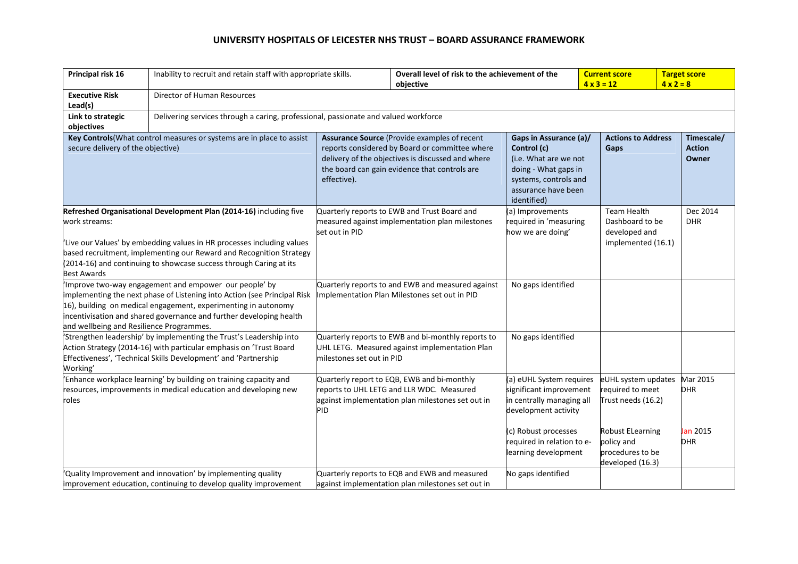| Principal risk 16                                                                                                                                                                                                                                                                                                               | Inability to recruit and retain staff with appropriate skills.                                                                                                                                                                                                             |                                                                                                                                                                                                                     | Overall level of risk to the achievement of the<br>objective                                                                                  |                                                                                                                                                       | <b>Current score</b><br>$4 \times 3 = 12$ |                                                                               | <b>Target score</b><br>$4 \times 2 = 8$ |
|---------------------------------------------------------------------------------------------------------------------------------------------------------------------------------------------------------------------------------------------------------------------------------------------------------------------------------|----------------------------------------------------------------------------------------------------------------------------------------------------------------------------------------------------------------------------------------------------------------------------|---------------------------------------------------------------------------------------------------------------------------------------------------------------------------------------------------------------------|-----------------------------------------------------------------------------------------------------------------------------------------------|-------------------------------------------------------------------------------------------------------------------------------------------------------|-------------------------------------------|-------------------------------------------------------------------------------|-----------------------------------------|
| <b>Executive Risk</b><br>Lead(s)                                                                                                                                                                                                                                                                                                | Director of Human Resources                                                                                                                                                                                                                                                |                                                                                                                                                                                                                     |                                                                                                                                               |                                                                                                                                                       |                                           |                                                                               |                                         |
| Link to strategic<br>objectives                                                                                                                                                                                                                                                                                                 | Delivering services through a caring, professional, passionate and valued workforce                                                                                                                                                                                        |                                                                                                                                                                                                                     |                                                                                                                                               |                                                                                                                                                       |                                           |                                                                               |                                         |
| Key Controls (What control measures or systems are in place to assist<br>secure delivery of the objective)                                                                                                                                                                                                                      |                                                                                                                                                                                                                                                                            | Assurance Source (Provide examples of recent<br>reports considered by Board or committee where<br>delivery of the objectives is discussed and where<br>the board can gain evidence that controls are<br>effective). |                                                                                                                                               | Gaps in Assurance (a)/<br>Control (c)<br>(i.e. What are we not<br>doing - What gaps in<br>systems, controls and<br>assurance have been<br>identified) |                                           | <b>Actions to Address</b><br>Gaps                                             | Timescale/<br><b>Action</b><br>Owner    |
| Refreshed Organisational Development Plan (2014-16) including five<br>work streams:<br>Live our Values' by embedding values in HR processes including values<br>based recruitment, implementing our Reward and Recognition Strategy<br>(2014-16) and continuing to showcase success through Caring at its<br><b>Best Awards</b> |                                                                                                                                                                                                                                                                            | set out in PID                                                                                                                                                                                                      | Quarterly reports to EWB and Trust Board and<br>measured against implementation plan milestones                                               | (a) Improvements<br>required in 'measuring<br>how we are doing'                                                                                       |                                           | Team Health<br>Dashboard to be<br>developed and<br>implemented (16.1)         | Dec 2014<br><b>DHR</b>                  |
| and wellbeing and Resilience Programmes.                                                                                                                                                                                                                                                                                        | Improve two-way engagement and empower our people' by<br>implementing the next phase of Listening into Action (see Principal Risk<br>16), building on medical engagement, experimenting in autonomy<br>incentivisation and shared governance and further developing health |                                                                                                                                                                                                                     | Quarterly reports to and EWB and measured against<br>Implementation Plan Milestones set out in PID                                            | No gaps identified                                                                                                                                    |                                           |                                                                               |                                         |
| Working'                                                                                                                                                                                                                                                                                                                        | Strengthen leadership' by implementing the Trust's Leadership into<br>Action Strategy (2014-16) with particular emphasis on 'Trust Board<br>Effectiveness', 'Technical Skills Development' and 'Partnership                                                                | milestones set out in PID                                                                                                                                                                                           | Quarterly reports to EWB and bi-monthly reports to<br>UHL LETG. Measured against implementation Plan                                          | No gaps identified                                                                                                                                    |                                           |                                                                               |                                         |
| Enhance workplace learning' by building on training capacity and<br>resources, improvements in medical education and developing new<br>roles                                                                                                                                                                                    |                                                                                                                                                                                                                                                                            | PID                                                                                                                                                                                                                 | Quarterly report to EQB, EWB and bi-monthly<br>reports to UHL LETG and LLR WDC. Measured<br>against implementation plan milestones set out in | (a) eUHL System requires<br>significant improvement<br>in centrally managing all<br>development activity                                              |                                           | eUHL system updates<br>required to meet<br>Trust needs (16.2)                 | Mar 2015<br><b>DHR</b>                  |
|                                                                                                                                                                                                                                                                                                                                 |                                                                                                                                                                                                                                                                            |                                                                                                                                                                                                                     |                                                                                                                                               | (c) Robust processes<br>required in relation to e-<br>learning development                                                                            |                                           | <b>Robust ELearning</b><br>policy and<br>procedures to be<br>developed (16.3) | Jan 2015<br><b>DHR</b>                  |
|                                                                                                                                                                                                                                                                                                                                 | Quality Improvement and innovation' by implementing quality<br>improvement education, continuing to develop quality improvement                                                                                                                                            |                                                                                                                                                                                                                     | Quarterly reports to EQB and EWB and measured<br>against implementation plan milestones set out in                                            | No gaps identified                                                                                                                                    |                                           |                                                                               |                                         |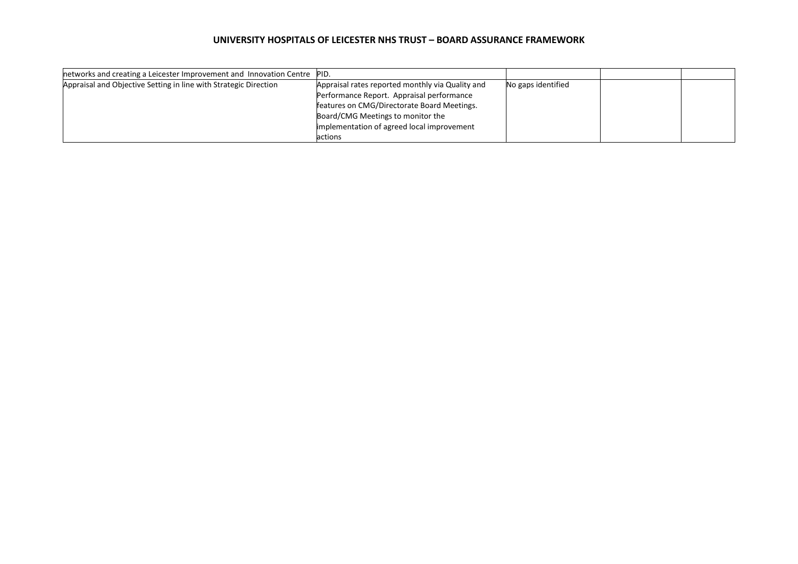| networks and creating a Leicester Improvement and Innovation Centre PID. |                                                  |                    |  |
|--------------------------------------------------------------------------|--------------------------------------------------|--------------------|--|
| Appraisal and Objective Setting in line with Strategic Direction         | Appraisal rates reported monthly via Quality and | No gaps identified |  |
|                                                                          | Performance Report. Appraisal performance        |                    |  |
|                                                                          | features on CMG/Directorate Board Meetings.      |                    |  |
|                                                                          | Board/CMG Meetings to monitor the                |                    |  |
|                                                                          | implementation of agreed local improvement       |                    |  |
|                                                                          | actions                                          |                    |  |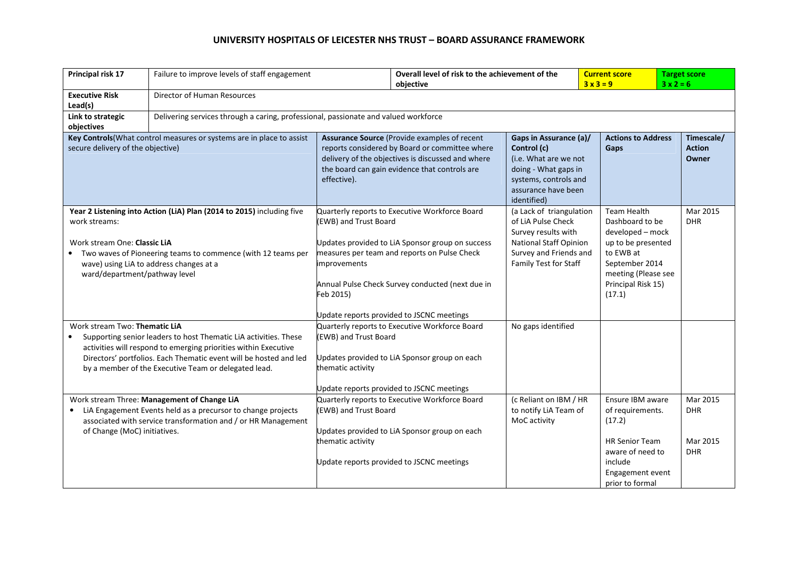| Principal risk 17                                                                                                                                                                                                                                                                                                                                                                                                                   | Failure to improve levels of staff engagement                                                                                                                                                                              |                                                                                                                                                                                                                     | Overall level of risk to the achievement of the<br>objective                                                                                              |                                                                                                                                                       | <b>Current score</b><br>$3x3=9$                                                                                                                                       |                                                                                                                                               | <b>Target score</b><br>$3x2=6$                   |
|-------------------------------------------------------------------------------------------------------------------------------------------------------------------------------------------------------------------------------------------------------------------------------------------------------------------------------------------------------------------------------------------------------------------------------------|----------------------------------------------------------------------------------------------------------------------------------------------------------------------------------------------------------------------------|---------------------------------------------------------------------------------------------------------------------------------------------------------------------------------------------------------------------|-----------------------------------------------------------------------------------------------------------------------------------------------------------|-------------------------------------------------------------------------------------------------------------------------------------------------------|-----------------------------------------------------------------------------------------------------------------------------------------------------------------------|-----------------------------------------------------------------------------------------------------------------------------------------------|--------------------------------------------------|
| <b>Executive Risk</b><br>Lead(s)                                                                                                                                                                                                                                                                                                                                                                                                    | Director of Human Resources                                                                                                                                                                                                |                                                                                                                                                                                                                     |                                                                                                                                                           |                                                                                                                                                       |                                                                                                                                                                       |                                                                                                                                               |                                                  |
| Link to strategic<br>objectives                                                                                                                                                                                                                                                                                                                                                                                                     | Delivering services through a caring, professional, passionate and valued workforce                                                                                                                                        |                                                                                                                                                                                                                     |                                                                                                                                                           |                                                                                                                                                       |                                                                                                                                                                       |                                                                                                                                               |                                                  |
| Key Controls (What control measures or systems are in place to assist<br>secure delivery of the objective)                                                                                                                                                                                                                                                                                                                          |                                                                                                                                                                                                                            | Assurance Source (Provide examples of recent<br>reports considered by Board or committee where<br>delivery of the objectives is discussed and where<br>the board can gain evidence that controls are<br>effective). |                                                                                                                                                           | Gaps in Assurance (a)/<br>Control (c)<br>(i.e. What are we not<br>doing - What gaps in<br>systems, controls and<br>assurance have been<br>identified) |                                                                                                                                                                       | <b>Actions to Address</b><br>Gaps                                                                                                             | Timescale/<br><b>Action</b><br>Owner             |
| Year 2 Listening into Action (LiA) Plan (2014 to 2015) including five<br>Quarterly reports to Executive Workforce Board<br>(EWB) and Trust Board<br>work streams:<br>Work stream One: Classic LiA<br>measures per team and reports on Pulse Check<br>• Two waves of Pioneering teams to commence (with 12 teams per<br>wave) using LiA to address changes at a<br><i>improvements</i><br>ward/department/pathway level<br>Feb 2015) |                                                                                                                                                                                                                            | Updates provided to LiA Sponsor group on success<br>Annual Pulse Check Survey conducted (next due in<br>Update reports provided to JSCNC meetings                                                                   | (a Lack of triangulation<br>of LiA Pulse Check<br>Survey results with<br><b>National Staff Opinion</b><br>Survey and Friends and<br>Family Test for Staff |                                                                                                                                                       | <b>Team Health</b><br>Dashboard to be<br>developed - mock<br>up to be presented<br>to EWB at<br>September 2014<br>meeting (Please see<br>Principal Risk 15)<br>(17.1) | Mar 2015<br><b>DHR</b>                                                                                                                        |                                                  |
| Work stream Two: Thematic LiA<br>Supporting senior leaders to host Thematic LiA activities. These<br>$\bullet$<br>activities will respond to emerging priorities within Executive<br>Directors' portfolios. Each Thematic event will be hosted and led<br>by a member of the Executive Team or delegated lead.                                                                                                                      |                                                                                                                                                                                                                            | Quarterly reports to Executive Workforce Board<br>(EWB) and Trust Board<br>Updates provided to LiA Sponsor group on each<br>thematic activity<br>Update reports provided to JSCNC meetings                          |                                                                                                                                                           | No gaps identified                                                                                                                                    |                                                                                                                                                                       |                                                                                                                                               |                                                  |
| $\bullet$<br>of Change (MoC) initiatives.                                                                                                                                                                                                                                                                                                                                                                                           | Work stream Three: Management of Change LiA<br>(EWB) and Trust Board<br>LiA Engagement Events held as a precursor to change projects<br>associated with service transformation and / or HR Management<br>thematic activity |                                                                                                                                                                                                                     | Quarterly reports to Executive Workforce Board<br>Updates provided to LiA Sponsor group on each<br>Update reports provided to JSCNC meetings              | (c Reliant on IBM / HR<br>to notify LiA Team of<br>MoC activity                                                                                       |                                                                                                                                                                       | Ensure IBM aware<br>of requirements.<br>(17.2)<br><b>HR Senior Team</b><br>aware of need to<br>include<br>Engagement event<br>prior to formal | Mar 2015<br><b>DHR</b><br>Mar 2015<br><b>DHR</b> |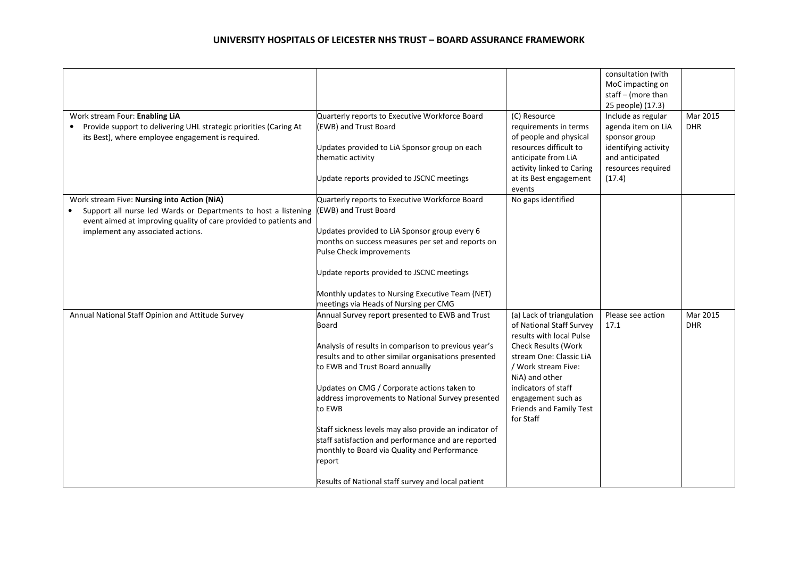| Work stream Four: Enabling LiA                                                                                                                                                                                                       | Quarterly reports to Executive Workforce Board                                                                                                                                                                                                                                                                                                                                                                                                                                                                                                             | (C) Resource                                                                                                                                                                                                                                                      | consultation (with<br>MoC impacting on<br>staff - (more than<br>25 people) (17.3)<br>Include as regular | Mar 2015               |
|--------------------------------------------------------------------------------------------------------------------------------------------------------------------------------------------------------------------------------------|------------------------------------------------------------------------------------------------------------------------------------------------------------------------------------------------------------------------------------------------------------------------------------------------------------------------------------------------------------------------------------------------------------------------------------------------------------------------------------------------------------------------------------------------------------|-------------------------------------------------------------------------------------------------------------------------------------------------------------------------------------------------------------------------------------------------------------------|---------------------------------------------------------------------------------------------------------|------------------------|
| Provide support to delivering UHL strategic priorities (Caring At<br>its Best), where employee engagement is required.                                                                                                               | (EWB) and Trust Board<br>Updates provided to LiA Sponsor group on each<br>thematic activity                                                                                                                                                                                                                                                                                                                                                                                                                                                                | requirements in terms<br>of people and physical<br>resources difficult to<br>anticipate from LiA<br>activity linked to Caring                                                                                                                                     | agenda item on LiA<br>sponsor group<br>identifying activity<br>and anticipated<br>resources required    | <b>DHR</b>             |
|                                                                                                                                                                                                                                      | Update reports provided to JSCNC meetings                                                                                                                                                                                                                                                                                                                                                                                                                                                                                                                  | at its Best engagement<br>events                                                                                                                                                                                                                                  | (17.4)                                                                                                  |                        |
| Work stream Five: Nursing into Action (NiA)<br>Support all nurse led Wards or Departments to host a listening<br>$\bullet$<br>event aimed at improving quality of care provided to patients and<br>implement any associated actions. | Quarterly reports to Executive Workforce Board<br>(EWB) and Trust Board<br>Updates provided to LiA Sponsor group every 6<br>months on success measures per set and reports on<br>Pulse Check improvements<br>Update reports provided to JSCNC meetings<br>Monthly updates to Nursing Executive Team (NET)<br>meetings via Heads of Nursing per CMG                                                                                                                                                                                                         | No gaps identified                                                                                                                                                                                                                                                |                                                                                                         |                        |
| Annual National Staff Opinion and Attitude Survey                                                                                                                                                                                    | Annual Survey report presented to EWB and Trust<br>Board<br>Analysis of results in comparison to previous year's<br>results and to other similar organisations presented<br>to EWB and Trust Board annually<br>Updates on CMG / Corporate actions taken to<br>address improvements to National Survey presented<br>to EWB<br>Staff sickness levels may also provide an indicator of<br>staff satisfaction and performance and are reported<br>monthly to Board via Quality and Performance<br>report<br>Results of National staff survey and local patient | (a) Lack of triangulation<br>of National Staff Survey<br>results with local Pulse<br>Check Results (Work<br>stream One: Classic LiA<br>/ Work stream Five:<br>NiA) and other<br>indicators of staff<br>engagement such as<br>Friends and Family Test<br>for Staff | Please see action<br>17.1                                                                               | Mar 2015<br><b>DHR</b> |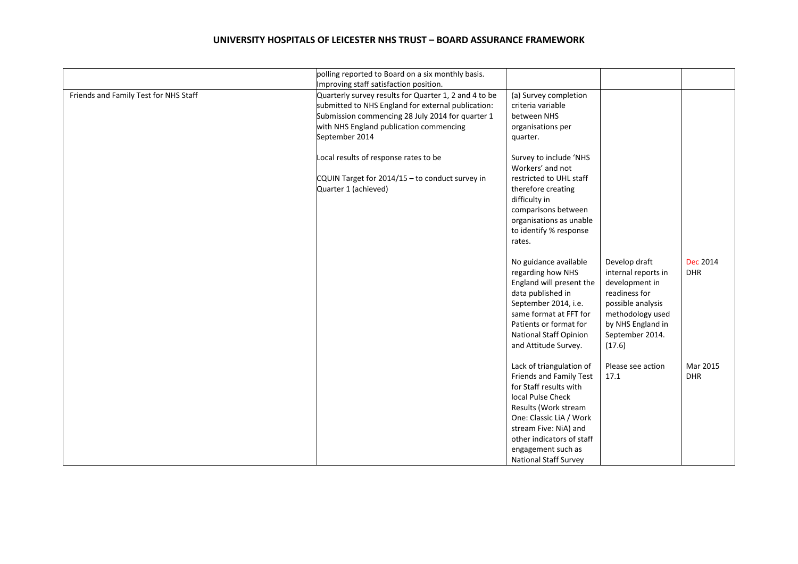|                                       | polling reported to Board on a six monthly basis.                                                                                                                                                                            |                                                                                                                                                                                                                                                                   |                                                                                                                                                                    |                               |
|---------------------------------------|------------------------------------------------------------------------------------------------------------------------------------------------------------------------------------------------------------------------------|-------------------------------------------------------------------------------------------------------------------------------------------------------------------------------------------------------------------------------------------------------------------|--------------------------------------------------------------------------------------------------------------------------------------------------------------------|-------------------------------|
|                                       | Improving staff satisfaction position.                                                                                                                                                                                       |                                                                                                                                                                                                                                                                   |                                                                                                                                                                    |                               |
| Friends and Family Test for NHS Staff | Quarterly survey results for Quarter 1, 2 and 4 to be<br>submitted to NHS England for external publication:<br>Submission commencing 28 July 2014 for quarter 1<br>with NHS England publication commencing<br>September 2014 | (a) Survey completion<br>criteria variable<br>between NHS<br>organisations per<br>quarter.                                                                                                                                                                        |                                                                                                                                                                    |                               |
|                                       | Local results of response rates to be<br>CQUIN Target for 2014/15 - to conduct survey in<br>Quarter 1 (achieved)                                                                                                             | Survey to include 'NHS<br>Workers' and not<br>restricted to UHL staff<br>therefore creating<br>difficulty in<br>comparisons between<br>organisations as unable<br>to identify % response<br>rates.                                                                |                                                                                                                                                                    |                               |
|                                       |                                                                                                                                                                                                                              | No guidance available<br>regarding how NHS<br>England will present the<br>data published in<br>September 2014, i.e.<br>same format at FFT for<br>Patients or format for<br>National Staff Opinion<br>and Attitude Survey.                                         | Develop draft<br>internal reports in<br>development in<br>readiness for<br>possible analysis<br>methodology used<br>by NHS England in<br>September 2014.<br>(17.6) | <b>Dec 2014</b><br><b>DHR</b> |
|                                       |                                                                                                                                                                                                                              | Lack of triangulation of<br>Friends and Family Test<br>for Staff results with<br>local Pulse Check<br>Results (Work stream<br>One: Classic LiA / Work<br>stream Five: NiA) and<br>other indicators of staff<br>engagement such as<br><b>National Staff Survey</b> | Please see action<br>17.1                                                                                                                                          | Mar 2015<br><b>DHR</b>        |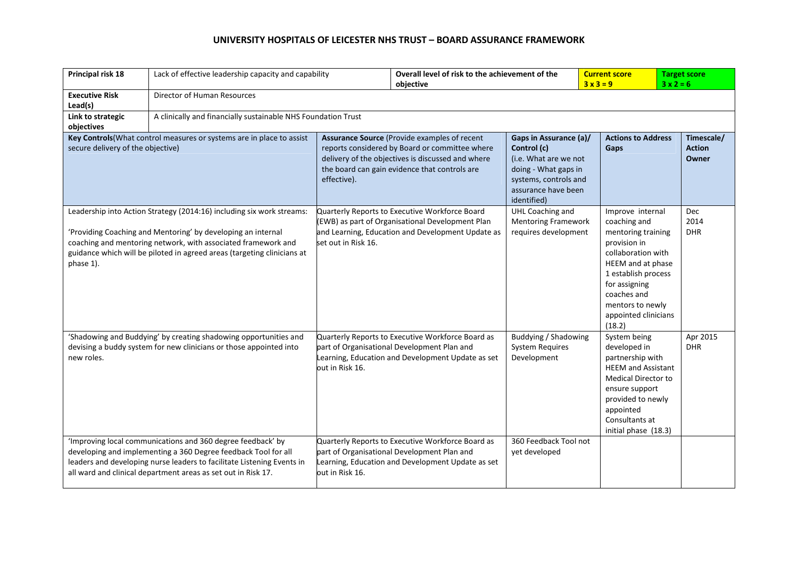| Principal risk 18                                                                                                                                                                                                                                                                              | Lack of effective leadership capacity and capability                                                                                                                                                                                                                     |                                                                                                                                                                                                                     | Overall level of risk to the achievement of the<br>objective                                                                                          |                                                                                                                                                       | <b>Current score</b><br>$3x3=9$                                        |                                                                                                                                                      | <b>Target score</b><br>$3x2=6$       |  |
|------------------------------------------------------------------------------------------------------------------------------------------------------------------------------------------------------------------------------------------------------------------------------------------------|--------------------------------------------------------------------------------------------------------------------------------------------------------------------------------------------------------------------------------------------------------------------------|---------------------------------------------------------------------------------------------------------------------------------------------------------------------------------------------------------------------|-------------------------------------------------------------------------------------------------------------------------------------------------------|-------------------------------------------------------------------------------------------------------------------------------------------------------|------------------------------------------------------------------------|------------------------------------------------------------------------------------------------------------------------------------------------------|--------------------------------------|--|
| <b>Executive Risk</b><br>Lead(s)                                                                                                                                                                                                                                                               | Director of Human Resources                                                                                                                                                                                                                                              |                                                                                                                                                                                                                     |                                                                                                                                                       |                                                                                                                                                       |                                                                        |                                                                                                                                                      |                                      |  |
| Link to strategic<br>objectives                                                                                                                                                                                                                                                                |                                                                                                                                                                                                                                                                          | A clinically and financially sustainable NHS Foundation Trust                                                                                                                                                       |                                                                                                                                                       |                                                                                                                                                       |                                                                        |                                                                                                                                                      |                                      |  |
| Key Controls (What control measures or systems are in place to assist<br>secure delivery of the objective)                                                                                                                                                                                     |                                                                                                                                                                                                                                                                          | Assurance Source (Provide examples of recent<br>reports considered by Board or committee where<br>delivery of the objectives is discussed and where<br>the board can gain evidence that controls are<br>effective). |                                                                                                                                                       | Gaps in Assurance (a)/<br>Control (c)<br>(i.e. What are we not<br>doing - What gaps in<br>systems, controls and<br>assurance have been<br>identified) | Gaps                                                                   | <b>Actions to Address</b>                                                                                                                            | Timescale/<br><b>Action</b><br>Owner |  |
| Leadership into Action Strategy (2014:16) including six work streams:<br>'Providing Coaching and Mentoring' by developing an internal<br>coaching and mentoring network, with associated framework and<br>guidance which will be piloted in agreed areas (targeting clinicians at<br>phase 1). |                                                                                                                                                                                                                                                                          | Quarterly Reports to Executive Workforce Board<br>(EWB) as part of Organisational Development Plan<br>and Learning, Education and Development Update as<br>set out in Risk 16.                                      |                                                                                                                                                       | UHL Coaching and<br><b>Mentoring Framework</b><br>requires development                                                                                | coaching and<br>provision in<br>for assigning<br>coaches and<br>(18.2) | Improve internal<br>mentoring training<br>collaboration with<br>HEEM and at phase<br>1 establish process<br>mentors to newly<br>appointed clinicians | Dec<br>2014<br><b>DHR</b>            |  |
| 'Shadowing and Buddying' by creating shadowing opportunities and<br>devising a buddy system for new clinicians or those appointed into<br>new roles.                                                                                                                                           |                                                                                                                                                                                                                                                                          | Quarterly Reports to Executive Workforce Board as<br>part of Organisational Development Plan and<br>Learning, Education and Development Update as set<br>out in Risk 16.                                            |                                                                                                                                                       | Buddying / Shadowing<br><b>System Requires</b><br>Development                                                                                         | System being<br>developed in<br>appointed<br>Consultants at            | partnership with<br><b>HEEM</b> and Assistant<br>Medical Director to<br>ensure support<br>provided to newly<br>initial phase (18.3)                  | Apr 2015<br><b>DHR</b>               |  |
|                                                                                                                                                                                                                                                                                                | 'Improving local communications and 360 degree feedback' by<br>developing and implementing a 360 Degree feedback Tool for all<br>leaders and developing nurse leaders to facilitate Listening Events in<br>all ward and clinical department areas as set out in Risk 17. | out in Risk 16.                                                                                                                                                                                                     | Quarterly Reports to Executive Workforce Board as<br>part of Organisational Development Plan and<br>Learning, Education and Development Update as set | 360 Feedback Tool not<br>yet developed                                                                                                                |                                                                        |                                                                                                                                                      |                                      |  |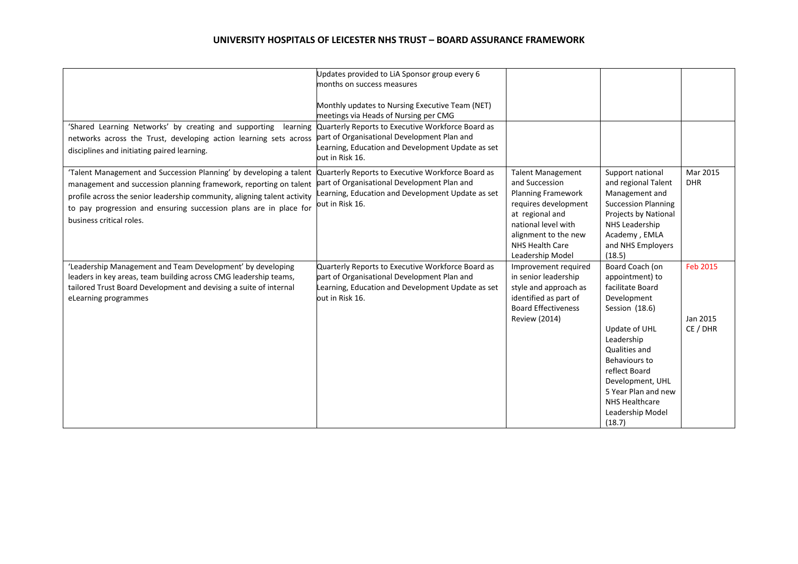| 'Shared Learning Networks' by creating and supporting<br>learning<br>networks across the Trust, developing action learning sets across<br>disciplines and initiating paired learning.                                                                                                                                | Updates provided to LiA Sponsor group every 6<br>months on success measures<br>Monthly updates to Nursing Executive Team (NET)<br>meetings via Heads of Nursing per CMG<br>Quarterly Reports to Executive Workforce Board as<br>part of Organisational Development Plan and<br>earning, Education and Development Update as set<br>out in Risk 16. |                                                                                                                                                                                                          |                                                                                                                                                                                                                                                                                    |                                         |
|----------------------------------------------------------------------------------------------------------------------------------------------------------------------------------------------------------------------------------------------------------------------------------------------------------------------|----------------------------------------------------------------------------------------------------------------------------------------------------------------------------------------------------------------------------------------------------------------------------------------------------------------------------------------------------|----------------------------------------------------------------------------------------------------------------------------------------------------------------------------------------------------------|------------------------------------------------------------------------------------------------------------------------------------------------------------------------------------------------------------------------------------------------------------------------------------|-----------------------------------------|
| 'Talent Management and Succession Planning' by developing a talent<br>management and succession planning framework, reporting on talent<br>profile across the senior leadership community, aligning talent activity<br>to pay progression and ensuring succession plans are in place for<br>business critical roles. | Quarterly Reports to Executive Workforce Board as<br>part of Organisational Development Plan and<br>earning, Education and Development Update as set<br>out in Risk 16.                                                                                                                                                                            | <b>Talent Management</b><br>and Succession<br><b>Planning Framework</b><br>requires development<br>at regional and<br>national level with<br>alignment to the new<br>NHS Health Care<br>Leadership Model | Support national<br>and regional Talent<br>Management and<br><b>Succession Planning</b><br>Projects by National<br>NHS Leadership<br>Academy, EMLA<br>and NHS Employers<br>(18.5)                                                                                                  | Mar 2015<br><b>DHR</b>                  |
| 'Leadership Management and Team Development' by developing<br>leaders in key areas, team building across CMG leadership teams,<br>tailored Trust Board Development and devising a suite of internal<br>eLearning programmes                                                                                          | Quarterly Reports to Executive Workforce Board as<br>part of Organisational Development Plan and<br>earning, Education and Development Update as set<br>out in Risk 16.                                                                                                                                                                            | Improvement required<br>in senior leadership<br>style and approach as<br>identified as part of<br><b>Board Effectiveness</b><br><b>Review (2014)</b>                                                     | Board Coach (on<br>appointment) to<br>facilitate Board<br>Development<br>Session (18.6)<br>Update of UHL<br>Leadership<br>Qualities and<br><b>Behaviours to</b><br>reflect Board<br>Development, UHL<br>5 Year Plan and new<br><b>NHS Healthcare</b><br>Leadership Model<br>(18.7) | <b>Feb 2015</b><br>Jan 2015<br>CE / DHR |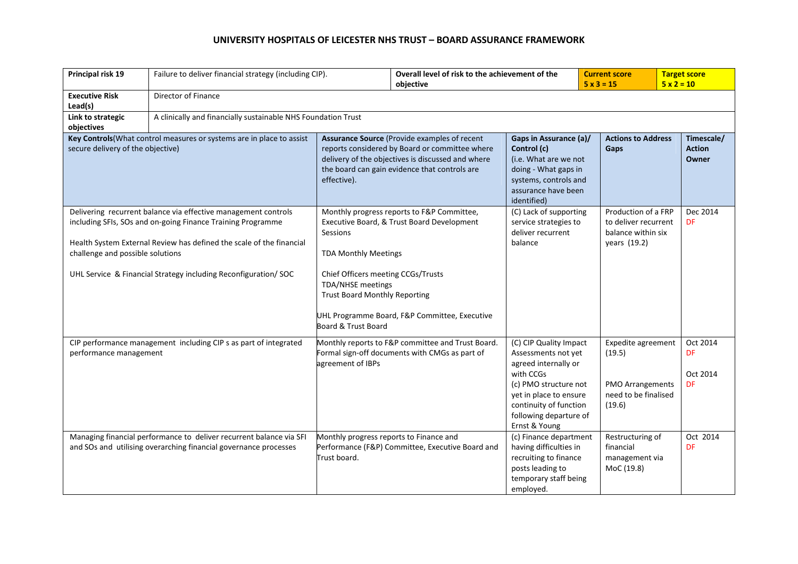| Principal risk 19                                                                                                                                                                                                                                                                                           | Failure to deliver financial strategy (including CIP).                                                                                  |                                                                                                                                                                                                                                                                                                                                  | Overall level of risk to the achievement of the<br>objective |                                                                                                                                                                                                            | <b>Current score</b><br>$5 \times 3 = 15$ |                                                                                           | <b>Target score</b><br>$5 x 2 = 10$  |  |
|-------------------------------------------------------------------------------------------------------------------------------------------------------------------------------------------------------------------------------------------------------------------------------------------------------------|-----------------------------------------------------------------------------------------------------------------------------------------|----------------------------------------------------------------------------------------------------------------------------------------------------------------------------------------------------------------------------------------------------------------------------------------------------------------------------------|--------------------------------------------------------------|------------------------------------------------------------------------------------------------------------------------------------------------------------------------------------------------------------|-------------------------------------------|-------------------------------------------------------------------------------------------|--------------------------------------|--|
| <b>Executive Risk</b><br>Lead(s)                                                                                                                                                                                                                                                                            | Director of Finance                                                                                                                     |                                                                                                                                                                                                                                                                                                                                  |                                                              |                                                                                                                                                                                                            |                                           |                                                                                           |                                      |  |
| Link to strategic<br>objectives                                                                                                                                                                                                                                                                             |                                                                                                                                         | A clinically and financially sustainable NHS Foundation Trust                                                                                                                                                                                                                                                                    |                                                              |                                                                                                                                                                                                            |                                           |                                                                                           |                                      |  |
| Key Controls (What control measures or systems are in place to assist<br>secure delivery of the objective)                                                                                                                                                                                                  |                                                                                                                                         | Assurance Source (Provide examples of recent<br>reports considered by Board or committee where<br>delivery of the objectives is discussed and where<br>the board can gain evidence that controls are<br>effective).                                                                                                              |                                                              | Gaps in Assurance (a)/<br>Control (c)<br>(i.e. What are we not<br>doing - What gaps in<br>systems, controls and<br>assurance have been<br>identified)                                                      |                                           | <b>Actions to Address</b><br>Gaps                                                         | Timescale/<br><b>Action</b><br>Owner |  |
| Delivering recurrent balance via effective management controls<br>including SFIs, SOs and on-going Finance Training Programme<br>Health System External Review has defined the scale of the financial<br>challenge and possible solutions<br>UHL Service & Financial Strategy including Reconfiguration/SOC |                                                                                                                                         | Monthly progress reports to F&P Committee,<br>Executive Board, & Trust Board Development<br>Sessions<br><b>TDA Monthly Meetings</b><br>Chief Officers meeting CCGs/Trusts<br><b>TDA/NHSE</b> meetings<br><b>Trust Board Monthly Reporting</b><br>UHL Programme Board, F&P Committee, Executive<br><b>Board &amp; Trust Board</b> |                                                              | (C) Lack of supporting<br>service strategies to<br>deliver recurrent<br>balance                                                                                                                            |                                           | Production of a FRP<br>to deliver recurrent<br>balance within six<br>years (19.2)         | Dec 2014<br><b>DF</b>                |  |
| CIP performance management including CIP s as part of integrated<br>performance management                                                                                                                                                                                                                  |                                                                                                                                         | Monthly reports to F&P committee and Trust Board.<br>Formal sign-off documents with CMGs as part of<br>agreement of IBPs                                                                                                                                                                                                         |                                                              | (C) CIP Quality Impact<br>Assessments not yet<br>agreed internally or<br>with CCGs<br>(c) PMO structure not<br>yet in place to ensure<br>continuity of function<br>following departure of<br>Ernst & Young |                                           | Expedite agreement<br>(19.5)<br><b>PMO Arrangements</b><br>need to be finalised<br>(19.6) | Oct 2014<br>DF<br>Oct 2014<br>DF     |  |
|                                                                                                                                                                                                                                                                                                             | Managing financial performance to deliver recurrent balance via SFI<br>and SOs and utilising overarching financial governance processes | Monthly progress reports to Finance and<br>Trust board.                                                                                                                                                                                                                                                                          | Performance (F&P) Committee, Executive Board and             | (c) Finance department<br>having difficulties in<br>recruiting to finance<br>posts leading to<br>temporary staff being<br>employed.                                                                        |                                           | Restructuring of<br>financial<br>management via<br>MoC (19.8)                             | Oct 2014<br>DF                       |  |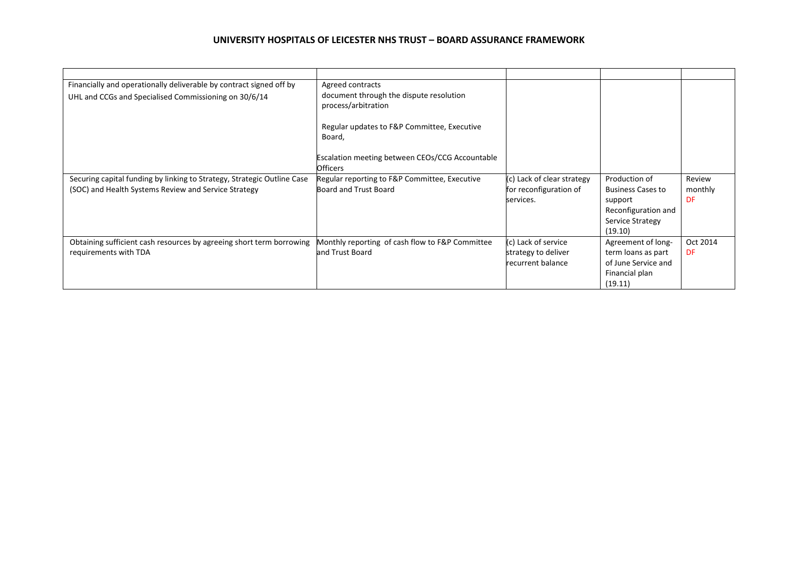| Financially and operationally deliverable by contract signed off by<br>UHL and CCGs and Specialised Commissioning on 30/6/14    | Agreed contracts<br>document through the dispute resolution<br>process/arbitration<br>Regular updates to F&P Committee, Executive<br>Board,<br>Escalation meeting between CEOs/CCG Accountable<br><b>Officers</b> |                                                                   |                                                                                                            |                         |
|---------------------------------------------------------------------------------------------------------------------------------|-------------------------------------------------------------------------------------------------------------------------------------------------------------------------------------------------------------------|-------------------------------------------------------------------|------------------------------------------------------------------------------------------------------------|-------------------------|
| Securing capital funding by linking to Strategy, Strategic Outline Case<br>(SOC) and Health Systems Review and Service Strategy | Regular reporting to F&P Committee, Executive<br>Board and Trust Board                                                                                                                                            | (c) Lack of clear strategy<br>for reconfiguration of<br>services. | Production of<br><b>Business Cases to</b><br>support<br>Reconfiguration and<br>Service Strategy<br>(19.10) | Review<br>monthly<br>DF |
| Obtaining sufficient cash resources by agreeing short term borrowing<br>requirements with TDA                                   | Monthly reporting of cash flow to F&P Committee<br>and Trust Board                                                                                                                                                | (c) Lack of service<br>strategy to deliver<br>recurrent balance   | Agreement of long-<br>term loans as part<br>of June Service and<br>Financial plan<br>(19.11)               | Oct 2014<br>DF          |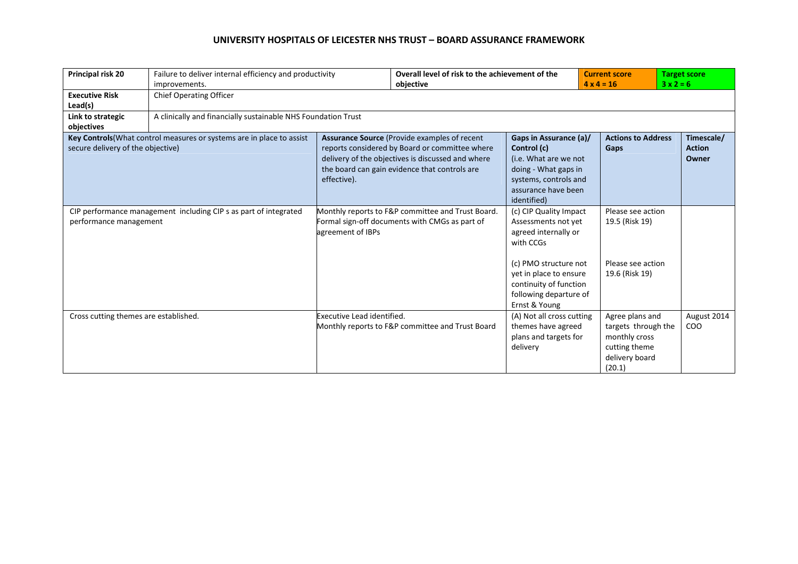| Principal risk 20                                                                                          | Failure to deliver internal efficiency and productivity<br>improvements. |                                                                                                                                                                                                                     | Overall level of risk to the achievement of the<br>objective |                                                                                                                                                                                                            | <b>Current score</b><br>$4 \times 4 = 16$                                                            | <b>Target score</b><br>$3x2=6$       |  |  |
|------------------------------------------------------------------------------------------------------------|--------------------------------------------------------------------------|---------------------------------------------------------------------------------------------------------------------------------------------------------------------------------------------------------------------|--------------------------------------------------------------|------------------------------------------------------------------------------------------------------------------------------------------------------------------------------------------------------------|------------------------------------------------------------------------------------------------------|--------------------------------------|--|--|
| <b>Executive Risk</b><br>Lead(s)                                                                           | Chief Operating Officer                                                  |                                                                                                                                                                                                                     |                                                              |                                                                                                                                                                                                            |                                                                                                      |                                      |  |  |
| Link to strategic<br>objectives                                                                            |                                                                          | A clinically and financially sustainable NHS Foundation Trust                                                                                                                                                       |                                                              |                                                                                                                                                                                                            |                                                                                                      |                                      |  |  |
| Key Controls (What control measures or systems are in place to assist<br>secure delivery of the objective) |                                                                          | Assurance Source (Provide examples of recent<br>reports considered by Board or committee where<br>delivery of the objectives is discussed and where<br>the board can gain evidence that controls are<br>effective). |                                                              | Gaps in Assurance (a)/<br>Control (c)<br>(i.e. What are we not<br>doing - What gaps in<br>systems, controls and<br>assurance have been<br>identified)                                                      | <b>Actions to Address</b><br>Gaps                                                                    | Timescale/<br><b>Action</b><br>Owner |  |  |
| CIP performance management including CIP s as part of integrated<br>performance management                 |                                                                          | Monthly reports to F&P committee and Trust Board.<br>Formal sign-off documents with CMGs as part of<br>agreement of IBPs                                                                                            |                                                              | (c) CIP Quality Impact<br>Assessments not yet<br>agreed internally or<br>with CCGs<br>(c) PMO structure not<br>yet in place to ensure<br>continuity of function<br>following departure of<br>Ernst & Young | Please see action<br>19.5 (Risk 19)<br>Please see action<br>19.6 (Risk 19)                           |                                      |  |  |
| Cross cutting themes are established.                                                                      |                                                                          | Executive Lead identified.                                                                                                                                                                                          | Monthly reports to F&P committee and Trust Board             | (A) Not all cross cutting<br>themes have agreed<br>plans and targets for<br>delivery                                                                                                                       | Agree plans and<br>targets through the<br>monthly cross<br>cutting theme<br>delivery board<br>(20.1) | August 2014<br><b>COO</b>            |  |  |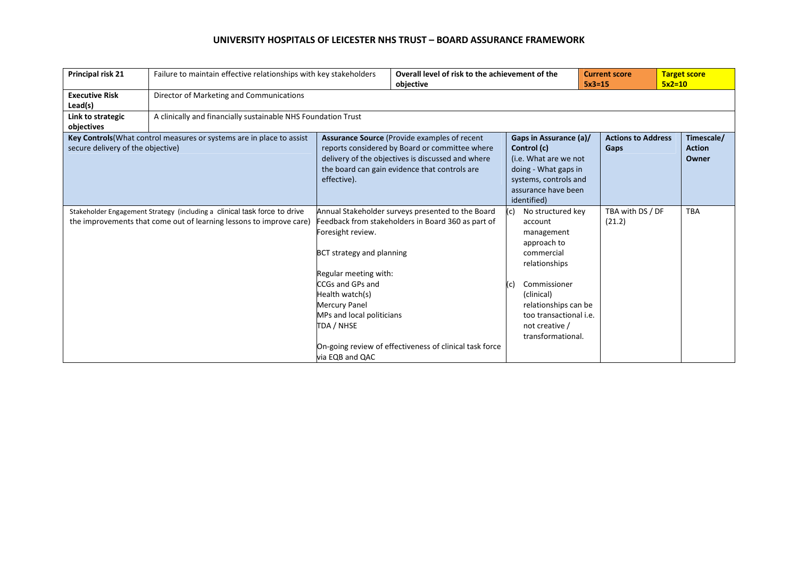| Principal risk 21                 | Failure to maintain effective relationships with key stakeholders                                                                                |                                                                                                                                                                                                                     | Overall level of risk to the achievement of the<br>objective                                                                                                       |                                                                                                                                                                                                                        | <b>Current score</b><br>$5x3=15$ |                                      | <b>Target score</b><br>$5x2=10$ |  |
|-----------------------------------|--------------------------------------------------------------------------------------------------------------------------------------------------|---------------------------------------------------------------------------------------------------------------------------------------------------------------------------------------------------------------------|--------------------------------------------------------------------------------------------------------------------------------------------------------------------|------------------------------------------------------------------------------------------------------------------------------------------------------------------------------------------------------------------------|----------------------------------|--------------------------------------|---------------------------------|--|
| <b>Executive Risk</b><br>Lead(s)  | Director of Marketing and Communications                                                                                                         |                                                                                                                                                                                                                     |                                                                                                                                                                    |                                                                                                                                                                                                                        |                                  |                                      |                                 |  |
| Link to strategic<br>objectives   | A clinically and financially sustainable NHS Foundation Trust                                                                                    |                                                                                                                                                                                                                     |                                                                                                                                                                    |                                                                                                                                                                                                                        |                                  |                                      |                                 |  |
| secure delivery of the objective) | Key Controls (What control measures or systems are in place to assist                                                                            | Assurance Source (Provide examples of recent<br>reports considered by Board or committee where<br>delivery of the objectives is discussed and where<br>the board can gain evidence that controls are<br>effective). | Gaps in Assurance (a)/<br>Control (c)<br>(i.e. What are we not<br>doing - What gaps in<br>systems, controls and<br>assurance have been<br>identified)              | Gaps                                                                                                                                                                                                                   | <b>Actions to Address</b>        | Timescale/<br><b>Action</b><br>Owner |                                 |  |
|                                   | Stakeholder Engagement Strategy (including a clinical task force to drive<br>the improvements that come out of learning lessons to improve care) | Foresight review.<br>BCT strategy and planning<br>Regular meeting with:<br>CCGs and GPs and<br>Health watch(s)<br>Mercury Panel<br>MPs and local politicians<br>TDA / NHSE<br>via EQB and QAC                       | Annual Stakeholder surveys presented to the Board<br>Feedback from stakeholders in Board 360 as part of<br>On-going review of effectiveness of clinical task force | No structured key<br>account<br>management<br>approach to<br>commercial<br>relationships<br>Commissioner<br>(C)<br>(clinical)<br>relationships can be<br>too transactional i.e.<br>not creative /<br>transformational. |                                  | TBA with DS / DF<br>(21.2)           | <b>TBA</b>                      |  |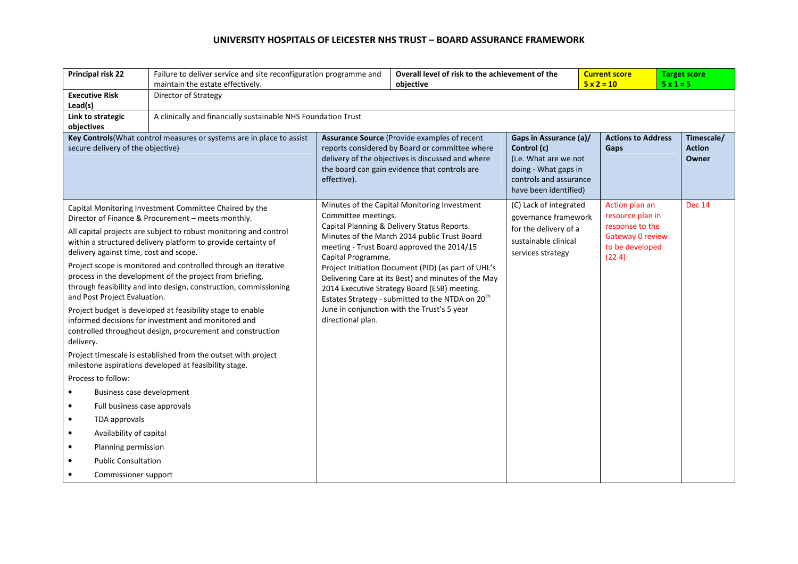|            | Principal risk 22                      | Failure to deliver service and site reconfiguration programme and                                                                                                                              |                     | Overall level of risk to the achievement of the                                                                                                                                                                            |                                                                                                                                           |  | <b>Current score</b>               |                                     | <b>Target score</b>                  |  |
|------------|----------------------------------------|------------------------------------------------------------------------------------------------------------------------------------------------------------------------------------------------|---------------------|----------------------------------------------------------------------------------------------------------------------------------------------------------------------------------------------------------------------------|-------------------------------------------------------------------------------------------------------------------------------------------|--|------------------------------------|-------------------------------------|--------------------------------------|--|
|            |                                        | maintain the estate effectively.                                                                                                                                                               |                     | $5 \times 2 = 10$<br>$5x1=5$<br>obiective                                                                                                                                                                                  |                                                                                                                                           |  |                                    |                                     |                                      |  |
| Lead(s)    | <b>Executive Risk</b>                  | Director of Strategy                                                                                                                                                                           |                     |                                                                                                                                                                                                                            |                                                                                                                                           |  |                                    |                                     |                                      |  |
|            | Link to strategic                      | A clinically and financially sustainable NHS Foundation Trust                                                                                                                                  |                     |                                                                                                                                                                                                                            |                                                                                                                                           |  |                                    |                                     |                                      |  |
| objectives |                                        |                                                                                                                                                                                                |                     |                                                                                                                                                                                                                            |                                                                                                                                           |  |                                    |                                     |                                      |  |
|            | secure delivery of the objective)      | Key Controls (What control measures or systems are in place to assist                                                                                                                          | effective).         | Assurance Source (Provide examples of recent<br>reports considered by Board or committee where<br>delivery of the objectives is discussed and where<br>the board can gain evidence that controls are                       | Gaps in Assurance (a)/<br>Control (c)<br>(i.e. What are we not<br>doing - What gaps in<br>controls and assurance<br>have been identified) |  | <b>Actions to Address</b><br>Gaps  |                                     | Timescale/<br><b>Action</b><br>Owner |  |
|            |                                        | Capital Monitoring Investment Committee Chaired by the<br>Director of Finance & Procurement - meets monthly.                                                                                   | Committee meetings. | Minutes of the Capital Monitoring Investment                                                                                                                                                                               | (C) Lack of integrated<br>governance framework                                                                                            |  | Action plan an<br>resource plan in |                                     | <b>Dec 14</b>                        |  |
|            |                                        | All capital projects are subject to robust monitoring and control                                                                                                                              |                     | Capital Planning & Delivery Status Reports.                                                                                                                                                                                | for the delivery of a                                                                                                                     |  | response to the                    |                                     |                                      |  |
|            | delivery against time, cost and scope. | within a structured delivery platform to provide certainty of                                                                                                                                  | Capital Programme.  | Minutes of the March 2014 public Trust Board<br>meeting - Trust Board approved the 2014/15                                                                                                                                 | sustainable clinical<br>services strategy                                                                                                 |  |                                    | Gateway 0 review<br>to be developed |                                      |  |
|            | and Post Project Evaluation.           | Project scope is monitored and controlled through an iterative<br>process in the development of the project from briefing,<br>through feasibility and into design, construction, commissioning |                     | Project Initiation Document (PID) (as part of UHL's<br>Delivering Care at its Best) and minutes of the May<br>2014 Executive Strategy Board (ESB) meeting.<br>Estates Strategy - submitted to the NTDA on 20 <sup>th</sup> |                                                                                                                                           |  | (22.4)                             |                                     |                                      |  |
| delivery.  |                                        | Project budget is developed at feasibility stage to enable<br>informed decisions for investment and monitored and<br>controlled throughout design, procurement and construction                | directional plan.   | June in conjunction with the Trust's 5 year                                                                                                                                                                                |                                                                                                                                           |  |                                    |                                     |                                      |  |
|            |                                        | Project timescale is established from the outset with project<br>milestone aspirations developed at feasibility stage.                                                                         |                     |                                                                                                                                                                                                                            |                                                                                                                                           |  |                                    |                                     |                                      |  |
|            | Process to follow:                     |                                                                                                                                                                                                |                     |                                                                                                                                                                                                                            |                                                                                                                                           |  |                                    |                                     |                                      |  |
| $\bullet$  | Business case development              |                                                                                                                                                                                                |                     |                                                                                                                                                                                                                            |                                                                                                                                           |  |                                    |                                     |                                      |  |
| $\bullet$  | Full business case approvals           |                                                                                                                                                                                                |                     |                                                                                                                                                                                                                            |                                                                                                                                           |  |                                    |                                     |                                      |  |
| $\bullet$  | TDA approvals                          |                                                                                                                                                                                                |                     |                                                                                                                                                                                                                            |                                                                                                                                           |  |                                    |                                     |                                      |  |
| $\bullet$  | Availability of capital                |                                                                                                                                                                                                |                     |                                                                                                                                                                                                                            |                                                                                                                                           |  |                                    |                                     |                                      |  |
| $\bullet$  | Planning permission                    |                                                                                                                                                                                                |                     |                                                                                                                                                                                                                            |                                                                                                                                           |  |                                    |                                     |                                      |  |
| $\bullet$  | <b>Public Consultation</b>             |                                                                                                                                                                                                |                     |                                                                                                                                                                                                                            |                                                                                                                                           |  |                                    |                                     |                                      |  |
| $\bullet$  | Commissioner support                   |                                                                                                                                                                                                |                     |                                                                                                                                                                                                                            |                                                                                                                                           |  |                                    |                                     |                                      |  |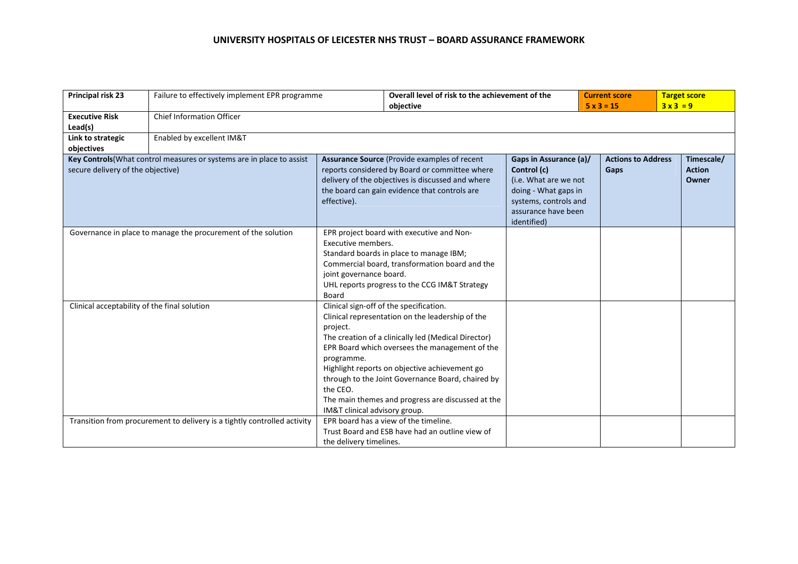| Principal risk 23                            | Failure to effectively implement EPR programme                           | Overall level of risk to the achievement of the<br>objective                                                                                                                                                                                      |                                                                                                                                                                                                                                                                                                                                                                 | $5x3 = 15$                                                                                                                                            | <b>Current score</b> | <b>Target score</b><br>$3x3=9$    |  |                                      |
|----------------------------------------------|--------------------------------------------------------------------------|---------------------------------------------------------------------------------------------------------------------------------------------------------------------------------------------------------------------------------------------------|-----------------------------------------------------------------------------------------------------------------------------------------------------------------------------------------------------------------------------------------------------------------------------------------------------------------------------------------------------------------|-------------------------------------------------------------------------------------------------------------------------------------------------------|----------------------|-----------------------------------|--|--------------------------------------|
| <b>Executive Risk</b><br>Lead(s)             | <b>Chief Information Officer</b>                                         |                                                                                                                                                                                                                                                   |                                                                                                                                                                                                                                                                                                                                                                 |                                                                                                                                                       |                      |                                   |  |                                      |
| Link to strategic<br>objectives              | Enabled by excellent IM&T                                                |                                                                                                                                                                                                                                                   |                                                                                                                                                                                                                                                                                                                                                                 |                                                                                                                                                       |                      |                                   |  |                                      |
| secure delivery of the objective)            | Key Controls (What control measures or systems are in place to assist    | effective).                                                                                                                                                                                                                                       | Assurance Source (Provide examples of recent<br>reports considered by Board or committee where<br>delivery of the objectives is discussed and where<br>the board can gain evidence that controls are                                                                                                                                                            | Gaps in Assurance (a)/<br>Control (c)<br>(i.e. What are we not<br>doing - What gaps in<br>systems, controls and<br>assurance have been<br>identified) |                      | <b>Actions to Address</b><br>Gaps |  | Timescale/<br><b>Action</b><br>Owner |
|                                              | Governance in place to manage the procurement of the solution            | EPR project board with executive and Non-<br>Executive members.<br>Standard boards in place to manage IBM;<br>Commercial board, transformation board and the<br>joint governance board.<br>UHL reports progress to the CCG IM&T Strategy<br>Board |                                                                                                                                                                                                                                                                                                                                                                 |                                                                                                                                                       |                      |                                   |  |                                      |
| Clinical acceptability of the final solution |                                                                          | project.<br>programme.<br>the CEO.<br>IM&T clinical advisory group.                                                                                                                                                                               | Clinical sign-off of the specification.<br>Clinical representation on the leadership of the<br>The creation of a clinically led (Medical Director)<br>EPR Board which oversees the management of the<br>Highlight reports on objective achievement go<br>through to the Joint Governance Board, chaired by<br>The main themes and progress are discussed at the |                                                                                                                                                       |                      |                                   |  |                                      |
|                                              | Transition from procurement to delivery is a tightly controlled activity | the delivery timelines.                                                                                                                                                                                                                           | EPR board has a view of the timeline.<br>Trust Board and ESB have had an outline view of                                                                                                                                                                                                                                                                        |                                                                                                                                                       |                      |                                   |  |                                      |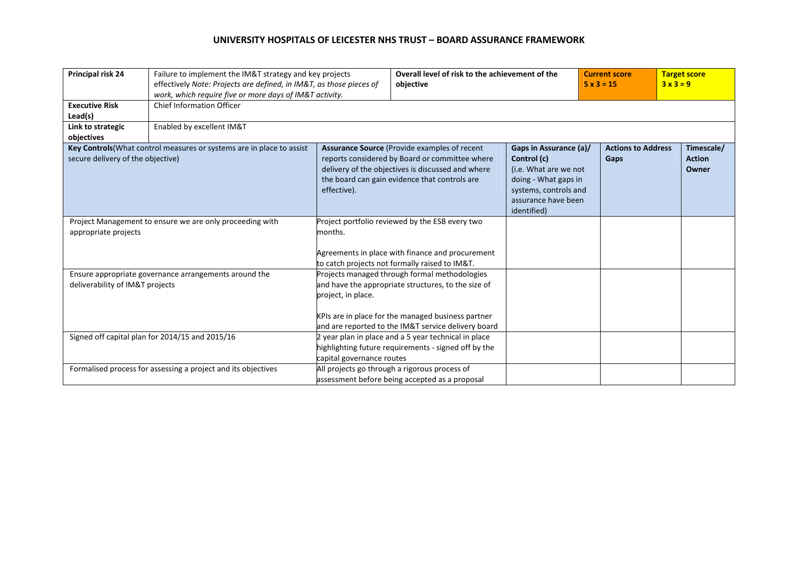| Principal risk 24                 | Failure to implement the IM&T strategy and key projects<br>effectively Note: Projects are defined, in IM&T, as those pieces of<br>work, which require five or more days of IM&T activity. |                                                                                                                                                                  | Overall level of risk to the achievement of the<br>objective                                                                                                                                                      |                                                                                                                                                       | <b>Current score</b><br>$5 \times 3 = 15$ |                                   | <b>Target score</b><br>$3x3=9$       |
|-----------------------------------|-------------------------------------------------------------------------------------------------------------------------------------------------------------------------------------------|------------------------------------------------------------------------------------------------------------------------------------------------------------------|-------------------------------------------------------------------------------------------------------------------------------------------------------------------------------------------------------------------|-------------------------------------------------------------------------------------------------------------------------------------------------------|-------------------------------------------|-----------------------------------|--------------------------------------|
| <b>Executive Risk</b><br>Lead(s)  | <b>Chief Information Officer</b>                                                                                                                                                          |                                                                                                                                                                  |                                                                                                                                                                                                                   |                                                                                                                                                       |                                           |                                   |                                      |
| Link to strategic<br>objectives   | Enabled by excellent IM&T                                                                                                                                                                 |                                                                                                                                                                  |                                                                                                                                                                                                                   |                                                                                                                                                       |                                           |                                   |                                      |
| secure delivery of the objective) | Key Controls (What control measures or systems are in place to assist                                                                                                                     | effective).                                                                                                                                                      | Assurance Source (Provide examples of recent<br>reports considered by Board or committee where<br>delivery of the objectives is discussed and where<br>the board can gain evidence that controls are              | Gaps in Assurance (a)/<br>Control (c)<br>(i.e. What are we not<br>doing - What gaps in<br>systems, controls and<br>assurance have been<br>identified) |                                           | <b>Actions to Address</b><br>Gaps | Timescale/<br><b>Action</b><br>Owner |
| appropriate projects              | Project Management to ensure we are only proceeding with                                                                                                                                  | Project portfolio reviewed by the ESB every two<br>months.<br>Agreements in place with finance and procurement<br>to catch projects not formally raised to IM&T. |                                                                                                                                                                                                                   |                                                                                                                                                       |                                           |                                   |                                      |
| deliverability of IM&T projects   | Ensure appropriate governance arrangements around the                                                                                                                                     | project, in place.                                                                                                                                               | Projects managed through formal methodologies<br>and have the appropriate structures, to the size of<br>KPIs are in place for the managed business partner<br>and are reported to the IM&T service delivery board |                                                                                                                                                       |                                           |                                   |                                      |
|                                   | Signed off capital plan for 2014/15 and 2015/16                                                                                                                                           | capital governance routes                                                                                                                                        | 2 year plan in place and a 5 year technical in place<br>highlighting future requirements - signed off by the                                                                                                      |                                                                                                                                                       |                                           |                                   |                                      |
|                                   | Formalised process for assessing a project and its objectives                                                                                                                             |                                                                                                                                                                  | All projects go through a rigorous process of<br>assessment before being accepted as a proposal                                                                                                                   |                                                                                                                                                       |                                           |                                   |                                      |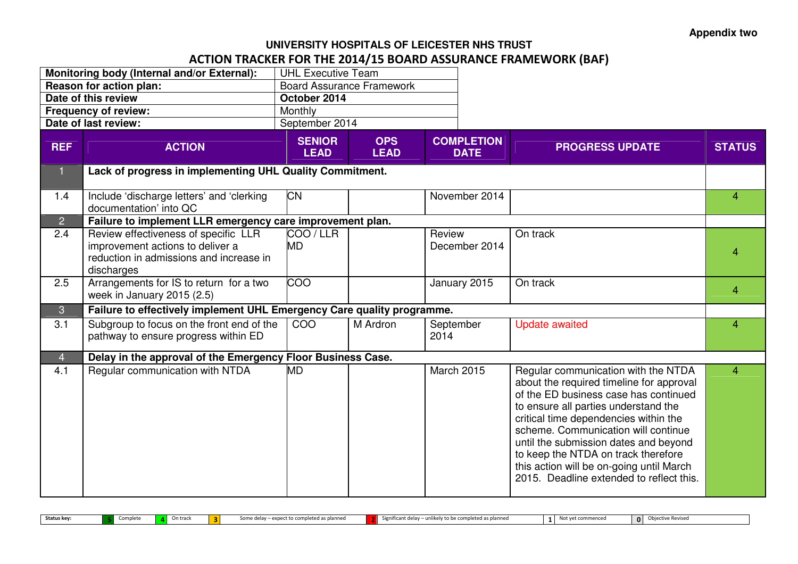# **UNIVERSITY HOSPITALS OF LEICESTER NHS TRUST**ACTION TRACKER FOR THE 2014/15 BOARD ASSURANCE FRAMEWORK (BAF)

|                | Monitoring body (Internal and/or External):                                                                                       | <b>UHL Executive Team</b>    |                                  |                   |                                  |                                                                                                                                                                                                                                                                                                                                                                                                                          |                |
|----------------|-----------------------------------------------------------------------------------------------------------------------------------|------------------------------|----------------------------------|-------------------|----------------------------------|--------------------------------------------------------------------------------------------------------------------------------------------------------------------------------------------------------------------------------------------------------------------------------------------------------------------------------------------------------------------------------------------------------------------------|----------------|
|                | Reason for action plan:                                                                                                           |                              | <b>Board Assurance Framework</b> |                   |                                  |                                                                                                                                                                                                                                                                                                                                                                                                                          |                |
|                | Date of this review                                                                                                               | October 2014                 |                                  |                   |                                  |                                                                                                                                                                                                                                                                                                                                                                                                                          |                |
|                | <b>Frequency of review:</b>                                                                                                       | Monthly                      |                                  |                   |                                  |                                                                                                                                                                                                                                                                                                                                                                                                                          |                |
|                | Date of last review:                                                                                                              | September 2014               |                                  |                   |                                  |                                                                                                                                                                                                                                                                                                                                                                                                                          |                |
| <b>REF</b>     | <b>ACTION</b>                                                                                                                     | <b>SENIOR</b><br><b>LEAD</b> | <b>OPS</b><br><b>LEAD</b>        |                   | <b>COMPLETION</b><br><b>DATE</b> | <b>PROGRESS UPDATE</b>                                                                                                                                                                                                                                                                                                                                                                                                   | <b>STATUS</b>  |
| $\mathbf{1}$   | Lack of progress in implementing UHL Quality Commitment.                                                                          |                              |                                  |                   |                                  |                                                                                                                                                                                                                                                                                                                                                                                                                          |                |
| 1.4            | Include 'discharge letters' and 'clerking<br>documentation' into QC                                                               | <b>CN</b>                    |                                  |                   | November 2014                    |                                                                                                                                                                                                                                                                                                                                                                                                                          | $\overline{4}$ |
| $\overline{2}$ | Failure to implement LLR emergency care improvement plan.                                                                         |                              |                                  |                   |                                  |                                                                                                                                                                                                                                                                                                                                                                                                                          |                |
| 2.4            | Review effectiveness of specific LLR<br>improvement actions to deliver a<br>reduction in admissions and increase in<br>discharges | COO/LLR<br><b>MD</b>         |                                  | Review            | December 2014                    | On track                                                                                                                                                                                                                                                                                                                                                                                                                 | 4              |
| 2.5            | Arrangements for IS to return for a two<br>week in January 2015 (2.5)                                                             | $\overline{0}$               |                                  |                   | January 2015                     | On track                                                                                                                                                                                                                                                                                                                                                                                                                 | 4              |
| 3              | Failure to effectively implement UHL Emergency Care quality programme.                                                            |                              |                                  |                   |                                  |                                                                                                                                                                                                                                                                                                                                                                                                                          |                |
| 3.1            | Subgroup to focus on the front end of the<br>pathway to ensure progress within ED                                                 | COO                          | M Ardron                         | September<br>2014 |                                  | <b>Update awaited</b>                                                                                                                                                                                                                                                                                                                                                                                                    | $\overline{4}$ |
| $\overline{4}$ | Delay in the approval of the Emergency Floor Business Case.                                                                       |                              |                                  |                   |                                  |                                                                                                                                                                                                                                                                                                                                                                                                                          |                |
| 4.1            | Regular communication with NTDA                                                                                                   | <b>MD</b>                    |                                  |                   | <b>March 2015</b>                | Regular communication with the NTDA<br>about the required timeline for approval<br>of the ED business case has continued<br>to ensure all parties understand the<br>critical time dependencies within the<br>scheme. Communication will continue<br>until the submission dates and beyond<br>to keep the NTDA on track therefore<br>this action will be on-going until March<br>2015. Deadline extended to reflect this. | $\overline{4}$ |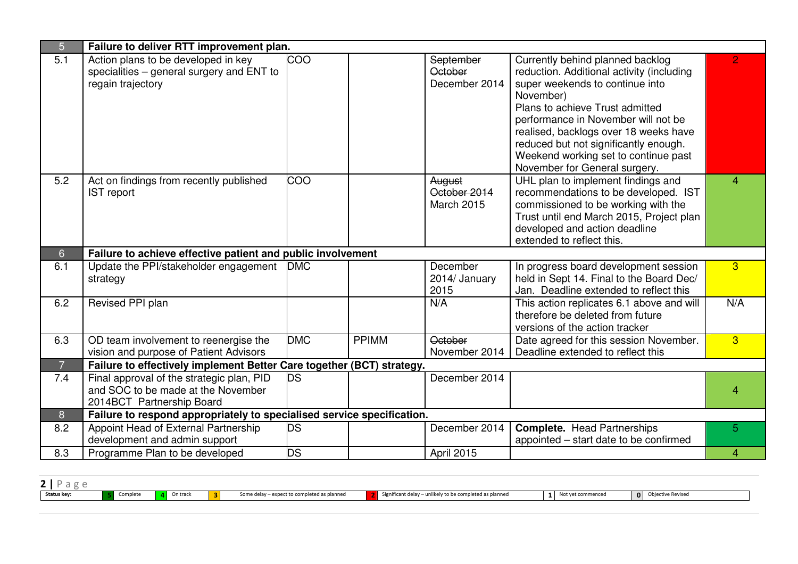| 5              | Failure to deliver RTT improvement plan.                                                                     |            |              |                                                     |                                                                                                                                                                                                                                                                                                                                                                    |                |
|----------------|--------------------------------------------------------------------------------------------------------------|------------|--------------|-----------------------------------------------------|--------------------------------------------------------------------------------------------------------------------------------------------------------------------------------------------------------------------------------------------------------------------------------------------------------------------------------------------------------------------|----------------|
| 5.1            | Action plans to be developed in key<br>specialities - general surgery and ENT to<br>regain trajectory        | <b>COO</b> |              | <b>September</b><br><b>October</b><br>December 2014 | Currently behind planned backlog<br>reduction. Additional activity (including<br>super weekends to continue into<br>November)<br>Plans to achieve Trust admitted<br>performance in November will not be<br>realised, backlogs over 18 weeks have<br>reduced but not significantly enough.<br>Weekend working set to continue past<br>November for General surgery. | $\overline{2}$ |
| 5.2            | Act on findings from recently published<br><b>IST report</b>                                                 | COO        |              | August<br>October 2014<br><b>March 2015</b>         | UHL plan to implement findings and<br>recommendations to be developed. IST<br>commissioned to be working with the<br>Trust until end March 2015, Project plan<br>developed and action deadline<br>extended to reflect this.                                                                                                                                        | 4              |
| 6 <sup>°</sup> | Failure to achieve effective patient and public involvement                                                  |            |              |                                                     |                                                                                                                                                                                                                                                                                                                                                                    |                |
| 6.1            | Update the PPI/stakeholder engagement<br>strategy                                                            | <b>DMC</b> |              | December<br>2014/ January<br>2015                   | In progress board development session<br>held in Sept 14. Final to the Board Dec/<br>Jan. Deadline extended to reflect this                                                                                                                                                                                                                                        | 3 <sup>°</sup> |
| 6.2            | Revised PPI plan                                                                                             |            |              | N/A                                                 | This action replicates 6.1 above and will<br>therefore be deleted from future<br>versions of the action tracker                                                                                                                                                                                                                                                    | N/A            |
| 6.3            | OD team involvement to reenergise the<br>vision and purpose of Patient Advisors                              | <b>DMC</b> | <b>PPIMM</b> | <b>October</b><br>November 2014                     | Date agreed for this session November.<br>Deadline extended to reflect this                                                                                                                                                                                                                                                                                        | 3 <sup>°</sup> |
| $\overline{7}$ | Failure to effectively implement Better Care together (BCT) strategy.                                        |            |              |                                                     |                                                                                                                                                                                                                                                                                                                                                                    |                |
| 7.4            | Final approval of the strategic plan, PID<br>and SOC to be made at the November<br>2014BCT Partnership Board | <b>DS</b>  |              | December 2014                                       |                                                                                                                                                                                                                                                                                                                                                                    | 4              |
| 8              | Failure to respond appropriately to specialised service specification.                                       |            |              |                                                     |                                                                                                                                                                                                                                                                                                                                                                    |                |
| 8.2            | Appoint Head of External Partnership<br>development and admin support                                        | <b>DS</b>  |              | December 2014                                       | <b>Complete.</b> Head Partnerships<br>appointed – start date to be confirmed                                                                                                                                                                                                                                                                                       | 5              |
| 8.3            | Programme Plan to be developed                                                                               | <b>DS</b>  |              | April 2015                                          |                                                                                                                                                                                                                                                                                                                                                                    | 4              |

| $\overline{\phantom{a}}$ |          |                   |                                             |                                                         |                   |                   |
|--------------------------|----------|-------------------|---------------------------------------------|---------------------------------------------------------|-------------------|-------------------|
| Status key:              | Complete | <b>4</b> On track | Some delay - expect to completed as planned | Significant delay - unlikely to be completed as planned | Not yet commenced | Objective Revised |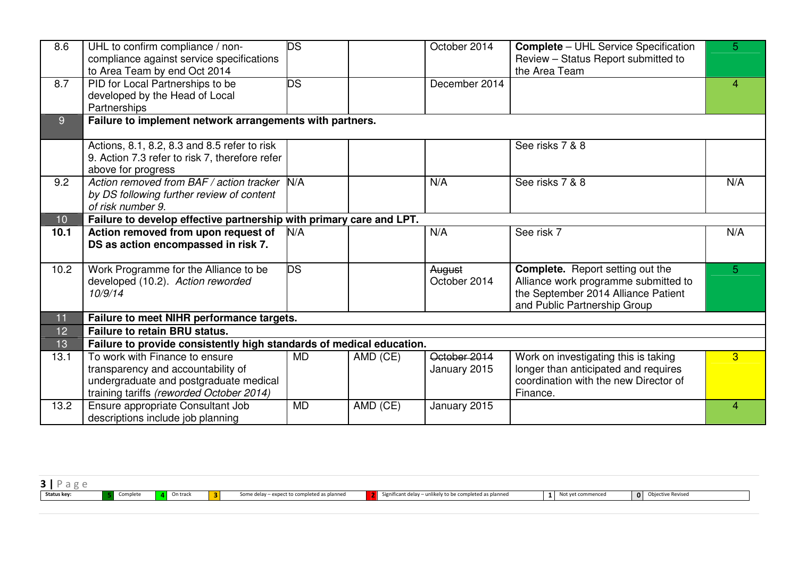| 8.6            | UHL to confirm compliance / non-<br>compliance against service specifications<br>to Area Team by end Oct 2014                                              | <b>DS</b> |          | October 2014                 | <b>Complete - UHL Service Specification</b><br>Review - Status Report submitted to<br>the Area Team                                                    | 5 <sup>5</sup>     |
|----------------|------------------------------------------------------------------------------------------------------------------------------------------------------------|-----------|----------|------------------------------|--------------------------------------------------------------------------------------------------------------------------------------------------------|--------------------|
| 8.7            | PID for Local Partnerships to be<br>developed by the Head of Local<br>Partnerships                                                                         | <b>DS</b> |          | December 2014                |                                                                                                                                                        | $\mathbf{\Lambda}$ |
| 9 <sup>°</sup> | Failure to implement network arrangements with partners.                                                                                                   |           |          |                              |                                                                                                                                                        |                    |
|                | Actions, 8.1, 8.2, 8.3 and 8.5 refer to risk<br>9. Action 7.3 refer to risk 7, therefore refer<br>above for progress                                       |           |          |                              | See risks 7 & 8                                                                                                                                        |                    |
| 9.2            | Action removed from BAF / action tracker<br>by DS following further review of content<br>of risk number 9.                                                 | N/A       |          | N/A                          | See risks 7 & 8                                                                                                                                        | N/A                |
| 10             | Failure to develop effective partnership with primary care and LPT.                                                                                        |           |          |                              |                                                                                                                                                        |                    |
| 10.1           | Action removed from upon request of<br>DS as action encompassed in risk 7.                                                                                 | N/A       |          | N/A                          | See risk 7                                                                                                                                             | N/A                |
| 10.2           | Work Programme for the Alliance to be<br>developed (10.2). Action reworded<br>10/9/14                                                                      | DS        |          | August<br>October 2014       | <b>Complete.</b> Report setting out the<br>Alliance work programme submitted to<br>the September 2014 Alliance Patient<br>and Public Partnership Group | 5                  |
| 11             | Failure to meet NIHR performance targets.                                                                                                                  |           |          |                              |                                                                                                                                                        |                    |
| 12             | <b>Failure to retain BRU status.</b>                                                                                                                       |           |          |                              |                                                                                                                                                        |                    |
| 13             | Failure to provide consistently high standards of medical education.                                                                                       |           |          |                              |                                                                                                                                                        |                    |
| 13.1           | To work with Finance to ensure<br>transparency and accountability of<br>undergraduate and postgraduate medical<br>training tariffs (reworded October 2014) | <b>MD</b> | AMD (CE) | October 2014<br>January 2015 | Work on investigating this is taking<br>longer than anticipated and requires<br>coordination with the new Director of<br>Finance.                      | $\overline{3}$     |
| 13.2           | Ensure appropriate Consultant Job<br>descriptions include job planning                                                                                     | <b>MD</b> | AMD (CE) | January 2015                 |                                                                                                                                                        | 4                  |

| Status key: | Complete | On track | t to completed as planned.<br>Some delay – expect | Significant delay - unli.<br>hikely to be completed as planned | vet commenceo | Obiective Revised<br>$\Omega$ |  |
|-------------|----------|----------|---------------------------------------------------|----------------------------------------------------------------|---------------|-------------------------------|--|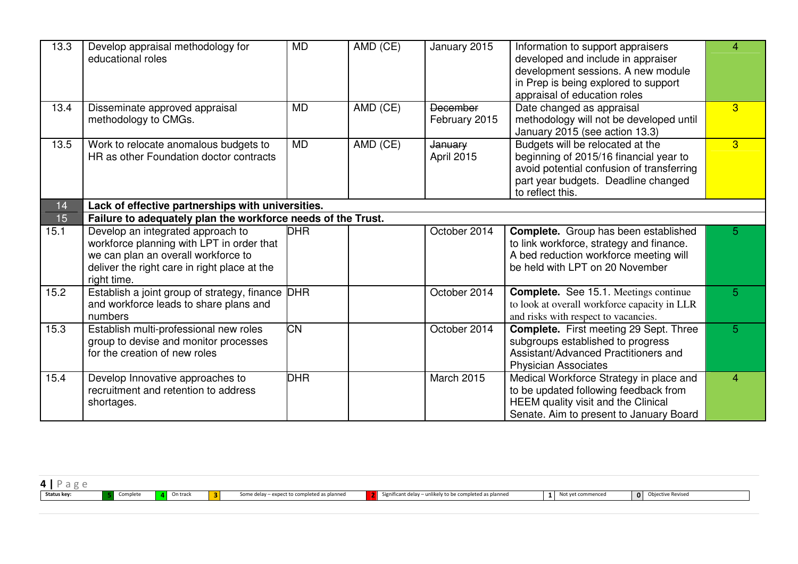| 13.3 | Develop appraisal methodology for<br>educational roles                                                                                                                               | <b>MD</b>  | AMD (CE) | January 2015                     | Information to support appraisers<br>developed and include in appraiser<br>development sessions. A new module<br>in Prep is being explored to support<br>appraisal of education roles | $\overline{4}$ |
|------|--------------------------------------------------------------------------------------------------------------------------------------------------------------------------------------|------------|----------|----------------------------------|---------------------------------------------------------------------------------------------------------------------------------------------------------------------------------------|----------------|
| 13.4 | Disseminate approved appraisal<br>methodology to CMGs.                                                                                                                               | <b>MD</b>  | AMD (CE) | <b>December</b><br>February 2015 | Date changed as appraisal<br>methodology will not be developed until<br>January 2015 (see action 13.3)                                                                                | 3              |
| 13.5 | Work to relocate anomalous budgets to<br>HR as other Foundation doctor contracts                                                                                                     | <b>MD</b>  | AMD (CE) | January<br>April 2015            | Budgets will be relocated at the<br>beginning of 2015/16 financial year to<br>avoid potential confusion of transferring<br>part year budgets. Deadline changed<br>to reflect this.    | $\overline{3}$ |
| 14   | Lack of effective partnerships with universities.                                                                                                                                    |            |          |                                  |                                                                                                                                                                                       |                |
| 15   | Failure to adequately plan the workforce needs of the Trust.                                                                                                                         |            |          |                                  |                                                                                                                                                                                       |                |
| 15.1 | Develop an integrated approach to<br>workforce planning with LPT in order that<br>we can plan an overall workforce to<br>deliver the right care in right place at the<br>right time. | <b>DHR</b> |          | October 2014                     | <b>Complete.</b> Group has been established<br>to link workforce, strategy and finance.<br>A bed reduction workforce meeting will<br>be held with LPT on 20 November                  | 5              |
| 15.2 | Establish a joint group of strategy, finance DHR<br>and workforce leads to share plans and<br>numbers                                                                                |            |          | October 2014                     | <b>Complete.</b> See 15.1. Meetings continue<br>to look at overall workforce capacity in LLR<br>and risks with respect to vacancies.                                                  | $\overline{5}$ |
| 15.3 | Establish multi-professional new roles<br>group to devise and monitor processes<br>for the creation of new roles                                                                     | <b>CN</b>  |          | October 2014                     | <b>Complete.</b> First meeting 29 Sept. Three<br>subgroups established to progress<br>Assistant/Advanced Practitioners and<br><b>Physician Associates</b>                             | 5              |
| 15.4 | Develop Innovative approaches to<br>recruitment and retention to address<br>shortages.                                                                                               | <b>DHR</b> |          | <b>March 2015</b>                | Medical Workforce Strategy in place and<br>to be updated following feedback from<br>HEEM quality visit and the Clinical<br>Senate. Aim to present to January Board                    | $\overline{4}$ |

| Status key: | Complete<br>complete | ı track | - expect to completed as planned<br>Some delay | - Significant delay<br>o be completed as planner.<br>лаппес | mmencec | $\Omega$ | ive Revised. |
|-------------|----------------------|---------|------------------------------------------------|-------------------------------------------------------------|---------|----------|--------------|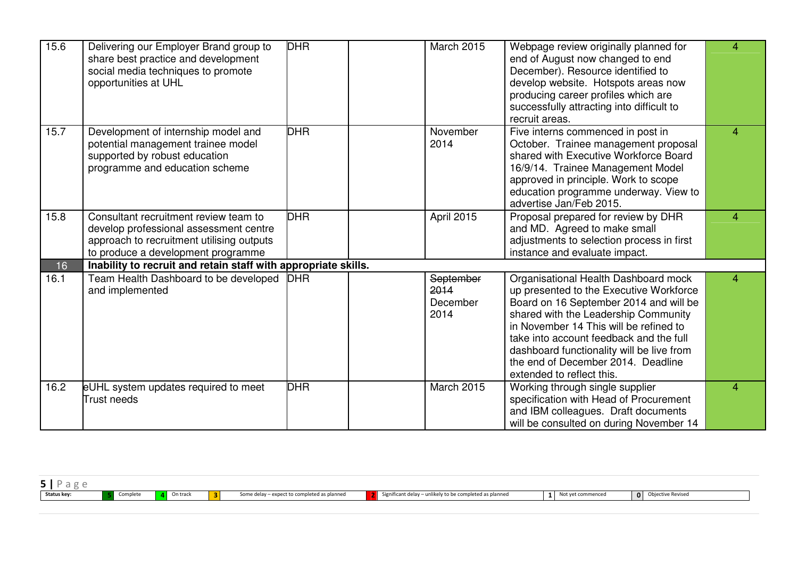| 15.6 | Delivering our Employer Brand group to<br>share best practice and development<br>social media techniques to promote<br>opportunities at UHL                        | <b>DHR</b> | <b>March 2015</b>                     | Webpage review originally planned for<br>end of August now changed to end<br>December). Resource identified to<br>develop website. Hotspots areas now<br>producing career profiles which are<br>successfully attracting into difficult to<br>recruit areas.                                                                                                            | $\overline{4}$ |
|------|--------------------------------------------------------------------------------------------------------------------------------------------------------------------|------------|---------------------------------------|------------------------------------------------------------------------------------------------------------------------------------------------------------------------------------------------------------------------------------------------------------------------------------------------------------------------------------------------------------------------|----------------|
| 15.7 | Development of internship model and<br>potential management trainee model<br>supported by robust education<br>programme and education scheme                       | <b>DHR</b> | November<br>2014                      | Five interns commenced in post in<br>October. Trainee management proposal<br>shared with Executive Workforce Board<br>16/9/14. Trainee Management Model<br>approved in principle. Work to scope<br>education programme underway. View to<br>advertise Jan/Feb 2015.                                                                                                    | $\overline{4}$ |
| 15.8 | Consultant recruitment review team to<br>develop professional assessment centre<br>approach to recruitment utilising outputs<br>to produce a development programme | <b>DHR</b> | April 2015                            | Proposal prepared for review by DHR<br>and MD. Agreed to make small<br>adjustments to selection process in first<br>instance and evaluate impact.                                                                                                                                                                                                                      | 4              |
| 16   | Inability to recruit and retain staff with appropriate skills.                                                                                                     |            |                                       |                                                                                                                                                                                                                                                                                                                                                                        |                |
| 16.1 | Team Health Dashboard to be developed<br>and implemented                                                                                                           | <b>DHR</b> | September<br>2014<br>December<br>2014 | Organisational Health Dashboard mock<br>up presented to the Executive Workforce<br>Board on 16 September 2014 and will be<br>shared with the Leadership Community<br>in November 14 This will be refined to<br>take into account feedback and the full<br>dashboard functionality will be live from<br>the end of December 2014. Deadline<br>extended to reflect this. | $\overline{4}$ |
| 16.2 | eUHL system updates required to meet<br>Trust needs                                                                                                                | <b>DHR</b> | <b>March 2015</b>                     | Working through single supplier<br>specification with Head of Procurement<br>and IBM colleagues. Draft documents<br>will be consulted on during November 14                                                                                                                                                                                                            | 4              |

| Status key: | complete | ነ track | $\sim$<br>. .<br>. . | ' as planned<br>$\ldots$ to complet $\sim$<br>some ger<br> | $.0$ he com<br>. | $\Omega$<br><b>RAVISAC</b> |  |
|-------------|----------|---------|----------------------|------------------------------------------------------------|------------------|----------------------------|--|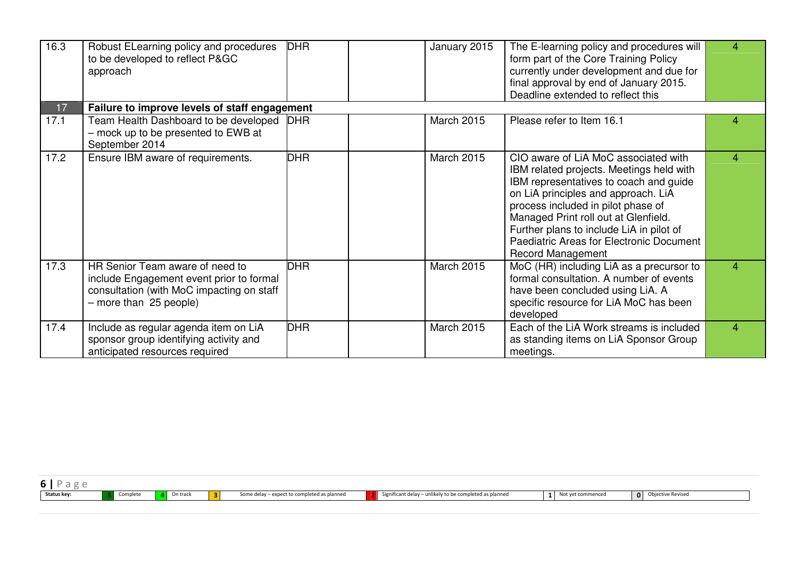| 16.3 | Robust ELearning policy and procedures<br>to be developed to reflect P&GC<br>approach                                                              | <b>DHR</b> | January 2015      | The E-learning policy and procedures will<br>form part of the Core Training Policy<br>currently under development and due for<br>final approval by end of January 2015.<br>Deadline extended to reflect this                                                                                                                                                        | 4              |
|------|----------------------------------------------------------------------------------------------------------------------------------------------------|------------|-------------------|---------------------------------------------------------------------------------------------------------------------------------------------------------------------------------------------------------------------------------------------------------------------------------------------------------------------------------------------------------------------|----------------|
| 17   | Failure to improve levels of staff engagement                                                                                                      |            |                   |                                                                                                                                                                                                                                                                                                                                                                     |                |
| 17.1 | Team Health Dashboard to be developed<br>- mock up to be presented to EWB at<br>September 2014                                                     | <b>DHR</b> | <b>March 2015</b> | Please refer to Item 16.1                                                                                                                                                                                                                                                                                                                                           | 4              |
| 17.2 | Ensure IBM aware of requirements.                                                                                                                  | <b>DHR</b> | <b>March 2015</b> | CIO aware of LiA MoC associated with<br>IBM related projects. Meetings held with<br>IBM representatives to coach and guide<br>on LiA principles and approach. LiA<br>process included in pilot phase of<br>Managed Print roll out at Glenfield.<br>Further plans to include LiA in pilot of<br>Paediatric Areas for Electronic Document<br><b>Record Management</b> | $\overline{4}$ |
| 17.3 | HR Senior Team aware of need to<br>include Engagement event prior to formal<br>consultation (with MoC impacting on staff<br>- more than 25 people) | <b>DHR</b> | <b>March 2015</b> | MoC (HR) including LiA as a precursor to<br>formal consultation. A number of events<br>have been concluded using LiA. A<br>specific resource for LiA MoC has been<br>developed                                                                                                                                                                                      | $\overline{4}$ |
| 17.4 | Include as regular agenda item on LiA<br>sponsor group identifying activity and<br>anticipated resources required                                  | <b>DHR</b> | <b>March 2015</b> | Each of the LiA Work streams is included<br>as standing items on LiA Sponsor Group<br>meetings.                                                                                                                                                                                                                                                                     | 4              |

| Status key: | complete | ጉካ track | as pidilings.<br>וופ עכו<br>יכנכט | to be completed as.<br>icant dela<br>s piannec. | encec | <br>Revised |
|-------------|----------|----------|-----------------------------------|-------------------------------------------------|-------|-------------|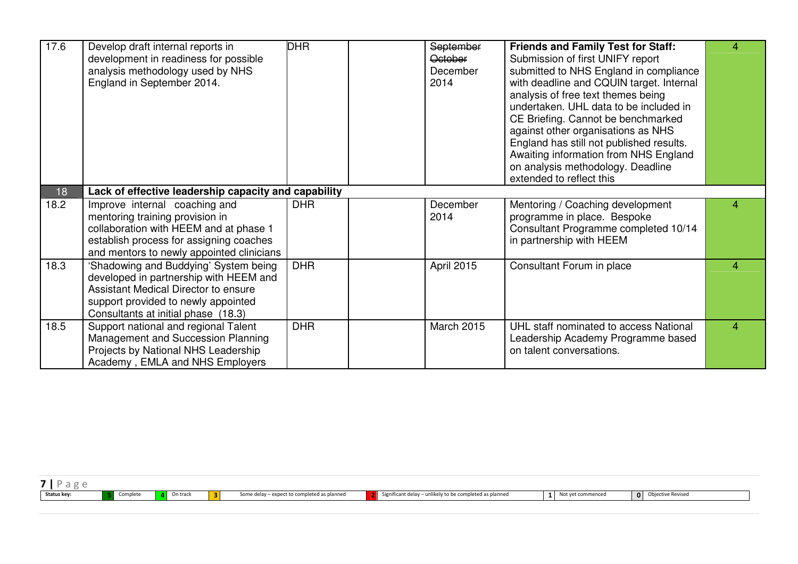| 17.6 | Develop draft internal reports in<br>development in readiness for possible<br>analysis methodology used by NHS<br>England in September 2014.                                                                 | <b>DHR</b> | September<br><b>October</b><br>December<br>2014 | <b>Friends and Family Test for Staff:</b><br>Submission of first UNIFY report<br>submitted to NHS England in compliance<br>with deadline and CQUIN target. Internal<br>analysis of free text themes being<br>undertaken. UHL data to be included in<br>CE Briefing. Cannot be benchmarked<br>against other organisations as NHS<br>England has still not published results.<br>Awaiting information from NHS England<br>on analysis methodology. Deadline<br>extended to reflect this | 4 |
|------|--------------------------------------------------------------------------------------------------------------------------------------------------------------------------------------------------------------|------------|-------------------------------------------------|---------------------------------------------------------------------------------------------------------------------------------------------------------------------------------------------------------------------------------------------------------------------------------------------------------------------------------------------------------------------------------------------------------------------------------------------------------------------------------------|---|
| 18   | Lack of effective leadership capacity and capability                                                                                                                                                         |            |                                                 |                                                                                                                                                                                                                                                                                                                                                                                                                                                                                       |   |
| 18.2 | Improve internal coaching and<br>mentoring training provision in<br>collaboration with HEEM and at phase 1<br>establish process for assigning coaches<br>and mentors to newly appointed clinicians           | <b>DHR</b> | December<br>2014                                | Mentoring / Coaching development<br>programme in place. Bespoke<br>Consultant Programme completed 10/14<br>in partnership with HEEM                                                                                                                                                                                                                                                                                                                                                   | 4 |
| 18.3 | 'Shadowing and Buddying' System being<br>developed in partnership with HEEM and<br><b>Assistant Medical Director to ensure</b><br>support provided to newly appointed<br>Consultants at initial phase (18.3) | <b>DHR</b> | April 2015                                      | Consultant Forum in place                                                                                                                                                                                                                                                                                                                                                                                                                                                             | 4 |
| 18.5 | Support national and regional Talent<br>Management and Succession Planning<br>Projects by National NHS Leadership<br>Academy, EMLA and NHS Employers                                                         | <b>DHR</b> | March 2015                                      | UHL staff nominated to access National<br>Leadership Academy Programme based<br>on talent conversations.                                                                                                                                                                                                                                                                                                                                                                              | 4 |

| <b>U</b>    |          |          |                            |                                             |                                                   |                   |              |                      |
|-------------|----------|----------|----------------------------|---------------------------------------------|---------------------------------------------------|-------------------|--------------|----------------------|
| Status key: | Complete | On track | $\sim$<br><b>PAGE 1999</b> | Some delay - expect to completed as planned | icant delay – unlikely to be completed as planned | Not yet commenced | $\mathbf{0}$ | <sub>ີ</sub> Reviseu |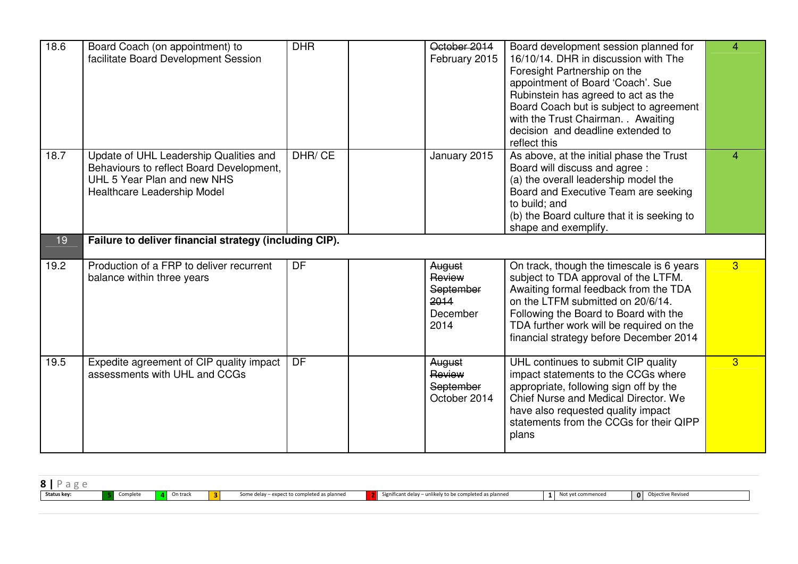| 18.6 | Board Coach (on appointment) to<br>facilitate Board Development Session                                                                          | <b>DHR</b> | October 2014<br>February 2015                             | Board development session planned for<br>16/10/14. DHR in discussion with The<br>Foresight Partnership on the<br>appointment of Board 'Coach'. Sue<br>Rubinstein has agreed to act as the<br>Board Coach but is subject to agreement<br>with the Trust Chairman. . Awaiting<br>decision and deadline extended to<br>reflect this | 4              |
|------|--------------------------------------------------------------------------------------------------------------------------------------------------|------------|-----------------------------------------------------------|----------------------------------------------------------------------------------------------------------------------------------------------------------------------------------------------------------------------------------------------------------------------------------------------------------------------------------|----------------|
| 18.7 | Update of UHL Leadership Qualities and<br>Behaviours to reflect Board Development,<br>UHL 5 Year Plan and new NHS<br>Healthcare Leadership Model | DHR/CE     | January 2015                                              | As above, at the initial phase the Trust<br>Board will discuss and agree :<br>(a) the overall leadership model the<br>Board and Executive Team are seeking<br>to build; and<br>(b) the Board culture that it is seeking to<br>shape and exemplify.                                                                               | $\overline{4}$ |
| 19   | Failure to deliver financial strategy (including CIP).                                                                                           |            |                                                           |                                                                                                                                                                                                                                                                                                                                  |                |
| 19.2 | Production of a FRP to deliver recurrent<br>balance within three years                                                                           | DF         | August<br>Review<br>September<br>2014<br>December<br>2014 | On track, though the timescale is 6 years<br>subject to TDA approval of the LTFM.<br>Awaiting formal feedback from the TDA<br>on the LTFM submitted on 20/6/14.<br>Following the Board to Board with the<br>TDA further work will be required on the<br>financial strategy before December 2014                                  | $\overline{3}$ |
| 19.5 | Expedite agreement of CIP quality impact<br>assessments with UHL and CCGs                                                                        | <b>DF</b>  | August<br>Review<br>September<br>October 2014             | UHL continues to submit CIP quality<br>impact statements to the CCGs where<br>appropriate, following sign off by the<br><b>Chief Nurse and Medical Director, We</b><br>have also requested quality impact<br>statements from the CCGs for their QIPP<br>plans                                                                    | 3              |

| $8$   Page  |          |                   |    |                                             |                                                         |                   |                     |
|-------------|----------|-------------------|----|---------------------------------------------|---------------------------------------------------------|-------------------|---------------------|
| Status key: | Complete | <b>A</b> On track | \2 | Some delay - expect to completed as planned | Significant delay – unlikely to be completed as planned | Not yet commenced | o Objective Revised |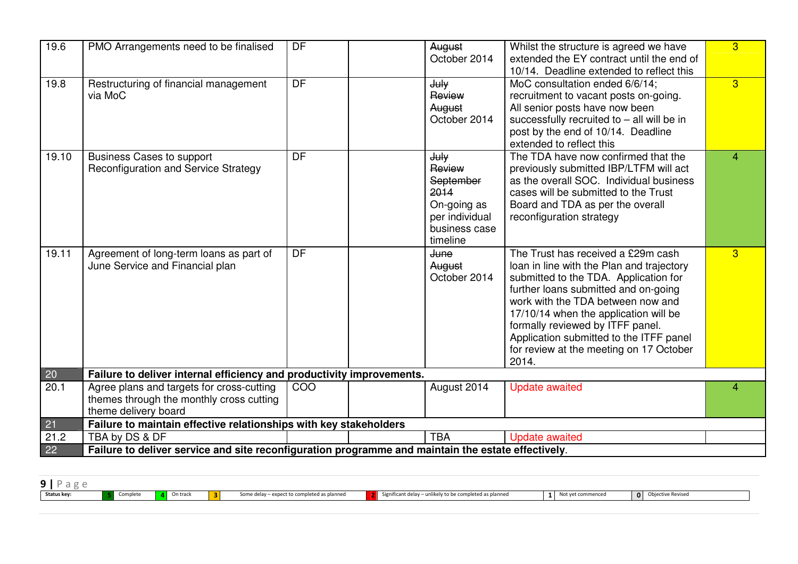| 19.6             | PMO Arrangements need to be finalised                                                                         | DF        | August<br>October 2014                                                                            | Whilst the structure is agreed we have<br>extended the EY contract until the end of<br>10/14. Deadline extended to reflect this                                                                                                                                                                                                                                                   | $\overline{3}$ |
|------------------|---------------------------------------------------------------------------------------------------------------|-----------|---------------------------------------------------------------------------------------------------|-----------------------------------------------------------------------------------------------------------------------------------------------------------------------------------------------------------------------------------------------------------------------------------------------------------------------------------------------------------------------------------|----------------|
| 19.8             | Restructuring of financial management<br>via MoC                                                              | DF        | July<br>Review<br>August<br>October 2014                                                          | MoC consultation ended 6/6/14;<br>recruitment to vacant posts on-going.<br>All senior posts have now been<br>successfully recruited to $-$ all will be in<br>post by the end of 10/14. Deadline<br>extended to reflect this                                                                                                                                                       | $\overline{3}$ |
| 19.10            | <b>Business Cases to support</b><br>Reconfiguration and Service Strategy                                      | <b>DF</b> | July<br>Review<br>September<br>2014<br>On-going as<br>per individual<br>business case<br>timeline | The TDA have now confirmed that the<br>previously submitted IBP/LTFM will act<br>as the overall SOC. Individual business<br>cases will be submitted to the Trust<br>Board and TDA as per the overall<br>reconfiguration strategy                                                                                                                                                  | 4              |
| 19.11            | Agreement of long-term loans as part of<br>June Service and Financial plan                                    | <b>DF</b> | <b>June</b><br>August<br>October 2014                                                             | The Trust has received a £29m cash<br>loan in line with the Plan and trajectory<br>submitted to the TDA. Application for<br>further loans submitted and on-going<br>work with the TDA between now and<br>17/10/14 when the application will be<br>formally reviewed by ITFF panel.<br>Application submitted to the ITFF panel<br>for review at the meeting on 17 October<br>2014. | $\overline{3}$ |
| $20\overline{)}$ | Failure to deliver internal efficiency and productivity improvements.                                         |           |                                                                                                   |                                                                                                                                                                                                                                                                                                                                                                                   |                |
| 20.1             | Agree plans and targets for cross-cutting<br>themes through the monthly cross cutting<br>theme delivery board | COO       | August 2014                                                                                       | <b>Update awaited</b>                                                                                                                                                                                                                                                                                                                                                             | 4              |
| 21               | Failure to maintain effective relationships with key stakeholders                                             |           |                                                                                                   |                                                                                                                                                                                                                                                                                                                                                                                   |                |
| 21.2             | TBA by DS & DF                                                                                                |           | <b>TBA</b>                                                                                        | <b>Update awaited</b>                                                                                                                                                                                                                                                                                                                                                             |                |
| 22               | Failure to deliver service and site reconfiguration programme and maintain the estate effectively.            |           |                                                                                                   |                                                                                                                                                                                                                                                                                                                                                                                   |                |

| . .         |          |          |                                                   |                                                           |                   |                               |  |
|-------------|----------|----------|---------------------------------------------------|-----------------------------------------------------------|-------------------|-------------------------------|--|
| Status key: | Complete | On track | Some delay - expect to completed as planned<br>ъ. | Significant delay $-$ unlikely to be completed as planned | Not vet commenced | Obiective Revised<br>$\Omega$ |  |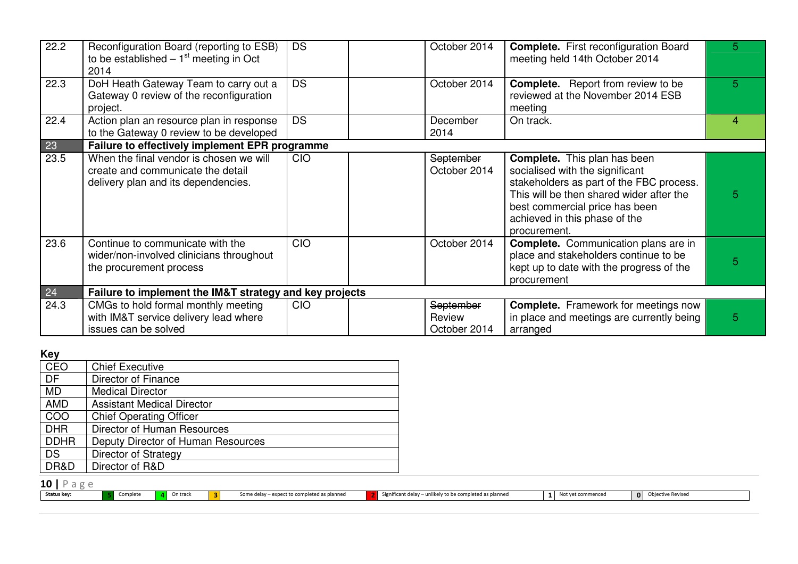| 22.2 | Reconfiguration Board (reporting to ESB)<br>to be established $-1st$ meeting in Oct<br>2014                         | <b>DS</b>  | October 2014                        | <b>Complete.</b> First reconfiguration Board<br>meeting held 14th October 2014                                                                                                                                                                    | 5. |
|------|---------------------------------------------------------------------------------------------------------------------|------------|-------------------------------------|---------------------------------------------------------------------------------------------------------------------------------------------------------------------------------------------------------------------------------------------------|----|
| 22.3 | DoH Heath Gateway Team to carry out a<br>Gateway 0 review of the reconfiguration<br>project.                        | <b>DS</b>  | October 2014                        | <b>Complete.</b> Report from review to be<br>reviewed at the November 2014 ESB<br>meeting                                                                                                                                                         | 5. |
| 22.4 | Action plan an resource plan in response<br>to the Gateway 0 review to be developed                                 | <b>DS</b>  | December<br>2014                    | On track.                                                                                                                                                                                                                                         | 4  |
| 23   | Failure to effectively implement EPR programme                                                                      |            |                                     |                                                                                                                                                                                                                                                   |    |
| 23.5 | When the final vendor is chosen we will<br>create and communicate the detail<br>delivery plan and its dependencies. | <b>CIO</b> | September<br>October 2014           | <b>Complete.</b> This plan has been<br>socialised with the significant<br>stakeholders as part of the FBC process.<br>This will be then shared wider after the<br>best commercial price has been<br>achieved in this phase of the<br>procurement. | 5  |
| 23.6 | Continue to communicate with the<br>wider/non-involved clinicians throughout<br>the procurement process             | <b>CIO</b> | October 2014                        | <b>Complete.</b> Communication plans are in<br>place and stakeholders continue to be<br>kept up to date with the progress of the<br>procurement                                                                                                   | 5  |
| 24   | Failure to implement the IM&T strategy and key projects                                                             |            |                                     |                                                                                                                                                                                                                                                   |    |
| 24.3 | CMGs to hold formal monthly meeting<br>with IM&T service delivery lead where<br>issues can be solved                | <b>CIO</b> | September<br>Review<br>October 2014 | <b>Complete.</b> Framework for meetings now<br>in place and meetings are currently being<br>arranged                                                                                                                                              | 5  |

# **Key**

| CEO         | <b>Chief Executive</b>             |
|-------------|------------------------------------|
| DF          | Director of Finance                |
| <b>MD</b>   | <b>Medical Director</b>            |
| <b>AMD</b>  | <b>Assistant Medical Director</b>  |
| COO         | <b>Chief Operating Officer</b>     |
| <b>DHR</b>  | Director of Human Resources        |
| <b>DDHR</b> | Deputy Director of Human Resources |
| <b>DS</b>   | Director of Strategy               |
| DR&D        | Director of R&D                    |

| Status key: |  |  |  |  |
|-------------|--|--|--|--|

5 Complete 4 On track 3 Some delay – expect to completed as planned 2 Significant delay – unlikely to be completed as planned 1 Not yet commenced 0 Objective Revised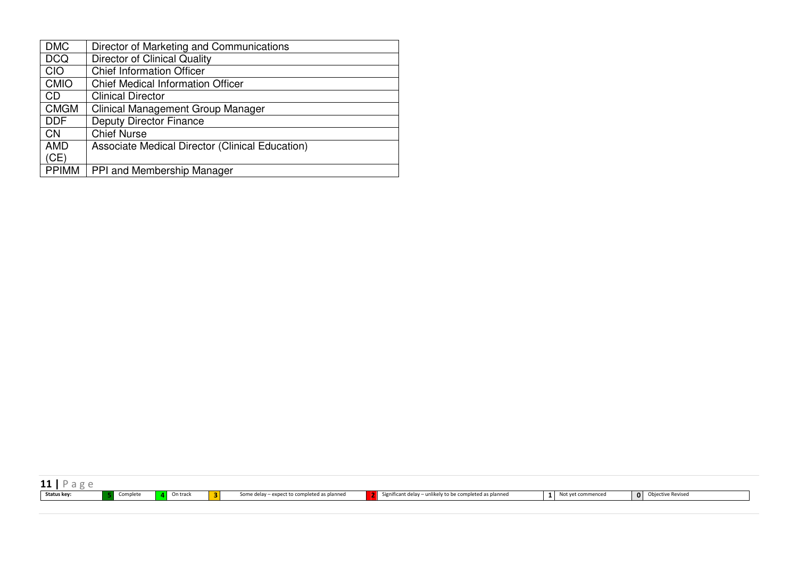| <b>DMC</b>   | Director of Marketing and Communications        |
|--------------|-------------------------------------------------|
| <b>DCQ</b>   | <b>Director of Clinical Quality</b>             |
| <b>CIO</b>   | <b>Chief Information Officer</b>                |
| <b>CMIO</b>  | <b>Chief Medical Information Officer</b>        |
| <b>CD</b>    | <b>Clinical Director</b>                        |
| <b>CMGM</b>  | <b>Clinical Management Group Manager</b>        |
| <b>DDF</b>   | <b>Deputy Director Finance</b>                  |
| <b>CN</b>    | <b>Chief Nurse</b>                              |
| <b>AMD</b>   | Associate Medical Director (Clinical Education) |
| (CE)         |                                                 |
| <b>PPIMM</b> | PPI and Membership Manager                      |

| .                              |         |                                                  |                                                     |              |              |                   |
|--------------------------------|---------|--------------------------------------------------|-----------------------------------------------------|--------------|--------------|-------------------|
| <b>Status key:</b><br>Complete | n tracl | y – expect to completed as planned<br>some delay | y to be completed as planned<br>- Significant delay | et commenced | $\mathbf{0}$ | Objective Revised |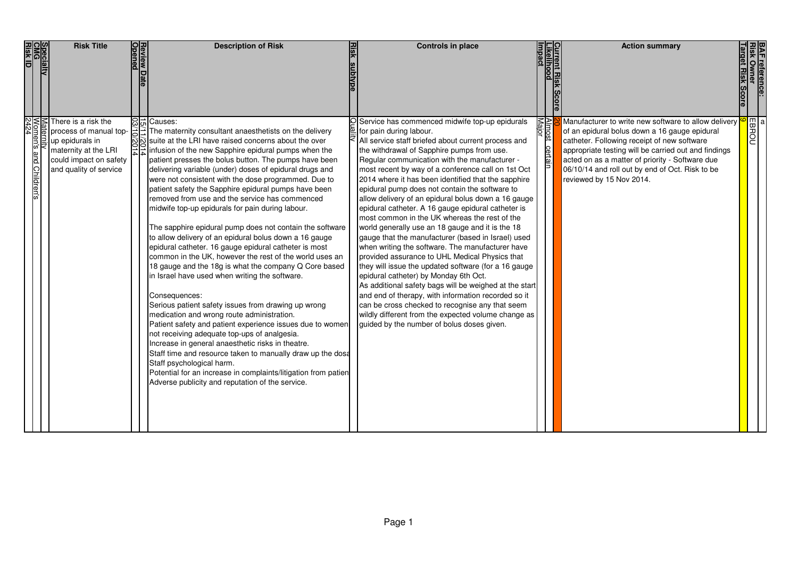|                    | Specialty<br>CMG<br>Risk ID | <b>Risk Title</b><br>Review I<br>있어 is a risk the                                                                                   | <b>Description of Risk</b>                                                                                                                                                                                                                                                                                                                                                                                                                                                                                                                                                                                                                                                                                                                                                                                                                                                                                                                                                                                                                                                                                                                                                                                                                                                                                                                                                                         | <b>Controls in place</b>                                                                                                                                                                                                                                                                                                                                                                                                                                                                                                                                                                                                                                                                                                                                                                                                                                                                                                                                                                                                                                                                                                                                 |                         | <b>Action summary</b>                                                                                                                                                                                                                                                                                                                                   |  |
|--------------------|-----------------------------|-------------------------------------------------------------------------------------------------------------------------------------|----------------------------------------------------------------------------------------------------------------------------------------------------------------------------------------------------------------------------------------------------------------------------------------------------------------------------------------------------------------------------------------------------------------------------------------------------------------------------------------------------------------------------------------------------------------------------------------------------------------------------------------------------------------------------------------------------------------------------------------------------------------------------------------------------------------------------------------------------------------------------------------------------------------------------------------------------------------------------------------------------------------------------------------------------------------------------------------------------------------------------------------------------------------------------------------------------------------------------------------------------------------------------------------------------------------------------------------------------------------------------------------------------|----------------------------------------------------------------------------------------------------------------------------------------------------------------------------------------------------------------------------------------------------------------------------------------------------------------------------------------------------------------------------------------------------------------------------------------------------------------------------------------------------------------------------------------------------------------------------------------------------------------------------------------------------------------------------------------------------------------------------------------------------------------------------------------------------------------------------------------------------------------------------------------------------------------------------------------------------------------------------------------------------------------------------------------------------------------------------------------------------------------------------------------------------------|-------------------------|---------------------------------------------------------------------------------------------------------------------------------------------------------------------------------------------------------------------------------------------------------------------------------------------------------------------------------------------------------|--|
| lomen's<br>lomen's | ã<br>and Children's         | process of manual top- $\Rightarrow$<br>up epidurals in<br>maternity at the LRI<br>could impact on safety<br>and quality of service | 음능 Causes:<br>$\Xi$ The maternity consultant anaesthetists on the delivery<br>suite at the LRI have raised concerns about the over<br>infusion of the new Sapphire epidural pumps when the<br>patient presses the bolus button. The pumps have been<br>delivering variable (under) doses of epidural drugs and<br>were not consistent with the dose programmed. Due to<br>patient safety the Sapphire epidural pumps have been<br>removed from use and the service has commenced<br>midwife top-up epidurals for pain during labour.<br>The sapphire epidural pump does not contain the software<br>to allow delivery of an epidural bolus down a 16 gauge<br>epidural catheter. 16 gauge epidural catheter is most<br>common in the UK, however the rest of the world uses an<br>18 gauge and the 18g is what the company Q Core based<br>in Israel have used when writing the software.<br>Consequences:<br>Serious patient safety issues from drawing up wrong<br>medication and wrong route administration.<br>Patient safety and patient experience issues due to women<br>not receiving adequate top-ups of analgesia.<br>Increase in general anaesthetic risks in theatre.<br>Staff time and resource taken to manually draw up the dosa<br>Staff psychological harm.<br>Potential for an increase in complaints/litigation from patien<br>Adverse publicity and reputation of the service. | OService has commenced midwife top-up epidurals<br>for pain during labour.<br>All service staff briefed about current process and<br>the withdrawal of Sapphire pumps from use.<br>Regular communication with the manufacturer -<br>most recent by way of a conference call on 1st Oct<br>2014 where it has been identified that the sapphire<br>epidural pump does not contain the software to<br>allow delivery of an epidural bolus down a 16 gauge<br>epidural catheter. A 16 gauge epidural catheter is<br>most common in the UK whereas the rest of the<br>world generally use an 18 gauge and it is the 18<br>gauge that the manufacturer (based in Israel) used<br>when writing the software. The manufacturer have<br>provided assurance to UHL Medical Physics that<br>they will issue the updated software (for a 16 gauge)<br>epidural catheter) by Monday 6th Oct.<br>As additional safety bags will be weighed at the start<br>and end of therapy, with information recorded so it<br>can be cross checked to recognise any that seem<br>wildly different from the expected volume change as<br>guided by the number of bolus doses given. | Almost certain<br>Major | Manufacturer to write new software to allow delivery $\frac{10}{3}$ of an epidural bolus down a 16 gauge epidural catheter. Following receipt of new software<br>appropriate testing will be carried out and findings<br>acted on as a matter of priority - Software due<br>06/10/14 and roll out by end of Oct. Risk to be<br>reviewed by 15 Nov 2014. |  |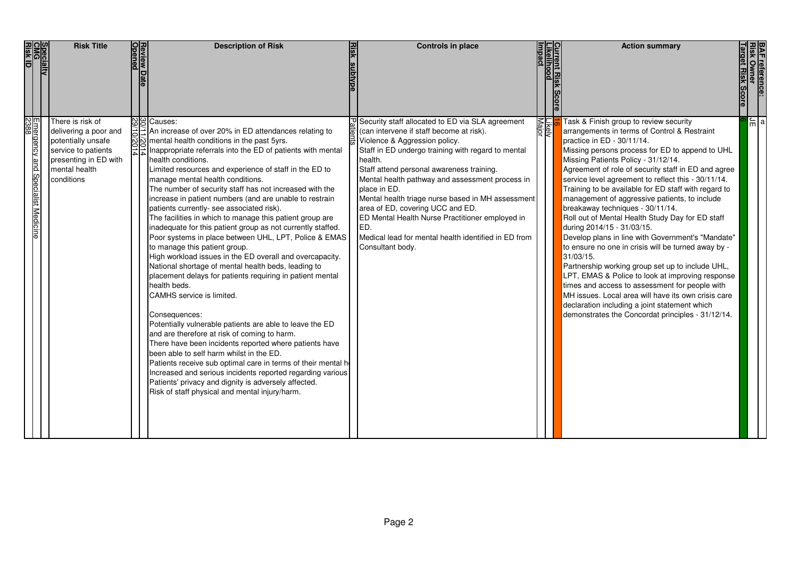| Specialty<br>CMG<br>Risk ID                           | <b>Risk Title</b>                                                                                                                              | <b>Review Date</b><br>Opened | <b>Description of Risk</b>                                                                                                                                                                                                                                                                                                                                                                                                                                                                                                                                                                                                                                                                                                                                                                                                                                                                                                                                                                                                                                                                                                                                                                                                                                                                                                                                                                                                                             | Controls in place                                                                                                                                                                                                                                                                                                                                                                                                                                                                                                                             |                        | Current Risk Score<br>Likelihood<br>Impact | <b>Action summary</b>                                                                                                                                                                                                                                                                                                                                                                                                                                                                                                                                                                                                                                                                                                                                                                                                                                                                                                                                                                                       | <b>BAF reference:<br/>Risk Owner<br/>Target Risk Scc</b> |                 |
|-------------------------------------------------------|------------------------------------------------------------------------------------------------------------------------------------------------|------------------------------|--------------------------------------------------------------------------------------------------------------------------------------------------------------------------------------------------------------------------------------------------------------------------------------------------------------------------------------------------------------------------------------------------------------------------------------------------------------------------------------------------------------------------------------------------------------------------------------------------------------------------------------------------------------------------------------------------------------------------------------------------------------------------------------------------------------------------------------------------------------------------------------------------------------------------------------------------------------------------------------------------------------------------------------------------------------------------------------------------------------------------------------------------------------------------------------------------------------------------------------------------------------------------------------------------------------------------------------------------------------------------------------------------------------------------------------------------------|-----------------------------------------------------------------------------------------------------------------------------------------------------------------------------------------------------------------------------------------------------------------------------------------------------------------------------------------------------------------------------------------------------------------------------------------------------------------------------------------------------------------------------------------------|------------------------|--------------------------------------------|-------------------------------------------------------------------------------------------------------------------------------------------------------------------------------------------------------------------------------------------------------------------------------------------------------------------------------------------------------------------------------------------------------------------------------------------------------------------------------------------------------------------------------------------------------------------------------------------------------------------------------------------------------------------------------------------------------------------------------------------------------------------------------------------------------------------------------------------------------------------------------------------------------------------------------------------------------------------------------------------------------------|----------------------------------------------------------|-----------------|
| <u> Emergency</u><br> 2388<br>and Specialist Medicine | There is risk of<br>delivering a poor and<br>potentially unsafe<br>service to patients<br>presenting in ED with<br>mental health<br>conditions |                              | <b>N</b> g Causes:<br>An increase of over 20% in ED attendances relating to<br>mental health conditions in the past 5yrs.<br>A Inappropriate referrals into the CD<br>Inappropriate referrals into the ED of patients with mental<br>health conditions.<br>Limited resources and experience of staff in the ED to<br>manage mental health conditions.<br>The number of security staff has not increased with the<br>increase in patient numbers (and are unable to restrain<br>patients currently- see associated risk).<br>The facilities in which to manage this patient group are<br>inadequate for this patient group as not currently staffed.<br>Poor systems in place between UHL, LPT, Police & EMAS<br>to manage this patient group.<br>High workload issues in the ED overall and overcapacity.<br>National shortage of mental health beds, leading to<br>placement delays for patients requiring in patient mental<br>health beds.<br>CAMHS service is limited.<br>Consequences:<br>Potentially vulnerable patients are able to leave the ED<br>and are therefore at risk of coming to harm.<br>There have been incidents reported where patients have<br>been able to self harm whilst in the ED.<br>Patients receive sub optimal care in terms of their mental he<br>Increased and serious incidents reported regarding various<br>Patients' privacy and dignity is adversely affected.<br>Risk of staff physical and mental injury/harm. | Security staff allocated to ED via SLA agreement<br>(can intervene if staff become at risk).<br>Violence & Aggression policy.<br>Staff in ED undergo training with regard to mental<br>health.<br>Staff attend personal awareness training.<br>Mental health pathway and assessment process in<br>place in ED.<br>Mental health triage nurse based in MH assessment<br>area of ED, covering UCC and ED.<br>ED Mental Health Nurse Practitioner employed in<br>ED.<br>Medical lead for mental health identified in ED from<br>Consultant body. | <u>Likely</u><br>Major |                                            | Task & Finish group to review security<br>arrangements in terms of Control & Restraint<br>practice in ED - 30/11/14.<br>Missing persons process for ED to append to UHL<br>Missing Patients Policy - 31/12/14.<br>Agreement of role of security staff in ED and agree<br>service level agreement to reflect this - 30/11/14.<br>Training to be available for ED staff with regard to<br>management of aggressive patients, to include<br>breakaway techniques - 30/11/14.<br>Roll out of Mental Health Study Day for ED staff<br>during 2014/15 - 31/03/15.<br>Develop plans in line with Government's "Mandate"<br>to ensure no one in crisis will be turned away by -<br>31/03/15.<br>Partnership working group set up to include UHL,<br>LPT, EMAS & Police to look at improving response<br>times and access to assessment for people with<br>MH issues. Local area will have its own crisis care<br>declaration including a joint statement which<br>demonstrates the Concordat principles - 31/12/14. |                                                          | $\frac{1}{2}$ a |